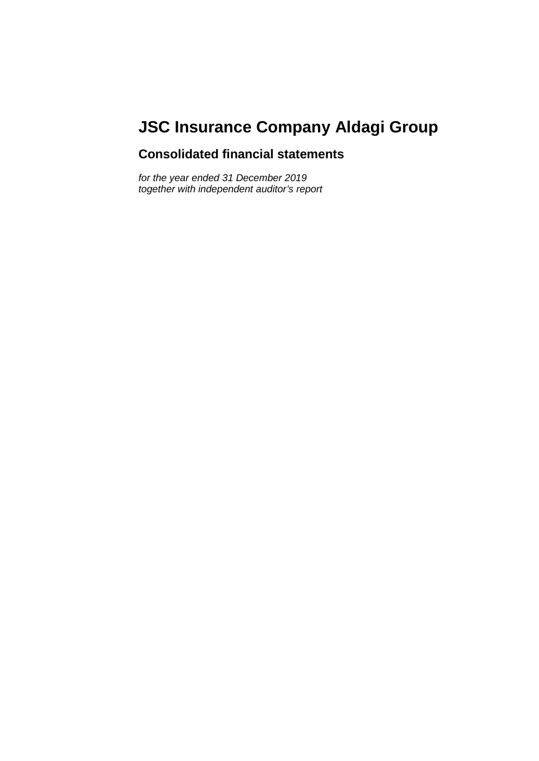# **JSC Insurance Company Aldagi Group**

# **Consolidated financial statements**

*for the year ended 31 December 2019 together with independent auditor's report*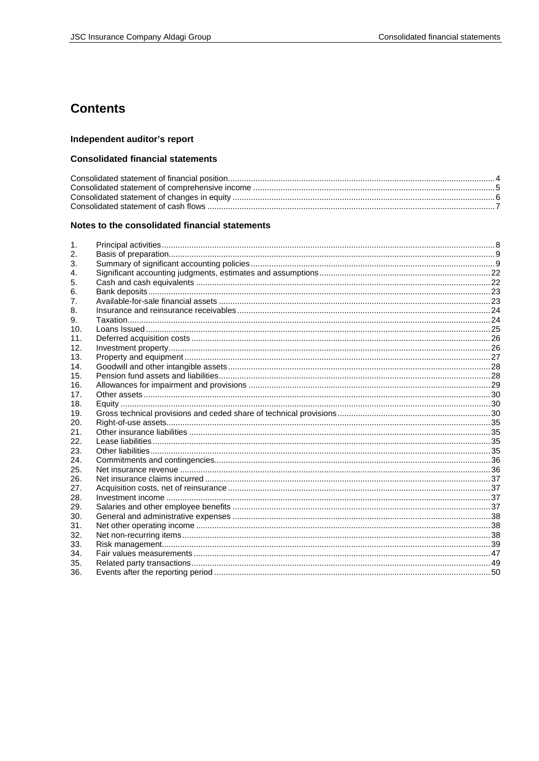# **Contents**

# Independent auditor's report

### **Consolidated financial statements**

### Notes to the consolidated financial statements

| 1.  |  |
|-----|--|
| 2.  |  |
| 3.  |  |
| 4.  |  |
| 5.  |  |
| 6.  |  |
| 7.  |  |
| 8.  |  |
| 9.  |  |
| 10. |  |
| 11. |  |
| 12. |  |
| 13. |  |
| 14. |  |
| 15. |  |
| 16. |  |
| 17. |  |
| 18. |  |
| 19. |  |
| 20. |  |
| 21. |  |
| 22. |  |
| 23. |  |
| 24. |  |
| 25. |  |
| 26. |  |
| 27. |  |
| 28. |  |
| 29. |  |
| 30. |  |
| 31. |  |
| 32. |  |
| 33. |  |
| 34. |  |
| 35. |  |
| 36. |  |
|     |  |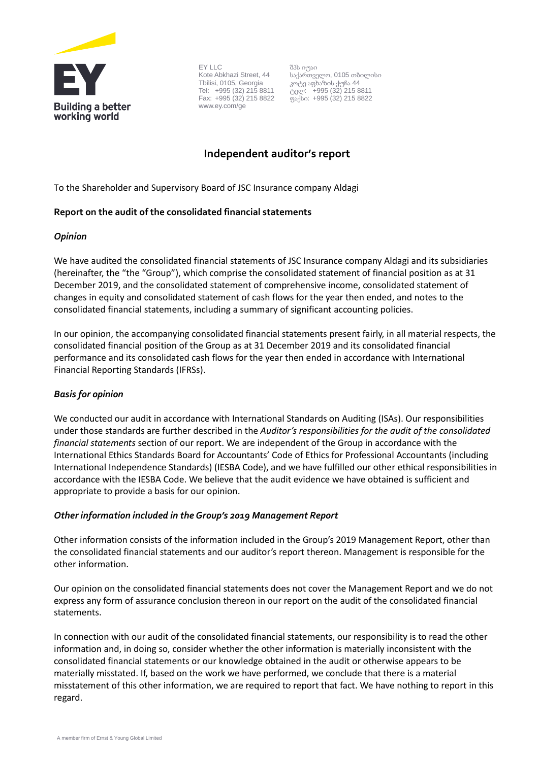

EY LLC Kote Abkhazi Street, 44 Tbilisi, 0105, Georgia Tel: +995 (32) 215 8811 Fax: +995 (32) 215 8822 www.ey.com/ge

შპს იუაი საქართველო, 0105 თბილისი კოტე აფხაზის ქუჩა 44 ტელ: +995 (32) 215 8811 ფაქსი: +995 (32) 215 8822

# **Independent auditor's report**

To the Shareholder and Supervisory Board of JSC Insurance company Aldagi

# **Report on the audit of the consolidated financial statements**

### *Opinion*

We have audited the consolidated financial statements of JSC Insurance company Aldagi and its subsidiaries (hereinafter, the "the "Group"), which comprise the consolidated statement of financial position as at 31 December 2019, and the consolidated statement of comprehensive income, consolidated statement of changes in equity and consolidated statement of cash flows for the year then ended, and notes to the consolidated financial statements, including a summary of significant accounting policies.

In our opinion, the accompanying consolidated financial statements present fairly, in all material respects, the consolidated financial position of the Group as at 31 December 2019 and its consolidated financial performance and its consolidated cash flows for the year then ended in accordance with International Financial Reporting Standards (IFRSs).

# *Basis for opinion*

We conducted our audit in accordance with International Standards on Auditing (ISAs). Our responsibilities under those standards are further described in the *Auditor's responsibilities for the audit of the consolidated financial statements* section of our report. We are independent of the Group in accordance with the International Ethics Standards Board for Accountants' Code of Ethics for Professional Accountants (including International Independence Standards) (IESBA Code), and we have fulfilled our other ethical responsibilities in accordance with the IESBA Code. We believe that the audit evidence we have obtained is sufficient and appropriate to provide a basis for our opinion.

### *Other information included in the Group's 2019 Management Report*

Other information consists of the information included in the Group's 2019 Management Report, other than the consolidated financial statements and our auditor's report thereon. Management is responsible for the other information.

Our opinion on the consolidated financial statements does not cover the Management Report and we do not express any form of assurance conclusion thereon in our report on the audit of the consolidated financial statements.

In connection with our audit of the consolidated financial statements, our responsibility is to read the other information and, in doing so, consider whether the other information is materially inconsistent with the consolidated financial statements or our knowledge obtained in the audit or otherwise appears to be materially misstated. If, based on the work we have performed, we conclude that there is a material misstatement of this other information, we are required to report that fact. We have nothing to report in this regard.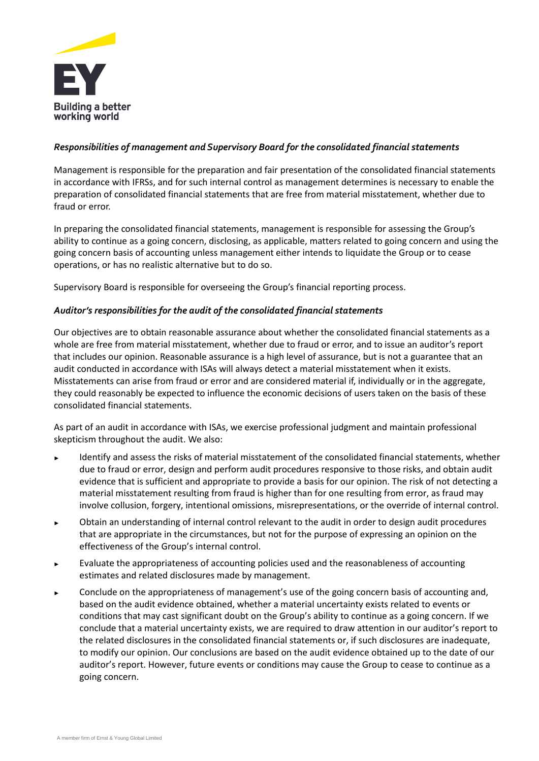

# *Responsibilities of management and Supervisory Board for the consolidated financial statements*

Management is responsible for the preparation and fair presentation of the consolidated financial statements in accordance with IFRSs, and for such internal control as management determines is necessary to enable the preparation of consolidated financial statements that are free from material misstatement, whether due to fraud or error.

In preparing the consolidated financial statements, management is responsible for assessing the Group's ability to continue as a going concern, disclosing, as applicable, matters related to going concern and using the going concern basis of accounting unless management either intends to liquidate the Group or to cease operations, or has no realistic alternative but to do so.

Supervisory Board is responsible for overseeing the Group's financial reporting process.

# *Auditor's responsibilities for the audit of the consolidated financial statements*

Our objectives are to obtain reasonable assurance about whether the consolidated financial statements as a whole are free from material misstatement, whether due to fraud or error, and to issue an auditor's report that includes our opinion. Reasonable assurance is a high level of assurance, but is not a guarantee that an audit conducted in accordance with ISAs will always detect a material misstatement when it exists. Misstatements can arise from fraud or error and are considered material if, individually or in the aggregate, they could reasonably be expected to influence the economic decisions of users taken on the basis of these consolidated financial statements.

As part of an audit in accordance with ISAs, we exercise professional judgment and maintain professional skepticism throughout the audit. We also:

- Identify and assess the risks of material misstatement of the consolidated financial statements, whether due to fraud or error, design and perform audit procedures responsive to those risks, and obtain audit evidence that is sufficient and appropriate to provide a basis for our opinion. The risk of not detecting a material misstatement resulting from fraud is higher than for one resulting from error, as fraud may involve collusion, forgery, intentional omissions, misrepresentations, or the override of internal control.
- ► Obtain an understanding of internal control relevant to the audit in order to design audit procedures that are appropriate in the circumstances, but not for the purpose of expressing an opinion on the effectiveness of the Group's internal control.
- ► Evaluate the appropriateness of accounting policies used and the reasonableness of accounting estimates and related disclosures made by management.
- ► Conclude on the appropriateness of management's use of the going concern basis of accounting and, based on the audit evidence obtained, whether a material uncertainty exists related to events or conditions that may cast significant doubt on the Group's ability to continue as a going concern. If we conclude that a material uncertainty exists, we are required to draw attention in our auditor's report to the related disclosures in the consolidated financial statements or, if such disclosures are inadequate, to modify our opinion. Our conclusions are based on the audit evidence obtained up to the date of our auditor's report. However, future events or conditions may cause the Group to cease to continue as a going concern.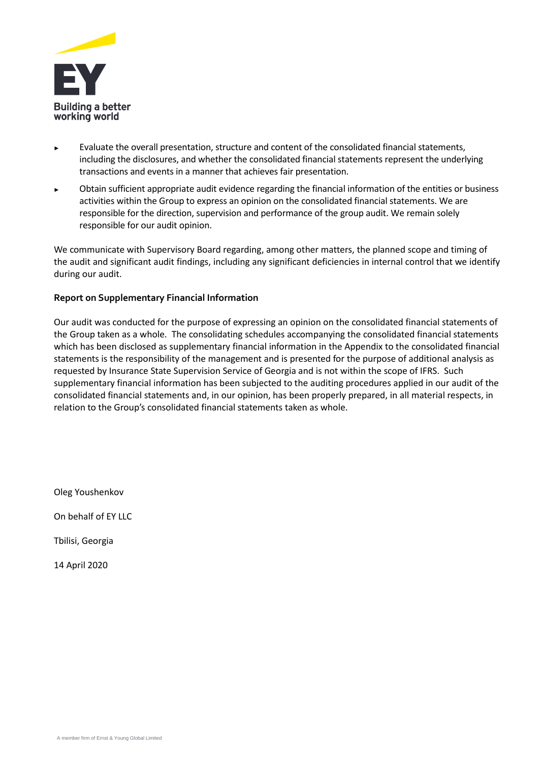

- ► Evaluate the overall presentation, structure and content of the consolidated financial statements, including the disclosures, and whether the consolidated financial statements represent the underlying transactions and events in a manner that achieves fair presentation.
- Obtain sufficient appropriate audit evidence regarding the financial information of the entities or business activities within the Group to express an opinion on the consolidated financial statements. We are responsible for the direction, supervision and performance of the group audit. We remain solely responsible for our audit opinion.

We communicate with Supervisory Board regarding, among other matters, the planned scope and timing of the audit and significant audit findings, including any significant deficiencies in internal control that we identify during our audit.

# **Report on Supplementary Financial Information**

Our audit was conducted for the purpose of expressing an opinion on the consolidated financial statements of the Group taken as a whole. The consolidating schedules accompanying the consolidated financial statements which has been disclosed as supplementary financial information in the Appendix to the consolidated financial statements is the responsibility of the management and is presented for the purpose of additional analysis as requested by Insurance State Supervision Service of Georgia and is not within the scope of IFRS. Such supplementary financial information has been subjected to the auditing procedures applied in our audit of the consolidated financial statements and, in our opinion, has been properly prepared, in all material respects, in relation to the Group's consolidated financial statements taken as whole.

EY GEORGIA LLC LLC Digitally signed by EY GEORGIA Date: 2020.04.14 22:08:23 +04'00'

Oleg Youshenkov

On behalf of EY LLC

Tbilisi, Georgia

14 April 2020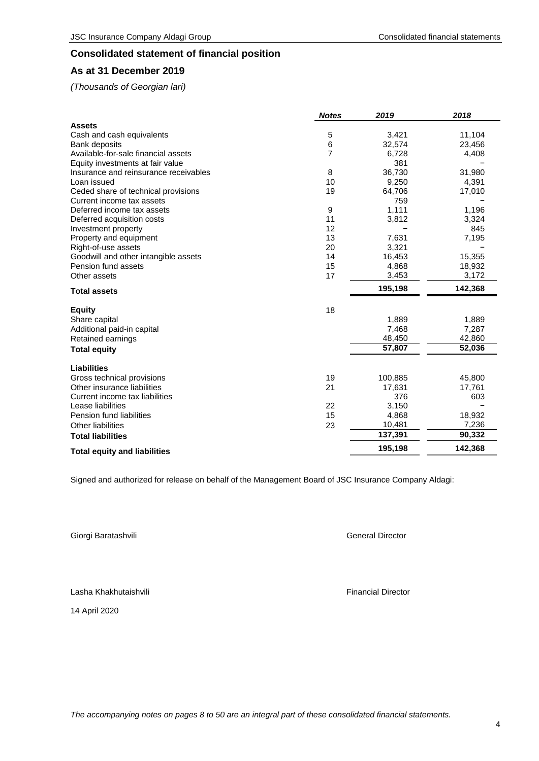# **Consolidated statement of financial position**

# **As at 31 December 2019**

*(Thousands of Georgian lari)*

|                                       | <b>Notes</b>   | 2019    | 2018    |
|---------------------------------------|----------------|---------|---------|
| <b>Assets</b>                         |                |         |         |
| Cash and cash equivalents             | 5              | 3,421   | 11,104  |
| Bank deposits                         | 6              | 32,574  | 23,456  |
| Available-for-sale financial assets   | $\overline{7}$ | 6,728   | 4,408   |
| Equity investments at fair value      |                | 381     |         |
| Insurance and reinsurance receivables | 8              | 36,730  | 31,980  |
| Loan issued                           | 10             | 9,250   | 4,391   |
| Ceded share of technical provisions   | 19             | 64,706  | 17,010  |
| Current income tax assets             |                | 759     |         |
| Deferred income tax assets            | 9              | 1,111   | 1,196   |
| Deferred acquisition costs            | 11             | 3,812   | 3,324   |
| Investment property                   | 12             |         | 845     |
| Property and equipment                | 13             | 7,631   | 7,195   |
| Right-of-use assets                   | 20             | 3,321   |         |
| Goodwill and other intangible assets  | 14             | 16,453  | 15,355  |
| Pension fund assets                   | 15             | 4,868   | 18,932  |
| Other assets                          | 17             | 3,453   | 3,172   |
| <b>Total assets</b>                   |                | 195,198 | 142,368 |
| <b>Equity</b>                         | 18             |         |         |
| Share capital                         |                | 1,889   | 1,889   |
| Additional paid-in capital            |                | 7,468   | 7,287   |
| Retained earnings                     |                | 48,450  | 42,860  |
| <b>Total equity</b>                   |                | 57,807  | 52,036  |
| <b>Liabilities</b>                    |                |         |         |
| Gross technical provisions            | 19             | 100,885 | 45,800  |
| Other insurance liabilities           | 21             | 17,631  | 17,761  |
| Current income tax liabilities        |                | 376     | 603     |
| Lease liabilities                     | 22             | 3,150   |         |
| Pension fund liabilities              | 15             | 4,868   | 18,932  |
| <b>Other liabilities</b>              | 23             | 10,481  | 7,236   |
| <b>Total liabilities</b>              |                | 137,391 | 90,332  |
|                                       |                | 195,198 | 142,368 |
| <b>Total equity and liabilities</b>   |                |         |         |

Signed and authorized for release on behalf of the Management Board of JSC Insurance Company Aldagi:

Giorgi Baratashvili Giorgi Baratashvili

Lasha Khakhutaishvili Financial Director

14 April 2020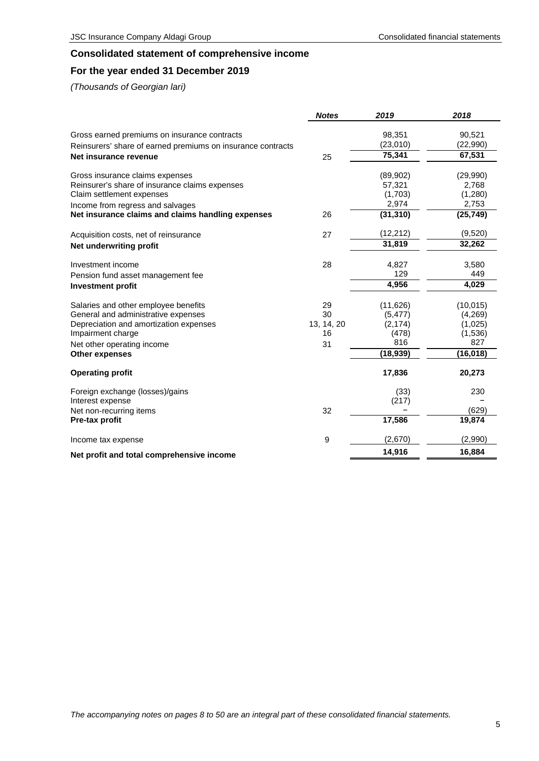# **Consolidated statement of comprehensive income**

# **For the year ended 31 December 2019**

*(Thousands of Georgian lari)*

|                                                             | <b>Notes</b> | 2019      | 2018      |
|-------------------------------------------------------------|--------------|-----------|-----------|
| Gross earned premiums on insurance contracts                |              | 98,351    | 90,521    |
| Reinsurers' share of earned premiums on insurance contracts |              | (23,010)  | (22,990)  |
| Net insurance revenue                                       | 25           | 75,341    | 67,531    |
| Gross insurance claims expenses                             |              | (89,902)  | (29,990)  |
| Reinsurer's share of insurance claims expenses              |              | 57,321    | 2,768     |
| Claim settlement expenses                                   |              | (1,703)   | (1,280)   |
| Income from regress and salvages                            |              | 2,974     | 2,753     |
| Net insurance claims and claims handling expenses           | 26           | (31, 310) | (25, 749) |
| Acquisition costs, net of reinsurance                       | 27           | (12, 212) | (9,520)   |
| Net underwriting profit                                     |              | 31,819    | 32,262    |
| Investment income                                           | 28           | 4,827     | 3,580     |
| Pension fund asset management fee                           |              | 129       | 449       |
| <b>Investment profit</b>                                    |              | 4,956     | 4,029     |
| Salaries and other employee benefits                        | 29           | (11,626)  | (10, 015) |
| General and administrative expenses                         | 30           | (5, 477)  | (4,269)   |
| Depreciation and amortization expenses                      | 13, 14, 20   | (2, 174)  | (1,025)   |
| Impairment charge                                           | 16           | (478)     | (1,536)   |
| Net other operating income                                  | 31           | 816       | 827       |
| <b>Other expenses</b>                                       |              | (18, 939) | (16, 018) |
| <b>Operating profit</b>                                     |              | 17,836    | 20,273    |
| Foreign exchange (losses)/gains                             |              | (33)      | 230       |
| Interest expense                                            |              | (217)     |           |
| Net non-recurring items                                     | 32           |           | (629)     |
| Pre-tax profit                                              |              | 17,586    | 19,874    |
| Income tax expense                                          | 9            | (2,670)   | (2,990)   |
| Net profit and total comprehensive income                   |              | 14,916    | 16,884    |
|                                                             |              |           |           |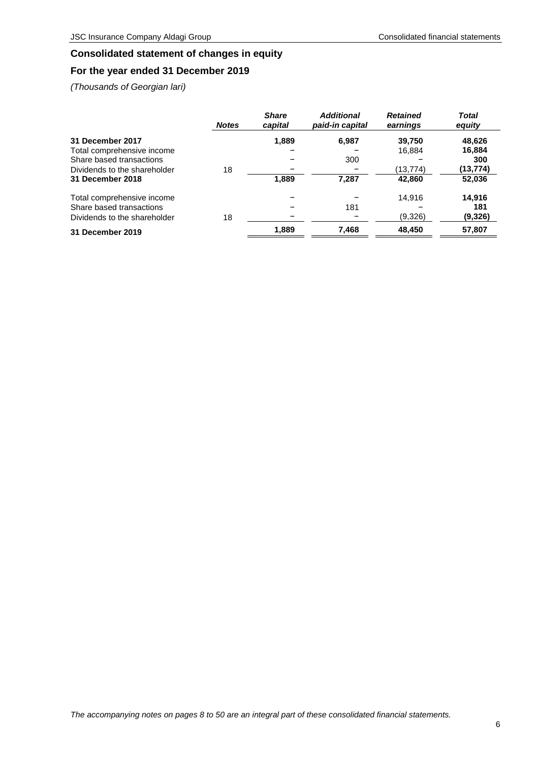# **Consolidated statement of changes in equity**

# **For the year ended 31 December 2019**

*(Thousands of Georgian lari)*

|                              | <b>Notes</b> | <b>Share</b><br>capital | <b>Additional</b><br>paid-in capital | <b>Retained</b><br>earnings | <b>Total</b><br>equity |
|------------------------------|--------------|-------------------------|--------------------------------------|-----------------------------|------------------------|
| 31 December 2017             |              | 1,889                   | 6,987                                | 39,750                      | 48,626                 |
| Total comprehensive income   |              |                         |                                      | 16,884                      | 16,884                 |
| Share based transactions     |              |                         | 300                                  |                             | 300                    |
| Dividends to the shareholder | 18           |                         |                                      | (13,774)                    | (13, 774)              |
| 31 December 2018             |              | 1,889                   | 7,287                                | 42,860                      | 52,036                 |
| Total comprehensive income   |              |                         |                                      | 14.916                      | 14,916                 |
| Share based transactions     |              |                         | 181                                  |                             | 181                    |
| Dividends to the shareholder | 18           |                         |                                      | (9,326)                     | (9,326)                |
| 31 December 2019             |              | 1,889                   | 7,468                                | 48,450                      | 57,807                 |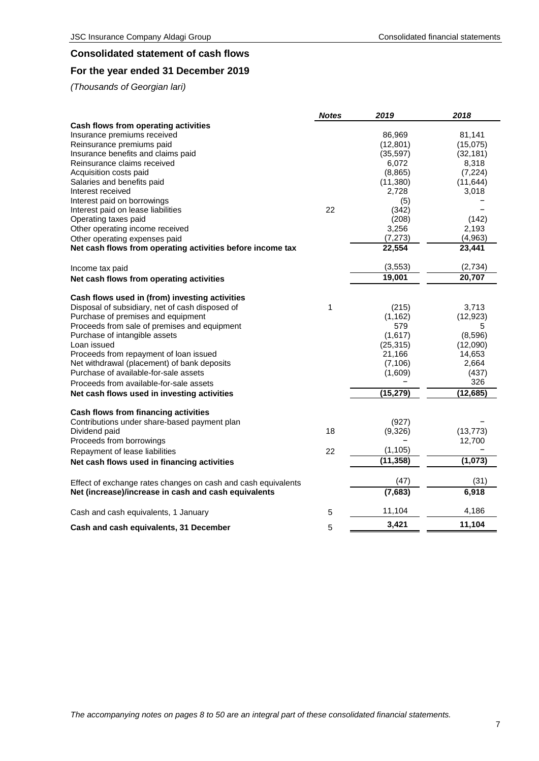# **Consolidated statement of cash flows**

# **For the year ended 31 December 2019**

*(Thousands of Georgian lari)*

|                                                               | <b>Notes</b> | 2019      | 2018      |
|---------------------------------------------------------------|--------------|-----------|-----------|
| Cash flows from operating activities                          |              |           |           |
| Insurance premiums received                                   |              | 86,969    | 81,141    |
| Reinsurance premiums paid                                     |              | (12, 801) | (15,075)  |
| Insurance benefits and claims paid                            |              | (35, 597) | (32, 181) |
| Reinsurance claims received                                   |              | 6,072     | 8,318     |
| Acquisition costs paid                                        |              | (8, 865)  | (7, 224)  |
| Salaries and benefits paid                                    |              | (11, 380) | (11, 644) |
| Interest received                                             |              | 2,728     | 3,018     |
| Interest paid on borrowings                                   |              | (5)       |           |
| Interest paid on lease liabilities                            | 22           | (342)     |           |
| Operating taxes paid                                          |              | (208)     | (142)     |
| Other operating income received                               |              | 3,256     | 2,193     |
| Other operating expenses paid                                 |              | (7, 273)  | (4,963)   |
| Net cash flows from operating activities before income tax    |              | 22,554    | 23,441    |
| Income tax paid                                               |              | (3, 553)  | (2,734)   |
| Net cash flows from operating activities                      |              | 19,001    | 20,707    |
|                                                               |              |           |           |
| Cash flows used in (from) investing activities                |              |           |           |
| Disposal of subsidiary, net of cash disposed of               | 1            | (215)     | 3,713     |
| Purchase of premises and equipment                            |              | (1, 162)  | (12, 923) |
| Proceeds from sale of premises and equipment                  |              | 579       | 5         |
| Purchase of intangible assets                                 |              | (1,617)   | (8,596)   |
| Loan issued                                                   |              | (25, 315) | (12,090)  |
| Proceeds from repayment of loan issued                        |              | 21,166    | 14,653    |
| Net withdrawal (placement) of bank deposits                   |              | (7, 106)  | 2,664     |
| Purchase of available-for-sale assets                         |              | (1,609)   | (437)     |
| Proceeds from available-for-sale assets                       |              |           | 326       |
| Net cash flows used in investing activities                   |              | (15, 279) | (12, 685) |
|                                                               |              |           |           |
| Cash flows from financing activities                          |              |           |           |
| Contributions under share-based payment plan                  |              | (927)     |           |
| Dividend paid                                                 | 18           | (9,326)   | (13, 773) |
| Proceeds from borrowings                                      |              |           | 12,700    |
| Repayment of lease liabilities                                | 22           | (1, 105)  |           |
| Net cash flows used in financing activities                   |              | (11, 358) | (1,073)   |
|                                                               |              |           |           |
| Effect of exchange rates changes on cash and cash equivalents |              | (47)      | (31)      |
| Net (increase)/increase in cash and cash equivalents          |              | (7,683)   | 6,918     |
| Cash and cash equivalents, 1 January                          | 5            | 11,104    | 4,186     |
| Cash and cash equivalents, 31 December                        | 5            | 3,421     | 11,104    |
|                                                               |              |           |           |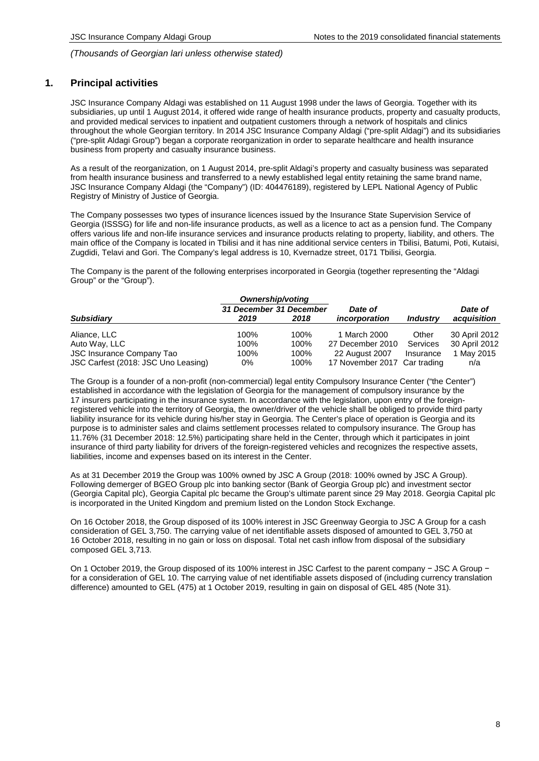# **1. Principal activities**

<span id="page-9-0"></span>JSC Insurance Company Aldagi was established on 11 August 1998 under the laws of Georgia. Together with its subsidiaries, up until 1 August 2014, it offered wide range of health insurance products, property and casualty products, and provided medical services to inpatient and outpatient customers through a network of hospitals and clinics throughout the whole Georgian territory. In 2014 JSC Insurance Company Aldagi ("pre-split Aldagi") and its subsidiaries ("pre-split Aldagi Group") began a corporate reorganization in order to separate healthcare and health insurance business from property and casualty insurance business.

As a result of the reorganization, on 1 August 2014, pre-split Aldagi's property and casualty business was separated from health insurance business and transferred to a newly established legal entity retaining the same brand name, JSC Insurance Company Aldagi (the "Company") (ID: 404476189), registered by LEPL National Agency of Public Registry of Ministry of Justice of Georgia.

The Company possesses two types of insurance licences issued by the Insurance State Supervision Service of Georgia (ISSSG) for life and non-life insurance products, as well as a licence to act as a pension fund. The Company offers various life and non-life insurance services and insurance products relating to property, liability, and others. The main office of the Company is located in Tbilisi and it has nine additional service centers in Tbilisi, Batumi, Poti, Kutaisi, Zugdidi, Telavi and Gori. The Company's legal address is 10, Kvernadze street, 0171 Tbilisi, Georgia.

The Company is the parent of the following enterprises incorporated in Georgia (together representing the "Aldagi Group" or the "Group").

|                                     |                         | Ownership/voting |                              |                        |               |
|-------------------------------------|-------------------------|------------------|------------------------------|------------------------|---------------|
|                                     | 31 December 31 December |                  | Date of                      |                        | Date of       |
| <b>Subsidiary</b>                   | 2019                    | 2018             | incorporation                | <i><b>Industry</b></i> | acquisition   |
| Aliance, LLC                        | 100%                    | 100%             | 1 March 2000                 | Other                  | 30 April 2012 |
| Auto Way, LLC                       | 100%                    | 100%             | 27 December 2010             | <b>Services</b>        | 30 April 2012 |
| <b>JSC Insurance Company Tao</b>    | 100%                    | 100%             | 22 August 2007               | Insurance              | 1 May 2015    |
| JSC Carfest (2018: JSC Uno Leasing) | 0%                      | 100%             | 17 November 2017 Car trading |                        | n/a           |

The Group is a founder of a non-profit (non-commercial) legal entity Compulsory Insurance Center ("the Center") established in accordance with the legislation of Georgia for the management of compulsory insurance by the 17 insurers participating in the insurance system. In accordance with the legislation, upon entry of the foreignregistered vehicle into the territory of Georgia, the owner/driver of the vehicle shall be obliged to provide third party liability insurance for its vehicle during his/her stay in Georgia. The Center's place of operation is Georgia and its purpose is to administer sales and claims settlement processes related to compulsory insurance. The Group has 11.76% (31 December 2018: 12.5%) participating share held in the Center, through which it participates in joint insurance of third party liability for drivers of the foreign-registered vehicles and recognizes the respective assets, liabilities, income and expenses based on its interest in the Center.

As at 31 December 2019 the Group was 100% owned by JSC A Group (2018: 100% owned by JSC A Group). Following demerger of BGEO Group plc into banking sector (Bank of Georgia Group plc) and investment sector (Georgia Capital plc), Georgia Capital plc became the Group's ultimate parent since 29 May 2018. Georgia Capital plc is incorporated in the United Kingdom and premium listed on the London Stock Exchange.

On 16 October 2018, the Group disposed of its 100% interest in JSC Greenway Georgia to JSC A Group for a cash consideration of GEL 3,750. The carrying value of net identifiable assets disposed of amounted to GEL 3,750 at 16 October 2018, resulting in no gain or loss on disposal. Total net cash inflow from disposal of the subsidiary composed GEL 3,713.

On 1 October 2019, the Group disposed of its 100% interest in JSC Carfest to the parent company − JSC A Group − for a consideration of GEL 10. The carrying value of net identifiable assets disposed of (including currency translation difference) amounted to GEL (475) at 1 October 2019, resulting in gain on disposal of GEL 485 (Note 31).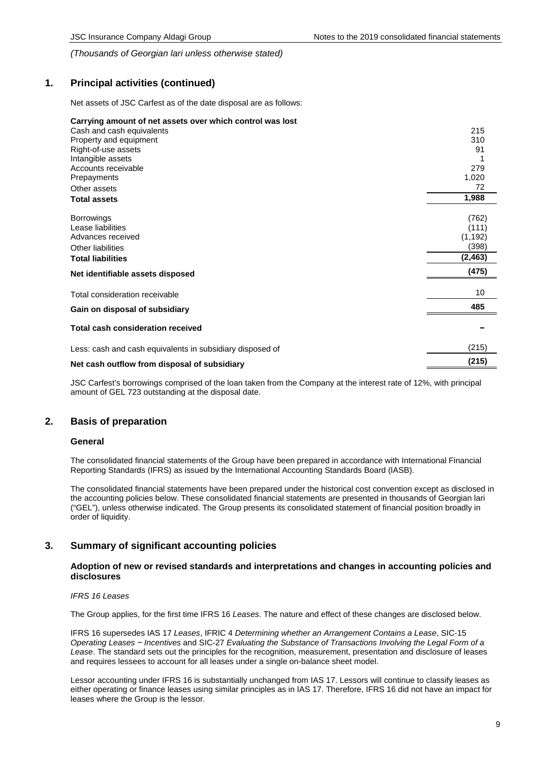## **1. Principal activities (continued)**

Net assets of JSC Carfest as of the date disposal are as follows:

#### **Carrying amount of net assets over which control was lost**

| <u>oan yn gamoant or not accote over winch control wac loot</u><br>Cash and cash equivalents | 215      |
|----------------------------------------------------------------------------------------------|----------|
| Property and equipment                                                                       | 310      |
| Right-of-use assets                                                                          | 91       |
| Intangible assets                                                                            | 1        |
| Accounts receivable                                                                          | 279      |
| Prepayments                                                                                  | 1,020    |
| Other assets                                                                                 | 72       |
| <b>Total assets</b>                                                                          | 1,988    |
| <b>Borrowings</b>                                                                            | (762)    |
| Lease liabilities                                                                            | (111)    |
| Advances received                                                                            | (1, 192) |
| <b>Other liabilities</b>                                                                     | (398)    |
| <b>Total liabilities</b>                                                                     | (2, 463) |
| Net identifiable assets disposed                                                             | (475)    |
| Total consideration receivable                                                               | 10       |
| Gain on disposal of subsidiary                                                               | 485      |
| <b>Total cash consideration received</b>                                                     |          |
| Less: cash and cash equivalents in subsidiary disposed of                                    | (215)    |
| Net cash outflow from disposal of subsidiary                                                 | (215)    |

JSC Carfest's borrowings comprised of the loan taken from the Company at the interest rate of 12%, with principal amount of GEL 723 outstanding at the disposal date.

# **2. Basis of preparation**

#### <span id="page-10-0"></span>**General**

The consolidated financial statements of the Group have been prepared in accordance with International Financial Reporting Standards (IFRS) as issued by the International Accounting Standards Board (IASB).

The consolidated financial statements have been prepared under the historical cost convention except as disclosed in the accounting policies below. These consolidated financial statements are presented in thousands of Georgian lari ("GEL"), unless otherwise indicated. The Group presents its consolidated statement of financial position broadly in order of liquidity.

### **3. Summary of significant accounting policies**

### <span id="page-10-1"></span>**Adoption of new or revised standards and interpretations and changes in accounting policies and disclosures**

#### *IFRS 16 Leases*

The Group applies, for the first time IFRS 16 *Leases*. The nature and effect of these changes are disclosed below.

IFRS 16 supersedes IAS 17 *Leases*, IFRIC 4 *Determining whether an Arrangement Contains a Lease*, SIC-15 *Operating Leases − Incentives* and SIC-27 *Evaluating the Substance of Transactions Involving the Legal Form of a Lease*. The standard sets out the principles for the recognition, measurement, presentation and disclosure of leases and requires lessees to account for all leases under a single on-balance sheet model.

Lessor accounting under IFRS 16 is substantially unchanged from IAS 17. Lessors will continue to classify leases as either operating or finance leases using similar principles as in IAS 17. Therefore, IFRS 16 did not have an impact for leases where the Group is the lessor.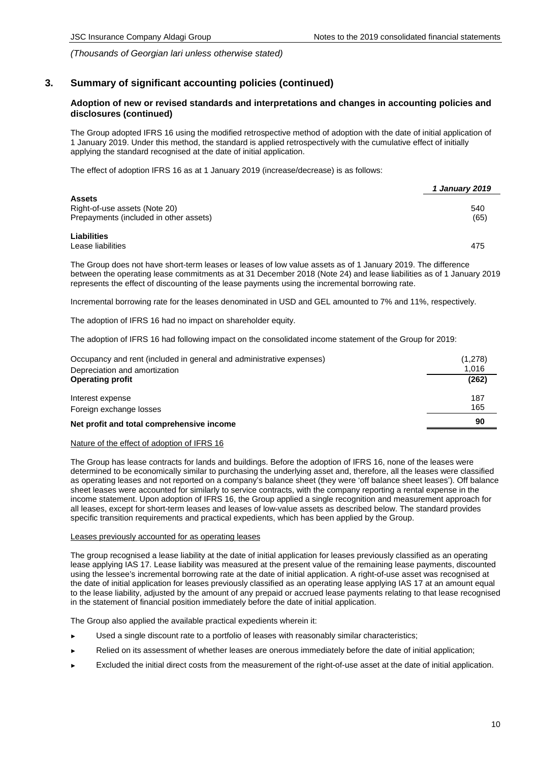# **3. Summary of significant accounting policies (continued)**

### **Adoption of new or revised standards and interpretations and changes in accounting policies and disclosures (continued)**

The Group adopted IFRS 16 using the modified retrospective method of adoption with the date of initial application of 1 January 2019. Under this method, the standard is applied retrospectively with the cumulative effect of initially applying the standard recognised at the date of initial application.

The effect of adoption IFRS 16 as at 1 January 2019 (increase/decrease) is as follows:

|                                        | 1 January 2019 |
|----------------------------------------|----------------|
| <b>Assets</b>                          |                |
| Right-of-use assets (Note 20)          | 540            |
| Prepayments (included in other assets) | (65)           |
| <b>Liabilities</b>                     |                |
| Lease liabilities                      | 475            |

The Group does not have short-term leases or leases of low value assets as of 1 January 2019. The difference between the operating lease commitments as at 31 December 2018 (Note 24) and lease liabilities as of 1 January 2019 represents the effect of discounting of the lease payments using the incremental borrowing rate.

Incremental borrowing rate for the leases denominated in USD and GEL amounted to 7% and 11%, respectively.

The adoption of IFRS 16 had no impact on shareholder equity.

The adoption of IFRS 16 had following impact on the consolidated income statement of the Group for 2019:

| Occupancy and rent (included in general and administrative expenses) | (1,278)        |
|----------------------------------------------------------------------|----------------|
| Depreciation and amortization<br><b>Operating profit</b>             | 1.016<br>(262) |
| Interest expense                                                     | 187            |
| Foreign exchange losses                                              | 165            |
| Net profit and total comprehensive income                            | 90             |

#### Nature of the effect of adoption of IFRS 16

The Group has lease contracts for lands and buildings. Before the adoption of IFRS 16, none of the leases were determined to be economically similar to purchasing the underlying asset and, therefore, all the leases were classified as operating leases and not reported on a company's balance sheet (they were 'off balance sheet leases'). Off balance sheet leases were accounted for similarly to service contracts, with the company reporting a rental expense in the income statement. Upon adoption of IFRS 16, the Group applied a single recognition and measurement approach for all leases, except for short-term leases and leases of low-value assets as described below. The standard provides specific transition requirements and practical expedients, which has been applied by the Group.

#### Leases previously accounted for as operating leases

The group recognised a lease liability at the date of initial application for leases previously classified as an operating lease applying IAS 17. Lease liability was measured at the present value of the remaining lease payments, discounted using the lessee's incremental borrowing rate at the date of initial application. A right-of-use asset was recognised at the date of initial application for leases previously classified as an operating lease applying IAS 17 at an amount equal to the lease liability, adjusted by the amount of any prepaid or accrued lease payments relating to that lease recognised in the statement of financial position immediately before the date of initial application.

The Group also applied the available practical expedients wherein it:

- Used a single discount rate to a portfolio of leases with reasonably similar characteristics;
- Relied on its assessment of whether leases are onerous immediately before the date of initial application;
- Excluded the initial direct costs from the measurement of the right-of-use asset at the date of initial application.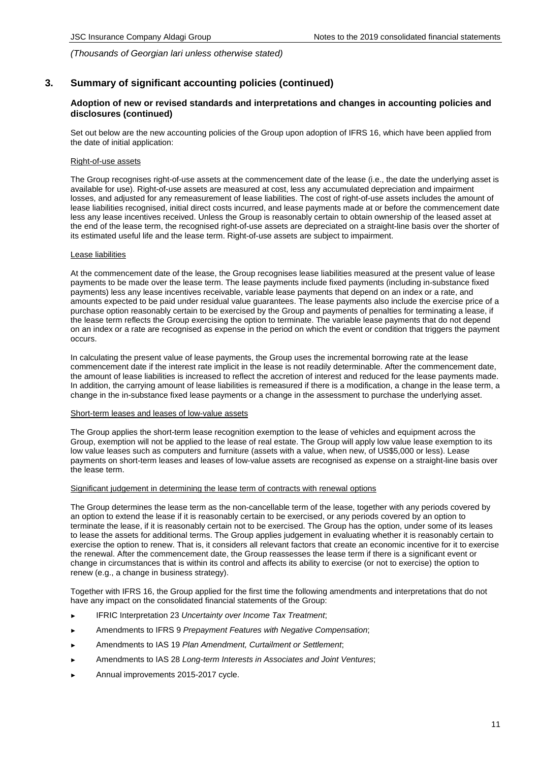# **3. Summary of significant accounting policies (continued)**

### **Adoption of new or revised standards and interpretations and changes in accounting policies and disclosures (continued)**

Set out below are the new accounting policies of the Group upon adoption of IFRS 16, which have been applied from the date of initial application:

#### Right-of-use assets

The Group recognises right-of-use assets at the commencement date of the lease (i.e., the date the underlying asset is available for use). Right-of-use assets are measured at cost, less any accumulated depreciation and impairment losses, and adjusted for any remeasurement of lease liabilities. The cost of right-of-use assets includes the amount of lease liabilities recognised, initial direct costs incurred, and lease payments made at or before the commencement date less any lease incentives received. Unless the Group is reasonably certain to obtain ownership of the leased asset at the end of the lease term, the recognised right-of-use assets are depreciated on a straight-line basis over the shorter of its estimated useful life and the lease term. Right-of-use assets are subject to impairment.

#### Lease liabilities

At the commencement date of the lease, the Group recognises lease liabilities measured at the present value of lease payments to be made over the lease term. The lease payments include fixed payments (including in-substance fixed payments) less any lease incentives receivable, variable lease payments that depend on an index or a rate, and amounts expected to be paid under residual value guarantees. The lease payments also include the exercise price of a purchase option reasonably certain to be exercised by the Group and payments of penalties for terminating a lease, if the lease term reflects the Group exercising the option to terminate. The variable lease payments that do not depend on an index or a rate are recognised as expense in the period on which the event or condition that triggers the payment occurs.

In calculating the present value of lease payments, the Group uses the incremental borrowing rate at the lease commencement date if the interest rate implicit in the lease is not readily determinable. After the commencement date, the amount of lease liabilities is increased to reflect the accretion of interest and reduced for the lease payments made. In addition, the carrying amount of lease liabilities is remeasured if there is a modification, a change in the lease term, a change in the in-substance fixed lease payments or a change in the assessment to purchase the underlying asset.

#### Short-term leases and leases of low-value assets

The Group applies the short-term lease recognition exemption to the lease of vehicles and equipment across the Group, exemption will not be applied to the lease of real estate. The Group will apply low value lease exemption to its low value leases such as computers and furniture (assets with a value, when new, of US\$5,000 or less). Lease payments on short-term leases and leases of low-value assets are recognised as expense on a straight-line basis over the lease term.

#### Significant judgement in determining the lease term of contracts with renewal options

The Group determines the lease term as the non-cancellable term of the lease, together with any periods covered by an option to extend the lease if it is reasonably certain to be exercised, or any periods covered by an option to terminate the lease, if it is reasonably certain not to be exercised. The Group has the option, under some of its leases to lease the assets for additional terms. The Group applies judgement in evaluating whether it is reasonably certain to exercise the option to renew. That is, it considers all relevant factors that create an economic incentive for it to exercise the renewal. After the commencement date, the Group reassesses the lease term if there is a significant event or change in circumstances that is within its control and affects its ability to exercise (or not to exercise) the option to renew (e.g., a change in business strategy).

Together with IFRS 16, the Group applied for the first time the following amendments and interpretations that do not have any impact on the consolidated financial statements of the Group:

- ► IFRIC Interpretation 23 *Uncertainty over Income Tax Treatment*;
- ► Amendments to IFRS 9 *Prepayment Features with Negative Compensation*;
- ► Amendments to IAS 19 *Plan Amendment, Curtailment or Settlement*;
- ► Amendments to IAS 28 *Long-term Interests in Associates and Joint Ventures*;
- ► Annual improvements 2015-2017 cycle.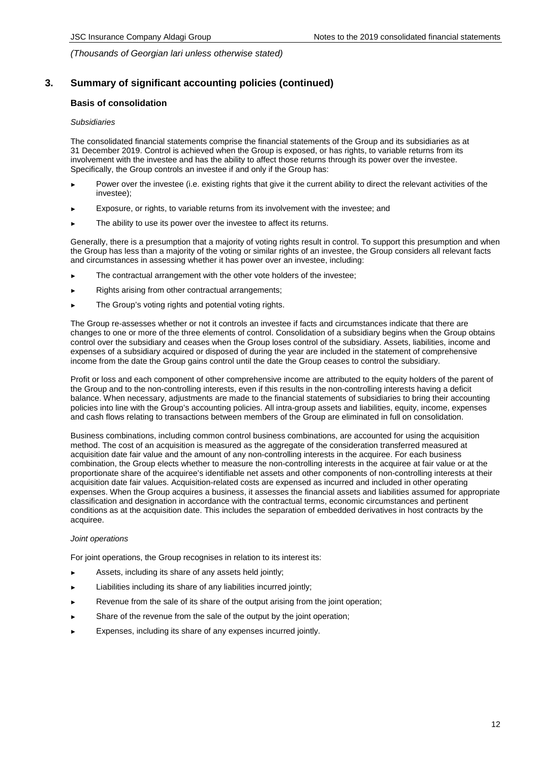# **3. Summary of significant accounting policies (continued)**

### **Basis of consolidation**

#### *Subsidiaries*

The consolidated financial statements comprise the financial statements of the Group and its subsidiaries as at 31 December 2019. Control is achieved when the Group is exposed, or has rights, to variable returns from its involvement with the investee and has the ability to affect those returns through its power over the investee. Specifically, the Group controls an investee if and only if the Group has:

- Power over the investee (i.e. existing rights that give it the current ability to direct the relevant activities of the investee);
- Exposure, or rights, to variable returns from its involvement with the investee; and
- The ability to use its power over the investee to affect its returns.

Generally, there is a presumption that a majority of voting rights result in control. To support this presumption and when the Group has less than a majority of the voting or similar rights of an investee, the Group considers all relevant facts and circumstances in assessing whether it has power over an investee, including:

- The contractual arrangement with the other vote holders of the investee;
- ► Rights arising from other contractual arrangements;
- The Group's voting rights and potential voting rights.

The Group re-assesses whether or not it controls an investee if facts and circumstances indicate that there are changes to one or more of the three elements of control. Consolidation of a subsidiary begins when the Group obtains control over the subsidiary and ceases when the Group loses control of the subsidiary. Assets, liabilities, income and expenses of a subsidiary acquired or disposed of during the year are included in the statement of comprehensive income from the date the Group gains control until the date the Group ceases to control the subsidiary.

Profit or loss and each component of other comprehensive income are attributed to the equity holders of the parent of the Group and to the non-controlling interests, even if this results in the non-controlling interests having a deficit balance. When necessary, adjustments are made to the financial statements of subsidiaries to bring their accounting policies into line with the Group's accounting policies. All intra-group assets and liabilities, equity, income, expenses and cash flows relating to transactions between members of the Group are eliminated in full on consolidation.

Business combinations, including common control business combinations, are accounted for using the acquisition method. The cost of an acquisition is measured as the aggregate of the consideration transferred measured at acquisition date fair value and the amount of any non-controlling interests in the acquiree. For each business combination, the Group elects whether to measure the non-controlling interests in the acquiree at fair value or at the proportionate share of the acquiree's identifiable net assets and other components of non-controlling interests at their acquisition date fair values. Acquisition-related costs are expensed as incurred and included in other operating expenses. When the Group acquires a business, it assesses the financial assets and liabilities assumed for appropriate classification and designation in accordance with the contractual terms, economic circumstances and pertinent conditions as at the acquisition date. This includes the separation of embedded derivatives in host contracts by the acquiree.

#### *Joint operations*

For joint operations, the Group recognises in relation to its interest its:

- Assets, including its share of any assets held jointly:
- Liabilities including its share of any liabilities incurred jointly;
- Revenue from the sale of its share of the output arising from the joint operation;
- Share of the revenue from the sale of the output by the joint operation;
- Expenses, including its share of any expenses incurred jointly.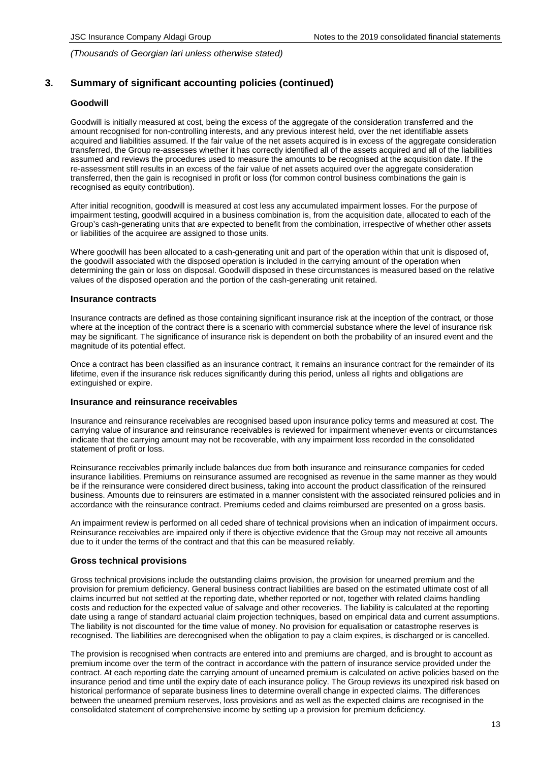# **3. Summary of significant accounting policies (continued)**

### **Goodwill**

Goodwill is initially measured at cost, being the excess of the aggregate of the consideration transferred and the amount recognised for non-controlling interests, and any previous interest held, over the net identifiable assets acquired and liabilities assumed. If the fair value of the net assets acquired is in excess of the aggregate consideration transferred, the Group re-assesses whether it has correctly identified all of the assets acquired and all of the liabilities assumed and reviews the procedures used to measure the amounts to be recognised at the acquisition date. If the re-assessment still results in an excess of the fair value of net assets acquired over the aggregate consideration transferred, then the gain is recognised in profit or loss (for common control business combinations the gain is recognised as equity contribution).

After initial recognition, goodwill is measured at cost less any accumulated impairment losses. For the purpose of impairment testing, goodwill acquired in a business combination is, from the acquisition date, allocated to each of the Group's cash-generating units that are expected to benefit from the combination, irrespective of whether other assets or liabilities of the acquiree are assigned to those units.

Where goodwill has been allocated to a cash-generating unit and part of the operation within that unit is disposed of, the goodwill associated with the disposed operation is included in the carrying amount of the operation when determining the gain or loss on disposal. Goodwill disposed in these circumstances is measured based on the relative values of the disposed operation and the portion of the cash-generating unit retained.

#### **Insurance contracts**

Insurance contracts are defined as those containing significant insurance risk at the inception of the contract, or those where at the inception of the contract there is a scenario with commercial substance where the level of insurance risk may be significant. The significance of insurance risk is dependent on both the probability of an insured event and the magnitude of its potential effect.

Once a contract has been classified as an insurance contract, it remains an insurance contract for the remainder of its lifetime, even if the insurance risk reduces significantly during this period, unless all rights and obligations are extinguished or expire.

#### **Insurance and reinsurance receivables**

Insurance and reinsurance receivables are recognised based upon insurance policy terms and measured at cost. The carrying value of insurance and reinsurance receivables is reviewed for impairment whenever events or circumstances indicate that the carrying amount may not be recoverable, with any impairment loss recorded in the consolidated statement of profit or loss.

Reinsurance receivables primarily include balances due from both insurance and reinsurance companies for ceded insurance liabilities. Premiums on reinsurance assumed are recognised as revenue in the same manner as they would be if the reinsurance were considered direct business, taking into account the product classification of the reinsured business. Amounts due to reinsurers are estimated in a manner consistent with the associated reinsured policies and in accordance with the reinsurance contract. Premiums ceded and claims reimbursed are presented on a gross basis.

An impairment review is performed on all ceded share of technical provisions when an indication of impairment occurs. Reinsurance receivables are impaired only if there is objective evidence that the Group may not receive all amounts due to it under the terms of the contract and that this can be measured reliably.

### **Gross technical provisions**

Gross technical provisions include the outstanding claims provision, the provision for unearned premium and the provision for premium deficiency. General business contract liabilities are based on the estimated ultimate cost of all claims incurred but not settled at the reporting date, whether reported or not, together with related claims handling costs and reduction for the expected value of salvage and other recoveries. The liability is calculated at the reporting date using a range of standard actuarial claim projection techniques, based on empirical data and current assumptions. The liability is not discounted for the time value of money. No provision for equalisation or catastrophe reserves is recognised. The liabilities are derecognised when the obligation to pay a claim expires, is discharged or is cancelled.

The provision is recognised when contracts are entered into and premiums are charged, and is brought to account as premium income over the term of the contract in accordance with the pattern of insurance service provided under the contract. At each reporting date the carrying amount of unearned premium is calculated on active policies based on the insurance period and time until the expiry date of each insurance policy. The Group reviews its unexpired risk based on historical performance of separate business lines to determine overall change in expected claims. The differences between the unearned premium reserves, loss provisions and as well as the expected claims are recognised in the consolidated statement of comprehensive income by setting up a provision for premium deficiency.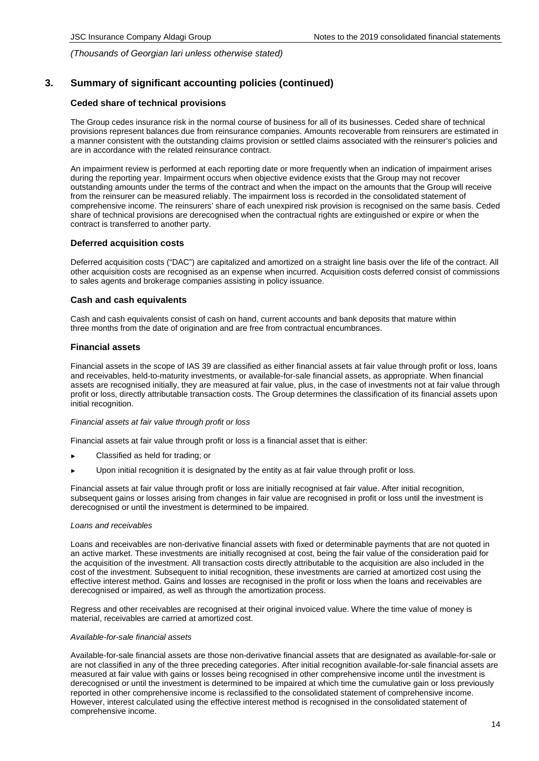# **3. Summary of significant accounting policies (continued)**

### **Ceded share of technical provisions**

The Group cedes insurance risk in the normal course of business for all of its businesses. Ceded share of technical provisions represent balances due from reinsurance companies. Amounts recoverable from reinsurers are estimated in a manner consistent with the outstanding claims provision or settled claims associated with the reinsurer's policies and are in accordance with the related reinsurance contract.

An impairment review is performed at each reporting date or more frequently when an indication of impairment arises during the reporting year. Impairment occurs when objective evidence exists that the Group may not recover outstanding amounts under the terms of the contract and when the impact on the amounts that the Group will receive from the reinsurer can be measured reliably. The impairment loss is recorded in the consolidated statement of comprehensive income. The reinsurers' share of each unexpired risk provision is recognised on the same basis. Ceded share of technical provisions are derecognised when the contractual rights are extinguished or expire or when the contract is transferred to another party.

### **Deferred acquisition costs**

Deferred acquisition costs ("DAC") are capitalized and amortized on a straight line basis over the life of the contract. All other acquisition costs are recognised as an expense when incurred. Acquisition costs deferred consist of commissions to sales agents and brokerage companies assisting in policy issuance.

### **Cash and cash equivalents**

Cash and cash equivalents consist of cash on hand, current accounts and bank deposits that mature within three months from the date of origination and are free from contractual encumbrances.

### **Financial assets**

Financial assets in the scope of IAS 39 are classified as either financial assets at fair value through profit or loss, loans and receivables, held-to-maturity investments, or available-for-sale financial assets, as appropriate. When financial assets are recognised initially, they are measured at fair value, plus, in the case of investments not at fair value through profit or loss, directly attributable transaction costs. The Group determines the classification of its financial assets upon initial recognition.

#### *Financial assets at fair value through profit or loss*

Financial assets at fair value through profit or loss is a financial asset that is either:

- Classified as held for trading; or
- ► Upon initial recognition it is designated by the entity as at fair value through profit or loss.

Financial assets at fair value through profit or loss are initially recognised at fair value. After initial recognition, subsequent gains or losses arising from changes in fair value are recognised in profit or loss until the investment is derecognised or until the investment is determined to be impaired.

#### *Loans and receivables*

Loans and receivables are non-derivative financial assets with fixed or determinable payments that are not quoted in an active market. These investments are initially recognised at cost, being the fair value of the consideration paid for the acquisition of the investment. All transaction costs directly attributable to the acquisition are also included in the cost of the investment. Subsequent to initial recognition, these investments are carried at amortized cost using the effective interest method. Gains and losses are recognised in the profit or loss when the loans and receivables are derecognised or impaired, as well as through the amortization process.

Regress and other receivables are recognised at their original invoiced value. Where the time value of money is material, receivables are carried at amortized cost.

### *Available-for-sale financial assets*

Available-for-sale financial assets are those non-derivative financial assets that are designated as available-for-sale or are not classified in any of the three preceding categories. After initial recognition available-for-sale financial assets are measured at fair value with gains or losses being recognised in other comprehensive income until the investment is derecognised or until the investment is determined to be impaired at which time the cumulative gain or loss previously reported in other comprehensive income is reclassified to the consolidated statement of comprehensive income. However, interest calculated using the effective interest method is recognised in the consolidated statement of comprehensive income.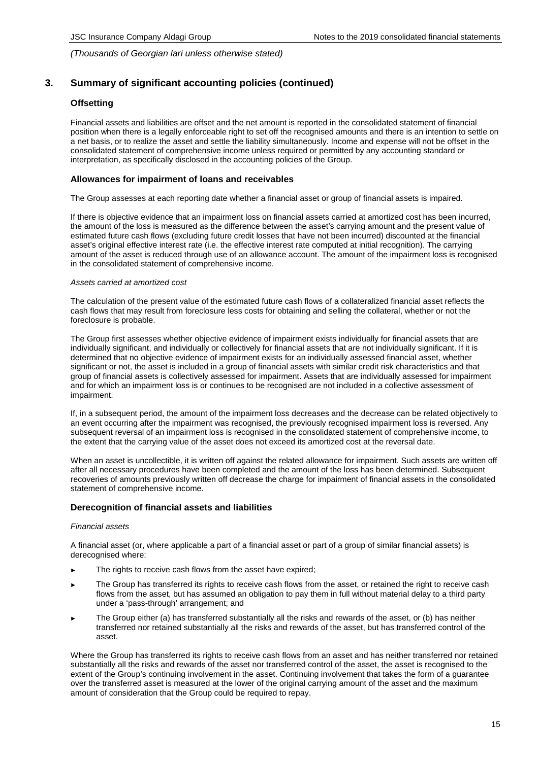# **3. Summary of significant accounting policies (continued)**

### **Offsetting**

Financial assets and liabilities are offset and the net amount is reported in the consolidated statement of financial position when there is a legally enforceable right to set off the recognised amounts and there is an intention to settle on a net basis, or to realize the asset and settle the liability simultaneously. Income and expense will not be offset in the consolidated statement of comprehensive income unless required or permitted by any accounting standard or interpretation, as specifically disclosed in the accounting policies of the Group.

### **Allowances for impairment of loans and receivables**

The Group assesses at each reporting date whether a financial asset or group of financial assets is impaired.

If there is objective evidence that an impairment loss on financial assets carried at amortized cost has been incurred, the amount of the loss is measured as the difference between the asset's carrying amount and the present value of estimated future cash flows (excluding future credit losses that have not been incurred) discounted at the financial asset's original effective interest rate (i.e. the effective interest rate computed at initial recognition). The carrying amount of the asset is reduced through use of an allowance account. The amount of the impairment loss is recognised in the consolidated statement of comprehensive income.

#### *Assets carried at amortized cost*

The calculation of the present value of the estimated future cash flows of a collateralized financial asset reflects the cash flows that may result from foreclosure less costs for obtaining and selling the collateral, whether or not the foreclosure is probable.

The Group first assesses whether objective evidence of impairment exists individually for financial assets that are individually significant, and individually or collectively for financial assets that are not individually significant. If it is determined that no objective evidence of impairment exists for an individually assessed financial asset, whether significant or not, the asset is included in a group of financial assets with similar credit risk characteristics and that group of financial assets is collectively assessed for impairment. Assets that are individually assessed for impairment and for which an impairment loss is or continues to be recognised are not included in a collective assessment of impairment.

If, in a subsequent period, the amount of the impairment loss decreases and the decrease can be related objectively to an event occurring after the impairment was recognised, the previously recognised impairment loss is reversed. Any subsequent reversal of an impairment loss is recognised in the consolidated statement of comprehensive income, to the extent that the carrying value of the asset does not exceed its amortized cost at the reversal date.

When an asset is uncollectible, it is written off against the related allowance for impairment. Such assets are written off after all necessary procedures have been completed and the amount of the loss has been determined. Subsequent recoveries of amounts previously written off decrease the charge for impairment of financial assets in the consolidated statement of comprehensive income.

### **Derecognition of financial assets and liabilities**

#### *Financial assets*

A financial asset (or, where applicable a part of a financial asset or part of a group of similar financial assets) is derecognised where:

- The rights to receive cash flows from the asset have expired;
- The Group has transferred its rights to receive cash flows from the asset, or retained the right to receive cash flows from the asset, but has assumed an obligation to pay them in full without material delay to a third party under a 'pass-through' arrangement; and
- The Group either (a) has transferred substantially all the risks and rewards of the asset, or (b) has neither transferred nor retained substantially all the risks and rewards of the asset, but has transferred control of the asset.

Where the Group has transferred its rights to receive cash flows from an asset and has neither transferred nor retained substantially all the risks and rewards of the asset nor transferred control of the asset, the asset is recognised to the extent of the Group's continuing involvement in the asset. Continuing involvement that takes the form of a guarantee over the transferred asset is measured at the lower of the original carrying amount of the asset and the maximum amount of consideration that the Group could be required to repay.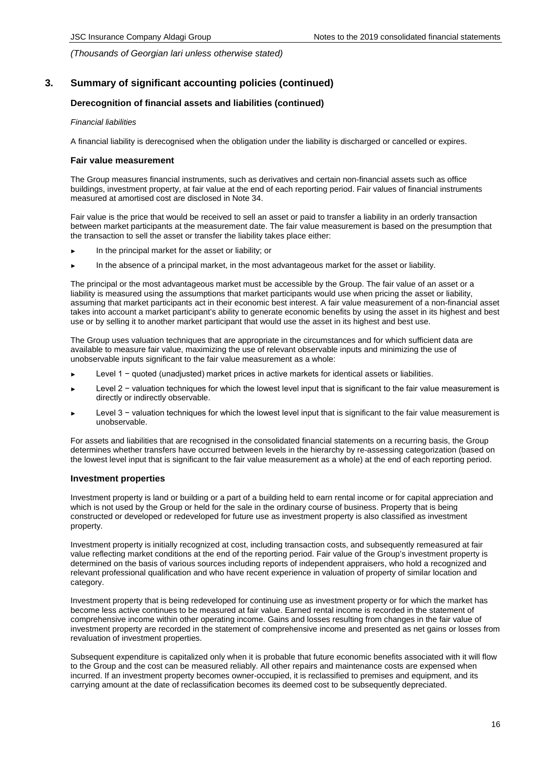# **3. Summary of significant accounting policies (continued)**

### **Derecognition of financial assets and liabilities (continued)**

#### *Financial liabilities*

A financial liability is derecognised when the obligation under the liability is discharged or cancelled or expires.

#### **Fair value measurement**

The Group measures financial instruments, such as derivatives and certain non-financial assets such as office buildings, investment property, at fair value at the end of each reporting period. Fair values of financial instruments measured at amortised cost are disclosed in Note 34.

Fair value is the price that would be received to sell an asset or paid to transfer a liability in an orderly transaction between market participants at the measurement date. The fair value measurement is based on the presumption that the transaction to sell the asset or transfer the liability takes place either:

- In the principal market for the asset or liability; or
- In the absence of a principal market, in the most advantageous market for the asset or liability.

The principal or the most advantageous market must be accessible by the Group. The fair value of an asset or a liability is measured using the assumptions that market participants would use when pricing the asset or liability, assuming that market participants act in their economic best interest. A fair value measurement of a non-financial asset takes into account a market participant's ability to generate economic benefits by using the asset in its highest and best use or by selling it to another market participant that would use the asset in its highest and best use.

The Group uses valuation techniques that are appropriate in the circumstances and for which sufficient data are available to measure fair value, maximizing the use of relevant observable inputs and minimizing the use of unobservable inputs significant to the fair value measurement as a whole:

- Level 1 − quoted (unadjusted) market prices in active markets for identical assets or liabilities.
- Level 2 − valuation techniques for which the lowest level input that is significant to the fair value measurement is directly or indirectly observable.
- Level 3 valuation techniques for which the lowest level input that is significant to the fair value measurement is unobservable.

For assets and liabilities that are recognised in the consolidated financial statements on a recurring basis, the Group determines whether transfers have occurred between levels in the hierarchy by re-assessing categorization (based on the lowest level input that is significant to the fair value measurement as a whole) at the end of each reporting period.

### **Investment properties**

Investment property is land or building or a part of a building held to earn rental income or for capital appreciation and which is not used by the Group or held for the sale in the ordinary course of business. Property that is being constructed or developed or redeveloped for future use as investment property is also classified as investment property.

Investment property is initially recognized at cost, including transaction costs, and subsequently remeasured at fair value reflecting market conditions at the end of the reporting period. Fair value of the Group's investment property is determined on the basis of various sources including reports of independent appraisers, who hold a recognized and relevant professional qualification and who have recent experience in valuation of property of similar location and category.

Investment property that is being redeveloped for continuing use as investment property or for which the market has become less active continues to be measured at fair value. Earned rental income is recorded in the statement of comprehensive income within other operating income. Gains and losses resulting from changes in the fair value of investment property are recorded in the statement of comprehensive income and presented as net gains or losses from revaluation of investment properties.

Subsequent expenditure is capitalized only when it is probable that future economic benefits associated with it will flow to the Group and the cost can be measured reliably. All other repairs and maintenance costs are expensed when incurred. If an investment property becomes owner-occupied, it is reclassified to premises and equipment, and its carrying amount at the date of reclassification becomes its deemed cost to be subsequently depreciated.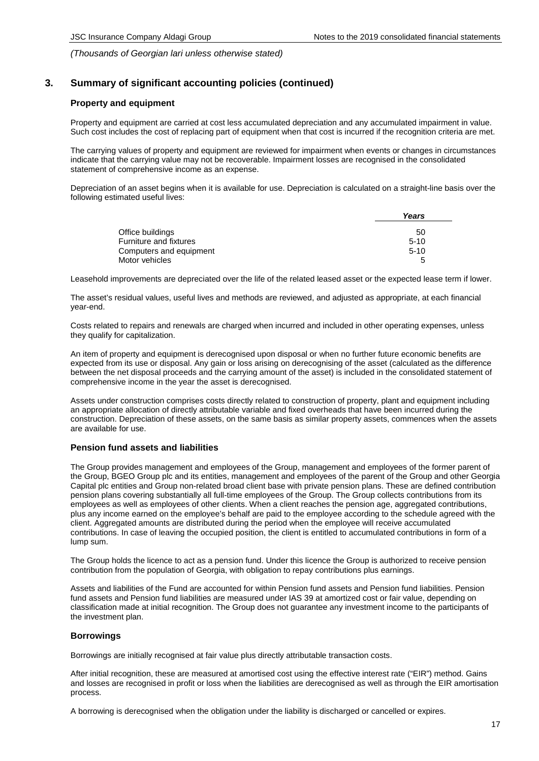# **3. Summary of significant accounting policies (continued)**

### **Property and equipment**

Property and equipment are carried at cost less accumulated depreciation and any accumulated impairment in value. Such cost includes the cost of replacing part of equipment when that cost is incurred if the recognition criteria are met.

The carrying values of property and equipment are reviewed for impairment when events or changes in circumstances indicate that the carrying value may not be recoverable. Impairment losses are recognised in the consolidated statement of comprehensive income as an expense.

Depreciation of an asset begins when it is available for use. Depreciation is calculated on a straight-line basis over the following estimated useful lives:

|                         | Years  |
|-------------------------|--------|
| Office buildings        | 50     |
| Furniture and fixtures  | $5-10$ |
| Computers and equipment | $5-10$ |
| Motor vehicles          | -5     |

Leasehold improvements are depreciated over the life of the related leased asset or the expected lease term if lower.

The asset's residual values, useful lives and methods are reviewed, and adjusted as appropriate, at each financial year-end.

Costs related to repairs and renewals are charged when incurred and included in other operating expenses, unless they qualify for capitalization.

An item of property and equipment is derecognised upon disposal or when no further future economic benefits are expected from its use or disposal. Any gain or loss arising on derecognising of the asset (calculated as the difference between the net disposal proceeds and the carrying amount of the asset) is included in the consolidated statement of comprehensive income in the year the asset is derecognised.

Assets under construction comprises costs directly related to construction of property, plant and equipment including an appropriate allocation of directly attributable variable and fixed overheads that have been incurred during the construction. Depreciation of these assets, on the same basis as similar property assets, commences when the assets are available for use.

#### **Pension fund assets and liabilities**

The Group provides management and employees of the Group, management and employees of the former parent of the Group, BGEO Group plc and its entities, management and employees of the parent of the Group and other Georgia Capital plc entities and Group non-related broad client base with private pension plans. These are defined contribution pension plans covering substantially all full-time employees of the Group. The Group collects contributions from its employees as well as employees of other clients. When a client reaches the pension age, aggregated contributions, plus any income earned on the employee's behalf are paid to the employee according to the schedule agreed with the client. Aggregated amounts are distributed during the period when the employee will receive accumulated contributions. In case of leaving the occupied position, the client is entitled to accumulated contributions in form of a lump sum.

The Group holds the licence to act as a pension fund. Under this licence the Group is authorized to receive pension contribution from the population of Georgia, with obligation to repay contributions plus earnings.

Assets and liabilities of the Fund are accounted for within Pension fund assets and Pension fund liabilities. Pension fund assets and Pension fund liabilities are measured under IAS 39 at amortized cost or fair value, depending on classification made at initial recognition. The Group does not guarantee any investment income to the participants of the investment plan.

#### **Borrowings**

Borrowings are initially recognised at fair value plus directly attributable transaction costs.

After initial recognition, these are measured at amortised cost using the effective interest rate ("EIR") method. Gains and losses are recognised in profit or loss when the liabilities are derecognised as well as through the EIR amortisation process.

A borrowing is derecognised when the obligation under the liability is discharged or cancelled or expires.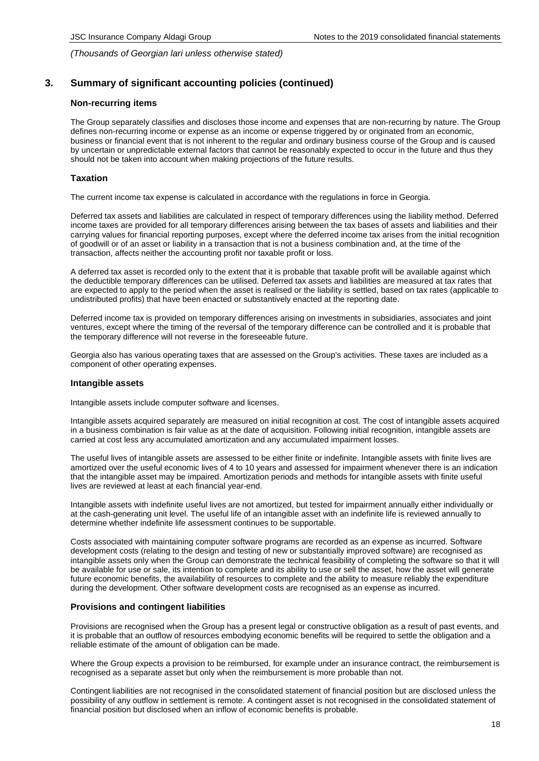# **3. Summary of significant accounting policies (continued)**

### **Non-recurring items**

The Group separately classifies and discloses those income and expenses that are non-recurring by nature. The Group defines non-recurring income or expense as an income or expense triggered by or originated from an economic, business or financial event that is not inherent to the regular and ordinary business course of the Group and is caused by uncertain or unpredictable external factors that cannot be reasonably expected to occur in the future and thus they should not be taken into account when making projections of the future results.

### **Taxation**

The current income tax expense is calculated in accordance with the regulations in force in Georgia.

Deferred tax assets and liabilities are calculated in respect of temporary differences using the liability method. Deferred income taxes are provided for all temporary differences arising between the tax bases of assets and liabilities and their carrying values for financial reporting purposes, except where the deferred income tax arises from the initial recognition of goodwill or of an asset or liability in a transaction that is not a business combination and, at the time of the transaction, affects neither the accounting profit nor taxable profit or loss.

A deferred tax asset is recorded only to the extent that it is probable that taxable profit will be available against which the deductible temporary differences can be utilised. Deferred tax assets and liabilities are measured at tax rates that are expected to apply to the period when the asset is realised or the liability is settled, based on tax rates (applicable to undistributed profits) that have been enacted or substantively enacted at the reporting date.

Deferred income tax is provided on temporary differences arising on investments in subsidiaries, associates and joint ventures, except where the timing of the reversal of the temporary difference can be controlled and it is probable that the temporary difference will not reverse in the foreseeable future.

Georgia also has various operating taxes that are assessed on the Group's activities. These taxes are included as a component of other operating expenses.

#### **Intangible assets**

Intangible assets include computer software and licenses.

Intangible assets acquired separately are measured on initial recognition at cost. The cost of intangible assets acquired in a business combination is fair value as at the date of acquisition. Following initial recognition, intangible assets are carried at cost less any accumulated amortization and any accumulated impairment losses.

The useful lives of intangible assets are assessed to be either finite or indefinite. Intangible assets with finite lives are amortized over the useful economic lives of 4 to 10 years and assessed for impairment whenever there is an indication that the intangible asset may be impaired. Amortization periods and methods for intangible assets with finite useful lives are reviewed at least at each financial year-end.

Intangible assets with indefinite useful lives are not amortized, but tested for impairment annually either individually or at the cash-generating unit level. The useful life of an intangible asset with an indefinite life is reviewed annually to determine whether indefinite life assessment continues to be supportable.

Costs associated with maintaining computer software programs are recorded as an expense as incurred. Software development costs (relating to the design and testing of new or substantially improved software) are recognised as intangible assets only when the Group can demonstrate the technical feasibility of completing the software so that it will be available for use or sale, its intention to complete and its ability to use or sell the asset, how the asset will generate future economic benefits, the availability of resources to complete and the ability to measure reliably the expenditure during the development. Other software development costs are recognised as an expense as incurred.

### **Provisions and contingent liabilities**

Provisions are recognised when the Group has a present legal or constructive obligation as a result of past events, and it is probable that an outflow of resources embodying economic benefits will be required to settle the obligation and a reliable estimate of the amount of obligation can be made.

Where the Group expects a provision to be reimbursed, for example under an insurance contract, the reimbursement is recognised as a separate asset but only when the reimbursement is more probable than not.

Contingent liabilities are not recognised in the consolidated statement of financial position but are disclosed unless the possibility of any outflow in settlement is remote. A contingent asset is not recognised in the consolidated statement of financial position but disclosed when an inflow of economic benefits is probable.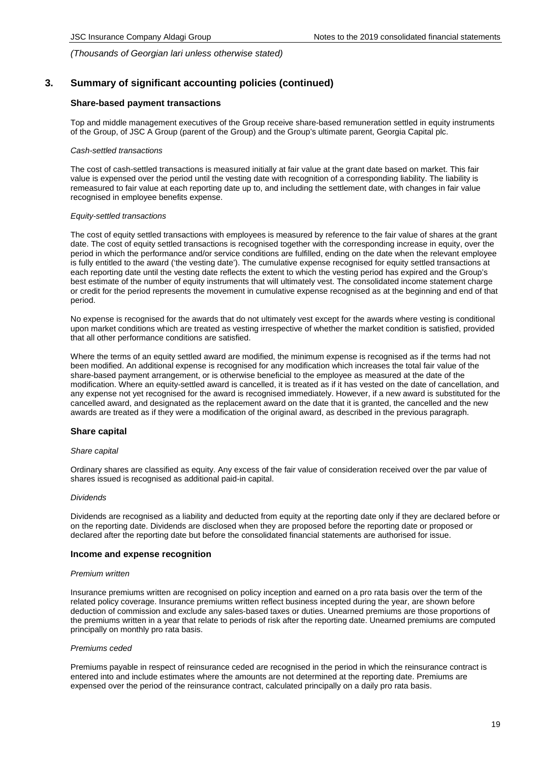# **3. Summary of significant accounting policies (continued)**

### **Share-based payment transactions**

Top and middle management executives of the Group receive share-based remuneration settled in equity instruments of the Group, of JSC A Group (parent of the Group) and the Group's ultimate parent, Georgia Capital plc.

#### *Cash-settled transactions*

The cost of cash-settled transactions is measured initially at fair value at the grant date based on market. This fair value is expensed over the period until the vesting date with recognition of a corresponding liability. The liability is remeasured to fair value at each reporting date up to, and including the settlement date, with changes in fair value recognised in employee benefits expense.

#### *Equity-settled transactions*

The cost of equity settled transactions with employees is measured by reference to the fair value of shares at the grant date. The cost of equity settled transactions is recognised together with the corresponding increase in equity, over the period in which the performance and/or service conditions are fulfilled, ending on the date when the relevant employee is fully entitled to the award ('the vesting date'). The cumulative expense recognised for equity settled transactions at each reporting date until the vesting date reflects the extent to which the vesting period has expired and the Group's best estimate of the number of equity instruments that will ultimately vest. The consolidated income statement charge or credit for the period represents the movement in cumulative expense recognised as at the beginning and end of that period.

No expense is recognised for the awards that do not ultimately vest except for the awards where vesting is conditional upon market conditions which are treated as vesting irrespective of whether the market condition is satisfied, provided that all other performance conditions are satisfied.

Where the terms of an equity settled award are modified, the minimum expense is recognised as if the terms had not been modified. An additional expense is recognised for any modification which increases the total fair value of the share-based payment arrangement, or is otherwise beneficial to the employee as measured at the date of the modification. Where an equity-settled award is cancelled, it is treated as if it has vested on the date of cancellation, and any expense not yet recognised for the award is recognised immediately. However, if a new award is substituted for the cancelled award, and designated as the replacement award on the date that it is granted, the cancelled and the new awards are treated as if they were a modification of the original award, as described in the previous paragraph.

#### **Share capital**

#### *Share capital*

Ordinary shares are classified as equity. Any excess of the fair value of consideration received over the par value of shares issued is recognised as additional paid-in capital.

#### *Dividends*

Dividends are recognised as a liability and deducted from equity at the reporting date only if they are declared before or on the reporting date. Dividends are disclosed when they are proposed before the reporting date or proposed or declared after the reporting date but before the consolidated financial statements are authorised for issue.

#### **Income and expense recognition**

#### *Premium written*

Insurance premiums written are recognised on policy inception and earned on a pro rata basis over the term of the related policy coverage. Insurance premiums written reflect business incepted during the year, are shown before deduction of commission and exclude any sales-based taxes or duties. Unearned premiums are those proportions of the premiums written in a year that relate to periods of risk after the reporting date. Unearned premiums are computed principally on monthly pro rata basis.

#### *Premiums ceded*

Premiums payable in respect of reinsurance ceded are recognised in the period in which the reinsurance contract is entered into and include estimates where the amounts are not determined at the reporting date. Premiums are expensed over the period of the reinsurance contract, calculated principally on a daily pro rata basis.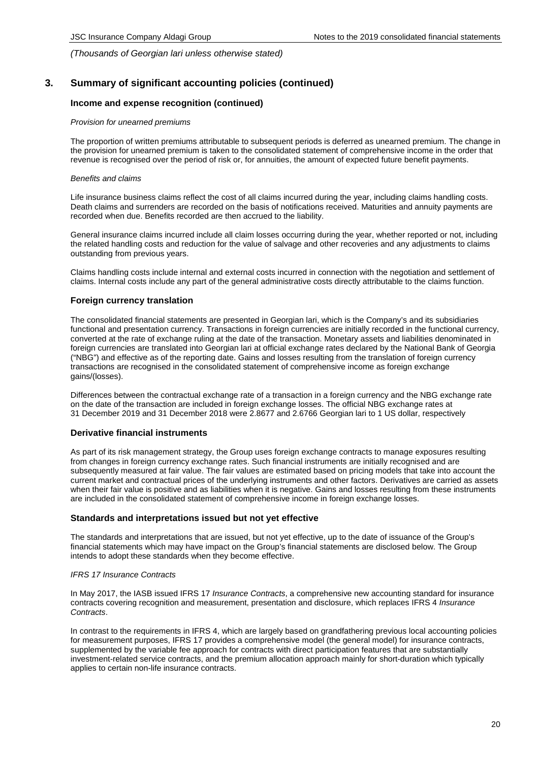# **3. Summary of significant accounting policies (continued)**

### **Income and expense recognition (continued)**

#### *Provision for unearned premiums*

The proportion of written premiums attributable to subsequent periods is deferred as unearned premium. The change in the provision for unearned premium is taken to the consolidated statement of comprehensive income in the order that revenue is recognised over the period of risk or, for annuities, the amount of expected future benefit payments.

#### *Benefits and claims*

Life insurance business claims reflect the cost of all claims incurred during the year, including claims handling costs. Death claims and surrenders are recorded on the basis of notifications received. Maturities and annuity payments are recorded when due. Benefits recorded are then accrued to the liability.

General insurance claims incurred include all claim losses occurring during the year, whether reported or not, including the related handling costs and reduction for the value of salvage and other recoveries and any adjustments to claims outstanding from previous years.

Claims handling costs include internal and external costs incurred in connection with the negotiation and settlement of claims. Internal costs include any part of the general administrative costs directly attributable to the claims function.

### **Foreign currency translation**

The consolidated financial statements are presented in Georgian lari, which is the Company's and its subsidiaries functional and presentation currency. Transactions in foreign currencies are initially recorded in the functional currency, converted at the rate of exchange ruling at the date of the transaction. Monetary assets and liabilities denominated in foreign currencies are translated into Georgian lari at official exchange rates declared by the National Bank of Georgia ("NBG") and effective as of the reporting date. Gains and losses resulting from the translation of foreign currency transactions are recognised in the consolidated statement of comprehensive income as foreign exchange gains/(losses).

Differences between the contractual exchange rate of a transaction in a foreign currency and the NBG exchange rate on the date of the transaction are included in foreign exchange losses. The official NBG exchange rates at 31 December 2019 and 31 December 2018 were 2.8677 and 2.6766 Georgian lari to 1 US dollar, respectively

#### **Derivative financial instruments**

As part of its risk management strategy, the Group uses foreign exchange contracts to manage exposures resulting from changes in foreign currency exchange rates. Such financial instruments are initially recognised and are subsequently measured at fair value. The fair values are estimated based on pricing models that take into account the current market and contractual prices of the underlying instruments and other factors. Derivatives are carried as assets when their fair value is positive and as liabilities when it is negative. Gains and losses resulting from these instruments are included in the consolidated statement of comprehensive income in foreign exchange losses.

#### **Standards and interpretations issued but not yet effective**

The standards and interpretations that are issued, but not yet effective, up to the date of issuance of the Group's financial statements which may have impact on the Group's financial statements are disclosed below. The Group intends to adopt these standards when they become effective.

#### *IFRS 17 Insurance Contracts*

In May 2017, the IASB issued IFRS 17 *Insurance Contracts*, a comprehensive new accounting standard for insurance contracts covering recognition and measurement, presentation and disclosure, which replaces IFRS 4 *Insurance Contracts*.

In contrast to the requirements in IFRS 4, which are largely based on grandfathering previous local accounting policies for measurement purposes, IFRS 17 provides a comprehensive model (the general model) for insurance contracts, supplemented by the variable fee approach for contracts with direct participation features that are substantially investment-related service contracts, and the premium allocation approach mainly for short-duration which typically applies to certain non-life insurance contracts.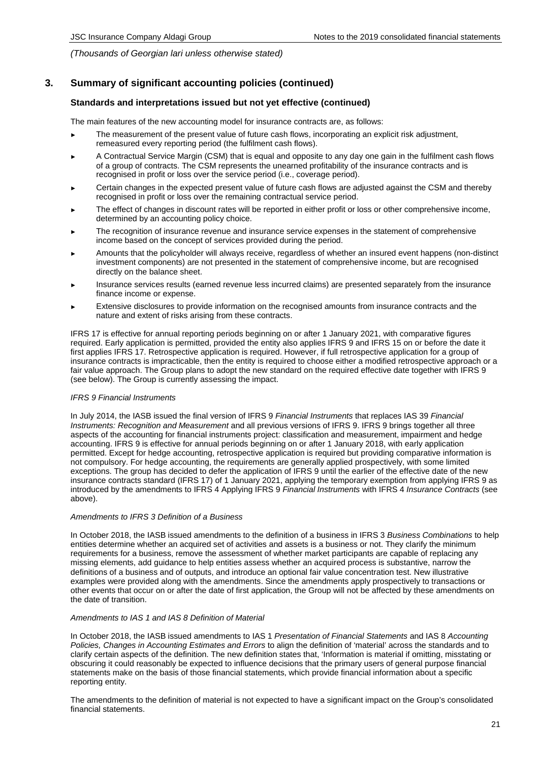# **3. Summary of significant accounting policies (continued)**

### **Standards and interpretations issued but not yet effective (continued)**

The main features of the new accounting model for insurance contracts are, as follows:

- The measurement of the present value of future cash flows, incorporating an explicit risk adjustment, remeasured every reporting period (the fulfilment cash flows).
- A Contractual Service Margin (CSM) that is equal and opposite to any day one gain in the fulfilment cash flows of a group of contracts. The CSM represents the unearned profitability of the insurance contracts and is recognised in profit or loss over the service period (i.e., coverage period).
- Certain changes in the expected present value of future cash flows are adjusted against the CSM and thereby recognised in profit or loss over the remaining contractual service period.
- The effect of changes in discount rates will be reported in either profit or loss or other comprehensive income, determined by an accounting policy choice.
- The recognition of insurance revenue and insurance service expenses in the statement of comprehensive income based on the concept of services provided during the period.
- ► Amounts that the policyholder will always receive, regardless of whether an insured event happens (non-distinct investment components) are not presented in the statement of comprehensive income, but are recognised directly on the balance sheet.
- Insurance services results (earned revenue less incurred claims) are presented separately from the insurance finance income or expense.
- Extensive disclosures to provide information on the recognised amounts from insurance contracts and the nature and extent of risks arising from these contracts.

IFRS 17 is effective for annual reporting periods beginning on or after 1 January 2021, with comparative figures required. Early application is permitted, provided the entity also applies IFRS 9 and IFRS 15 on or before the date it first applies IFRS 17. Retrospective application is required. However, if full retrospective application for a group of insurance contracts is impracticable, then the entity is required to choose either a modified retrospective approach or a fair value approach. The Group plans to adopt the new standard on the required effective date together with IFRS 9 (see below). The Group is currently assessing the impact.

#### *IFRS 9 Financial Instruments*

In July 2014, the IASB issued the final version of IFRS 9 *Financial Instruments* that replaces IAS 39 *Financial Instruments: Recognition and Measurement* and all previous versions of IFRS 9. IFRS 9 brings together all three aspects of the accounting for financial instruments project: classification and measurement, impairment and hedge accounting. IFRS 9 is effective for annual periods beginning on or after 1 January 2018, with early application permitted. Except for hedge accounting, retrospective application is required but providing comparative information is not compulsory. For hedge accounting, the requirements are generally applied prospectively, with some limited exceptions. The group has decided to defer the application of IFRS 9 until the earlier of the effective date of the new insurance contracts standard (IFRS 17) of 1 January 2021, applying the temporary exemption from applying IFRS 9 as introduced by the amendments to IFRS 4 Applying IFRS 9 *Financial Instruments* with IFRS 4 *Insurance Contracts* (see above).

#### *Amendments to IFRS 3 Definition of a Business*

In October 2018, the IASB issued amendments to the definition of a business in IFRS 3 *Business Combinations* to help entities determine whether an acquired set of activities and assets is a business or not. They clarify the minimum requirements for a business, remove the assessment of whether market participants are capable of replacing any missing elements, add guidance to help entities assess whether an acquired process is substantive, narrow the definitions of a business and of outputs, and introduce an optional fair value concentration test. New illustrative examples were provided along with the amendments. Since the amendments apply prospectively to transactions or other events that occur on or after the date of first application, the Group will not be affected by these amendments on the date of transition.

#### *Amendments to IAS 1 and IAS 8 Definition of Material*

In October 2018, the IASB issued amendments to IAS 1 *Presentation of Financial Statements* and IAS 8 *Accounting Policies, Changes in Accounting Estimates and Errors* to align the definition of 'material' across the standards and to clarify certain aspects of the definition. The new definition states that, 'Information is material if omitting, misstating or obscuring it could reasonably be expected to influence decisions that the primary users of general purpose financial statements make on the basis of those financial statements, which provide financial information about a specific reporting entity.

The amendments to the definition of material is not expected to have a significant impact on the Group's consolidated financial statements.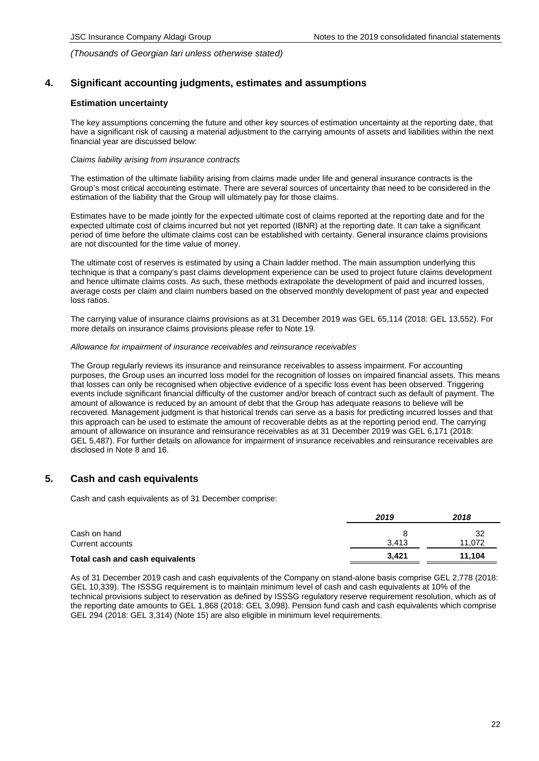## **4. Significant accounting judgments, estimates and assumptions**

### <span id="page-23-0"></span>**Estimation uncertainty**

The key assumptions concerning the future and other key sources of estimation uncertainty at the reporting date, that have a significant risk of causing a material adjustment to the carrying amounts of assets and liabilities within the next financial year are discussed below:

#### *Claims liability arising from insurance contracts*

The estimation of the ultimate liability arising from claims made under life and general insurance contracts is the Group's most critical accounting estimate. There are several sources of uncertainty that need to be considered in the estimation of the liability that the Group will ultimately pay for those claims.

Estimates have to be made jointly for the expected ultimate cost of claims reported at the reporting date and for the expected ultimate cost of claims incurred but not yet reported (IBNR) at the reporting date. It can take a significant period of time before the ultimate claims cost can be established with certainty. General insurance claims provisions are not discounted for the time value of money.

The ultimate cost of reserves is estimated by using a Chain ladder method. The main assumption underlying this technique is that a company's past claims development experience can be used to project future claims development and hence ultimate claims costs. As such, these methods extrapolate the development of paid and incurred losses, average costs per claim and claim numbers based on the observed monthly development of past year and expected loss ratios.

The carrying value of insurance claims provisions as at 31 December 2019 was GEL 65,114 (2018: GEL 13,552). For more details on insurance claims provisions please refer to Note 19.

#### *Allowance for impairment of insurance receivables and reinsurance receivables*

The Group regularly reviews its insurance and reinsurance receivables to assess impairment. For accounting purposes, the Group uses an incurred loss model for the recognition of losses on impaired financial assets. This means that losses can only be recognised when objective evidence of a specific loss event has been observed. Triggering events include significant financial difficulty of the customer and/or breach of contract such as default of payment. The amount of allowance is reduced by an amount of debt that the Group has adequate reasons to believe will be recovered. Management judgment is that historical trends can serve as a basis for predicting incurred losses and that this approach can be used to estimate the amount of recoverable debts as at the reporting period end. The carrying amount of allowance on insurance and reinsurance receivables as at 31 December 2019 was GEL 6,171 (2018: GEL 5,487). For further details on allowance for impairment of insurance receivables and reinsurance receivables are disclosed in Note 8 and 16.

### **5. Cash and cash equivalents**

<span id="page-23-1"></span>Cash and cash equivalents as of 31 December comprise:

|                                 | 2019  | 2018   |
|---------------------------------|-------|--------|
| Cash on hand                    |       | 32     |
| Current accounts                | 3.413 | 11.072 |
| Total cash and cash equivalents | 3.421 | 11.104 |

As of 31 December 2019 cash and cash equivalents of the Company on stand-alone basis comprise GEL 2,778 (2018: GEL 10,339). The ISSSG requirement is to maintain minimum level of cash and cash equivalents at 10% of the technical provisions subject to reservation as defined by ISSSG regulatory reserve requirement resolution, which as of the reporting date amounts to GEL 1,868 (2018: GEL 3,098). Pension fund cash and cash equivalents which comprise GEL 294 (2018: GEL 3,314) (Note 15) are also eligible in minimum level requirements.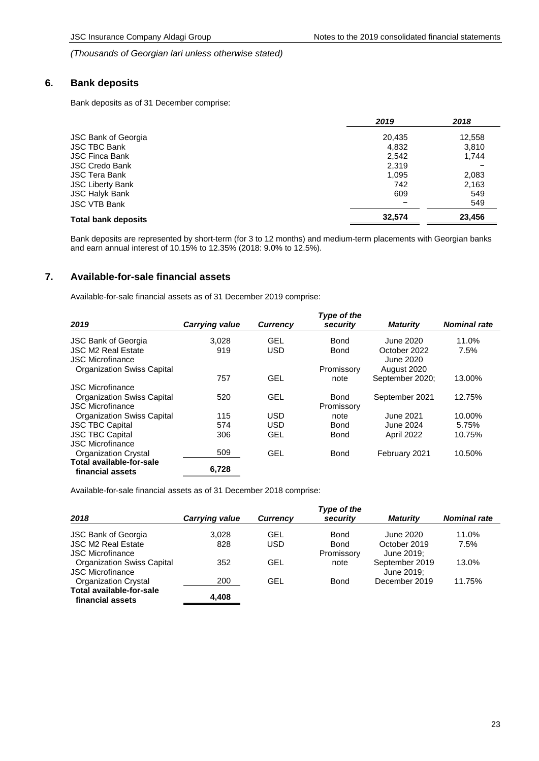## **6. Bank deposits**

<span id="page-24-0"></span>Bank deposits as of 31 December comprise:

|                            | 2019   | 2018   |
|----------------------------|--------|--------|
| <b>JSC Bank of Georgia</b> | 20,435 | 12,558 |
| <b>JSC TBC Bank</b>        | 4,832  | 3,810  |
| <b>JSC Finca Bank</b>      | 2,542  | 1,744  |
| <b>JSC Credo Bank</b>      | 2,319  |        |
| <b>JSC Tera Bank</b>       | 1,095  | 2,083  |
| <b>JSC Liberty Bank</b>    | 742    | 2,163  |
| <b>JSC Halyk Bank</b>      | 609    | 549    |
| <b>JSC VTB Bank</b>        |        | 549    |
| <b>Total bank deposits</b> | 32.574 | 23.456 |

Bank deposits are represented by short-term (for 3 to 12 months) and medium-term placements with Georgian banks and earn annual interest of 10.15% to 12.35% (2018: 9.0% to 12.5%).

### **7. Available-for-sale financial assets**

<span id="page-24-1"></span>Available-for-sale financial assets as of 31 December 2019 comprise:

|                                   |                       |                 | Type of the |                 |                     |
|-----------------------------------|-----------------------|-----------------|-------------|-----------------|---------------------|
| 2019                              | <b>Carrying value</b> | <b>Currency</b> | security    | <b>Maturity</b> | <b>Nominal rate</b> |
| <b>JSC Bank of Georgia</b>        | 3,028                 | GEL             | <b>Bond</b> | June 2020       | 11.0%               |
| <b>JSC M2 Real Estate</b>         | 919                   | USD             | <b>Bond</b> | October 2022    | 7.5%                |
| <b>JSC Microfinance</b>           |                       |                 |             | June 2020       |                     |
| <b>Organization Swiss Capital</b> |                       |                 | Promissory  | August 2020     |                     |
|                                   | 757                   | GEL             | note        | September 2020; | 13.00%              |
| JSC Microfinance                  |                       |                 |             |                 |                     |
| <b>Organization Swiss Capital</b> | 520                   | GEL             | Bond        | September 2021  | 12.75%              |
| <b>JSC Microfinance</b>           |                       |                 | Promissory  |                 |                     |
| <b>Organization Swiss Capital</b> | 115                   | USD             | note        | June 2021       | 10.00%              |
| <b>JSC TBC Capital</b>            | 574                   | <b>USD</b>      | <b>Bond</b> | June 2024       | 5.75%               |
| <b>JSC TBC Capital</b>            | 306                   | <b>GEL</b>      | <b>Bond</b> | April 2022      | 10.75%              |
| <b>JSC Microfinance</b>           |                       |                 |             |                 |                     |
| <b>Organization Crystal</b>       | 509                   | <b>GEL</b>      | <b>Bond</b> | February 2021   | 10.50%              |
| <b>Total available-for-sale</b>   |                       |                 |             |                 |                     |
| financial assets                  | 6,728                 |                 |             |                 |                     |

Available-for-sale financial assets as of 31 December 2018 comprise:

| 2018                                                | <b>Carrying value</b> | <b>Currency</b> | Type of the<br>security | <b>Maturity</b> | <b>Nominal rate</b> |
|-----------------------------------------------------|-----------------------|-----------------|-------------------------|-----------------|---------------------|
| <b>JSC Bank of Georgia</b>                          | 3.028                 | GEL             | <b>Bond</b>             | June 2020       | 11.0%               |
| <b>JSC M2 Real Estate</b>                           | 828                   | <b>USD</b>      | <b>Bond</b>             | October 2019    | 7.5%                |
| <b>JSC Microfinance</b>                             |                       |                 | Promissory              | June 2019:      |                     |
| <b>Organization Swiss Capital</b>                   | 352                   | <b>GEL</b>      | note                    | September 2019  | 13.0%               |
| <b>JSC Microfinance</b>                             |                       |                 |                         | June 2019:      |                     |
| <b>Organization Crystal</b>                         | 200                   | GEL             | <b>Bond</b>             | December 2019   | 11.75%              |
| <b>Total available-for-sale</b><br>financial assets | 4,408                 |                 |                         |                 |                     |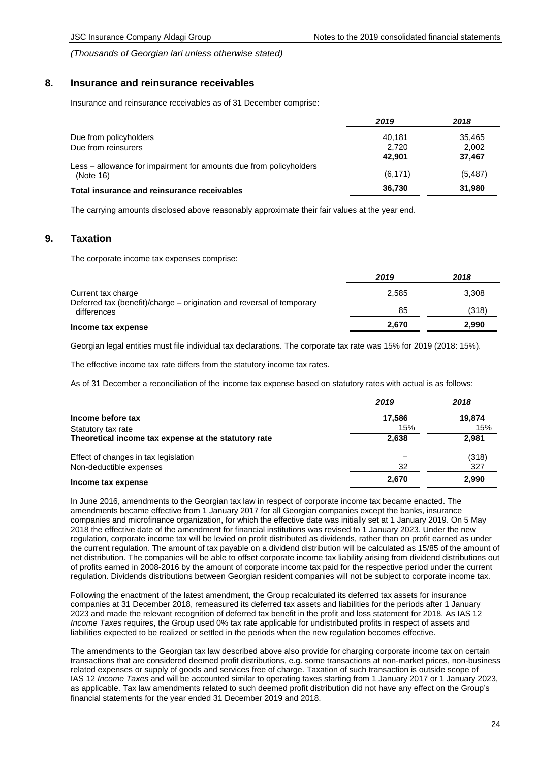### **8. Insurance and reinsurance receivables**

<span id="page-25-0"></span>Insurance and reinsurance receivables as of 31 December comprise:

|                                                                                 | 2019     | 2018     |
|---------------------------------------------------------------------------------|----------|----------|
| Due from policyholders                                                          | 40.181   | 35.465   |
| Due from reinsurers                                                             | 2,720    | 2,002    |
|                                                                                 | 42.901   | 37.467   |
| Less – allowance for impairment for amounts due from policyholders<br>(Note 16) | (6, 171) | (5, 487) |
| Total insurance and reinsurance receivables                                     | 36.730   | 31.980   |

The carrying amounts disclosed above reasonably approximate their fair values at the year end.

### **9. Taxation**

<span id="page-25-1"></span>The corporate income tax expenses comprise:

|                                                                                      | 2019  | 2018  |
|--------------------------------------------------------------------------------------|-------|-------|
| Current tax charge                                                                   | 2.585 | 3.308 |
| Deferred tax (benefit)/charge – origination and reversal of temporary<br>differences | 85    | (318) |
| Income tax expense                                                                   | 2.670 | 2.990 |

Georgian legal entities must file individual tax declarations. The corporate tax rate was 15% for 2019 (2018: 15%).

The effective income tax rate differs from the statutory income tax rates.

As of 31 December a reconciliation of the income tax expense based on statutory rates with actual is as follows:

|                                                      | 2019   | 2018   |
|------------------------------------------------------|--------|--------|
| Income before tax                                    | 17,586 | 19,874 |
| Statutory tax rate                                   | 15%    | 15%    |
| Theoretical income tax expense at the statutory rate | 2.638  | 2,981  |
| Effect of changes in tax legislation                 |        | (318)  |
| Non-deductible expenses                              | 32     | 327    |
| Income tax expense                                   | 2,670  | 2,990  |

In June 2016, amendments to the Georgian tax law in respect of corporate income tax became enacted. The amendments became effective from 1 January 2017 for all Georgian companies except the banks, insurance companies and microfinance organization, for which the effective date was initially set at 1 January 2019. On 5 May 2018 the effective date of the amendment for financial institutions was revised to 1 January 2023. Under the new regulation, corporate income tax will be levied on profit distributed as dividends, rather than on profit earned as under the current regulation. The amount of tax payable on a dividend distribution will be calculated as 15/85 of the amount of net distribution. The companies will be able to offset corporate income tax liability arising from dividend distributions out of profits earned in 2008-2016 by the amount of corporate income tax paid for the respective period under the current regulation. Dividends distributions between Georgian resident companies will not be subject to corporate income tax.

Following the enactment of the latest amendment, the Group recalculated its deferred tax assets for insurance companies at 31 December 2018, remeasured its deferred tax assets and liabilities for the periods after 1 January 2023 and made the relevant recognition of deferred tax benefit in the profit and loss statement for 2018. As IAS 12 *Income Taxes* requires, the Group used 0% tax rate applicable for undistributed profits in respect of assets and liabilities expected to be realized or settled in the periods when the new regulation becomes effective.

The amendments to the Georgian tax law described above also provide for charging corporate income tax on certain transactions that are considered deemed profit distributions, e.g. some transactions at non-market prices, non-business related expenses or supply of goods and services free of charge. Taxation of such transaction is outside scope of IAS 12 *Income Taxes* and will be accounted similar to operating taxes starting from 1 January 2017 or 1 January 2023, as applicable. Tax law amendments related to such deemed profit distribution did not have any effect on the Group's financial statements for the year ended 31 December 2019 and 2018.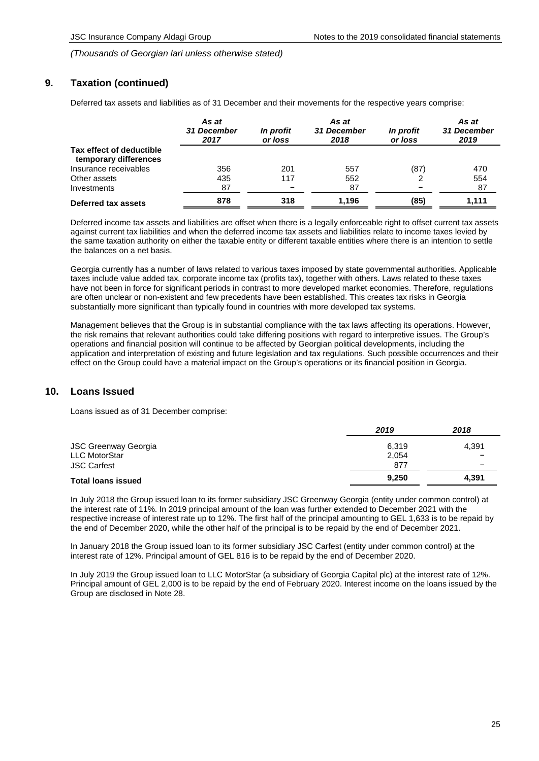# **9. Taxation (continued)**

Deferred tax assets and liabilities as of 31 December and their movements for the respective years comprise:

|                                                   | As at<br>31 December<br>2017 | <i>In profit</i><br>or loss | As at<br>31 December<br>2018 | <i>In profit</i><br>or loss | As at<br>31 December<br>2019 |
|---------------------------------------------------|------------------------------|-----------------------------|------------------------------|-----------------------------|------------------------------|
| Tax effect of deductible<br>temporary differences |                              |                             |                              |                             |                              |
| Insurance receivables                             | 356                          | 201                         | 557                          | (87)                        | 470                          |
| Other assets                                      | 435                          | 117                         | 552                          |                             | 554                          |
| Investments                                       | 87                           |                             | 87                           |                             | 87                           |
| Deferred tax assets                               | 878                          | 318                         | 1.196                        | (85)                        | 1,111                        |

Deferred income tax assets and liabilities are offset when there is a legally enforceable right to offset current tax assets against current tax liabilities and when the deferred income tax assets and liabilities relate to income taxes levied by the same taxation authority on either the taxable entity or different taxable entities where there is an intention to settle the balances on a net basis.

Georgia currently has a number of laws related to various taxes imposed by state governmental authorities. Applicable taxes include value added tax, corporate income tax (profits tax), together with others. Laws related to these taxes have not been in force for significant periods in contrast to more developed market economies. Therefore, regulations are often unclear or non-existent and few precedents have been established. This creates tax risks in Georgia substantially more significant than typically found in countries with more developed tax systems.

Management believes that the Group is in substantial compliance with the tax laws affecting its operations. However, the risk remains that relevant authorities could take differing positions with regard to interpretive issues. The Group's operations and financial position will continue to be affected by Georgian political developments, including the application and interpretation of existing and future legislation and tax regulations. Such possible occurrences and their effect on the Group could have a material impact on the Group's operations or its financial position in Georgia.

# **10. Loans Issued**

<span id="page-26-0"></span>Loans issued as of 31 December comprise:

|                             | 2019  | 2018  |
|-----------------------------|-------|-------|
| <b>JSC Greenway Georgia</b> | 6,319 | 4.391 |
| <b>LLC MotorStar</b>        | 2,054 |       |
| <b>JSC Carfest</b>          | 877   |       |
| <b>Total loans issued</b>   | 9.250 | 4.391 |

In July 2018 the Group issued loan to its former subsidiary JSC Greenway Georgia (entity under common control) at the interest rate of 11%. In 2019 principal amount of the loan was further extended to December 2021 with the respective increase of interest rate up to 12%. The first half of the principal amounting to GEL 1,633 is to be repaid by the end of December 2020, while the other half of the principal is to be repaid by the end of December 2021.

In January 2018 the Group issued loan to its former subsidiary JSC Carfest (entity under common control) at the interest rate of 12%. Principal amount of GEL 816 is to be repaid by the end of December 2020.

In July 2019 the Group issued loan to LLC MotorStar (a subsidiary of Georgia Capital plc) at the interest rate of 12%. Principal amount of GEL 2,000 is to be repaid by the end of February 2020. Interest income on the loans issued by the Group are disclosed in Note 28.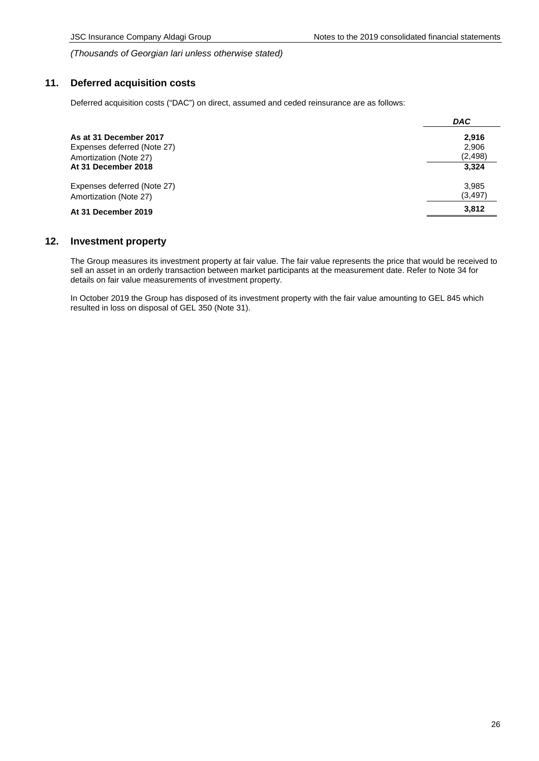### **11. Deferred acquisition costs**

<span id="page-27-0"></span>Deferred acquisition costs ("DAC") on direct, assumed and ceded reinsurance are as follows:

|                             | <b>DAC</b> |
|-----------------------------|------------|
| As at 31 December 2017      | 2,916      |
| Expenses deferred (Note 27) | 2.906      |
| Amortization (Note 27)      | (2, 498)   |
| At 31 December 2018         | 3,324      |
| Expenses deferred (Note 27) | 3.985      |
| Amortization (Note 27)      | (3, 497)   |
| At 31 December 2019         | 3.812      |

### **12. Investment property**

<span id="page-27-1"></span>The Group measures its investment property at fair value. The fair value represents the price that would be received to sell an asset in an orderly transaction between market participants at the measurement date. Refer to Note 34 for details on fair value measurements of investment property.

In October 2019 the Group has disposed of its investment property with the fair value amounting to GEL 845 which resulted in loss on disposal of GEL 350 (Note 31).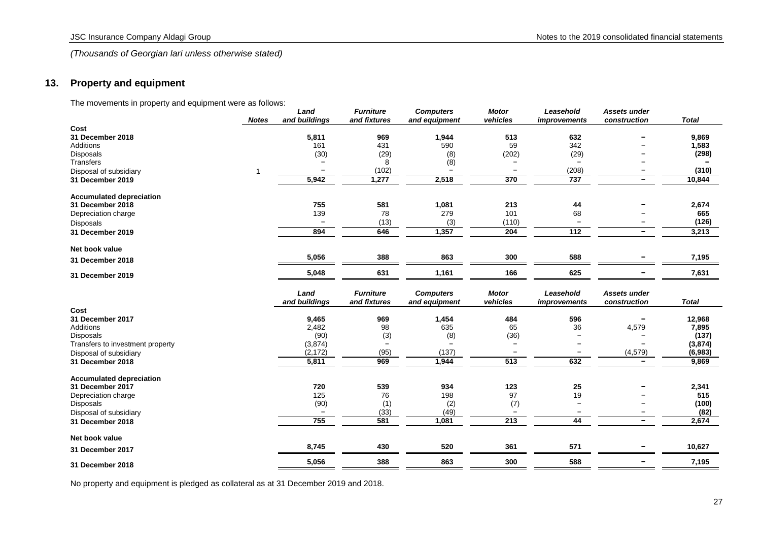# **13. Property and equipment**

The movements in property and equipment were as follows:

|                                  | <b>Notes</b> | Land<br>and buildings | <b>Furniture</b><br>and fixtures | <b>Computers</b><br>and equipment | Motor<br>vehicles        | Leasehold<br><i>improvements</i> | <b>Assets under</b><br>construction | <b>Total</b> |
|----------------------------------|--------------|-----------------------|----------------------------------|-----------------------------------|--------------------------|----------------------------------|-------------------------------------|--------------|
| Cost                             |              |                       |                                  |                                   |                          |                                  |                                     |              |
| 31 December 2018                 |              | 5,811                 | 969                              | 1,944                             | 513                      | 632                              |                                     | 9,869        |
| <b>Additions</b>                 |              | 161                   | 431                              | 590                               | 59                       | 342                              |                                     | 1,583        |
| <b>Disposals</b>                 |              | (30)                  | (29)                             | (8)                               | (202)                    | (29)                             |                                     | (298)        |
| <b>Transfers</b>                 |              |                       | 8                                | (8)                               |                          |                                  |                                     |              |
| Disposal of subsidiary           |              |                       | (102)                            |                                   | $\overline{\phantom{0}}$ | (208)                            | $\overline{\phantom{0}}$            | (310)        |
| 31 December 2019                 |              | 5,942                 | 1,277                            | 2,518                             | 370                      | 737                              | $\overline{\phantom{a}}$            | 10,844       |
| <b>Accumulated depreciation</b>  |              |                       |                                  |                                   |                          |                                  |                                     |              |
| 31 December 2018                 |              | 755                   | 581                              | 1,081                             | 213                      | 44                               |                                     | 2,674        |
| Depreciation charge              |              | 139                   | 78                               | 279                               | 101                      | 68                               |                                     | 665          |
| <b>Disposals</b>                 |              |                       | (13)                             | (3)                               | (110)                    |                                  |                                     | (126)        |
| 31 December 2019                 |              | 894                   | 646                              | 1,357                             | 204                      | 112                              | $\overline{\phantom{a}}$            | 3,213        |
| Net book value                   |              |                       |                                  |                                   |                          |                                  |                                     |              |
| 31 December 2018                 |              | 5,056                 | 388                              | 863                               | 300                      | 588                              |                                     | 7,195        |
| 31 December 2019                 |              | 5,048                 | 631                              | 1,161                             | 166                      | 625                              |                                     | 7,631        |
|                                  |              |                       |                                  |                                   | <b>Motor</b>             | Leasehold                        | <b>Assets under</b>                 |              |
|                                  |              | Land                  | <b>Furniture</b>                 | <b>Computers</b>                  |                          |                                  |                                     |              |
| Cost                             |              | and buildings         | and fixtures                     | and equipment                     | vehicles                 | improvements                     | construction                        | <b>Total</b> |
| 31 December 2017                 |              | 9,465                 | 969                              | 1,454                             | 484                      | 596                              |                                     | 12,968       |
| <b>Additions</b>                 |              | 2,482                 | 98                               | 635                               | 65                       | 36                               | 4,579                               | 7,895        |
| <b>Disposals</b>                 |              | (90)                  | (3)                              | (8)                               | (36)                     |                                  |                                     | (137)        |
| Transfers to investment property |              | (3,874)               | $\overline{\phantom{a}}$         |                                   | $\overline{\phantom{0}}$ |                                  |                                     | (3, 874)     |
| Disposal of subsidiary           |              | (2, 172)              | (95)                             | (137)                             | $\overline{\phantom{m}}$ |                                  | (4, 579)                            | (6,983)      |
| 31 December 2018                 |              | 5,811                 | 969                              | 1,944                             | 513                      | 632                              | $\overline{\phantom{m}}$            | 9,869        |
| <b>Accumulated depreciation</b>  |              |                       |                                  |                                   |                          |                                  |                                     |              |
| 31 December 2017                 |              | 720                   | 539                              | 934                               | 123                      | 25                               |                                     | 2,341        |
| Depreciation charge              |              | 125                   | 76                               | 198                               | 97                       | 19                               |                                     | 515          |
| <b>Disposals</b>                 |              | (90)                  | (1)                              | (2)                               | (7)                      |                                  |                                     | (100)        |
| Disposal of subsidiary           |              |                       | (33)                             | (49)                              |                          |                                  | $\overline{\phantom{0}}$            | (82)         |
| 31 December 2018                 |              | 755                   | 581                              | 1,081                             | 213                      | 44                               | $\blacksquare$                      | 2,674        |
| Net book value                   |              |                       |                                  |                                   |                          |                                  |                                     |              |
| 31 December 2017                 |              | 8,745                 | 430                              | 520                               | 361                      | 571                              |                                     | 10,627       |

<span id="page-28-0"></span>No property and equipment is pledged as collateral as at 31 December 2019 and 2018.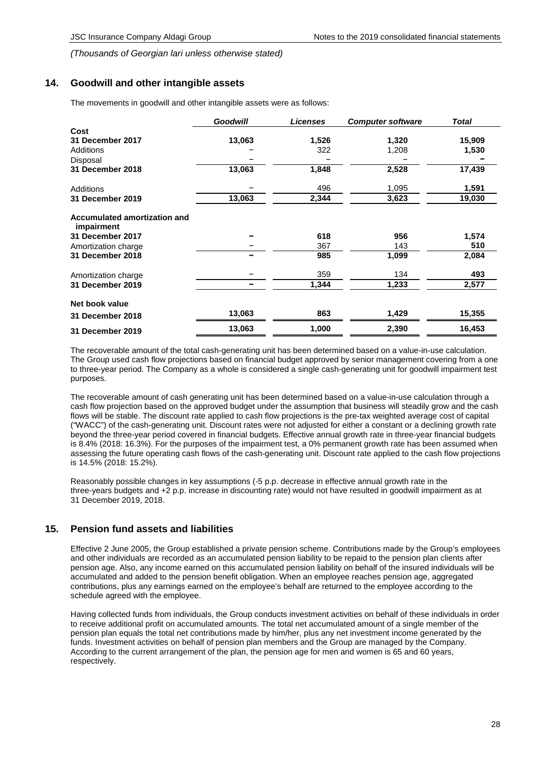# **14. Goodwill and other intangible assets**

<span id="page-29-0"></span>The movements in goodwill and other intangible assets were as follows:

|                                            | <b>Goodwill</b> | <b>Licenses</b> | <b>Computer software</b> | <b>Total</b> |
|--------------------------------------------|-----------------|-----------------|--------------------------|--------------|
| Cost                                       |                 |                 |                          |              |
| 31 December 2017                           | 13,063          | 1,526           | 1,320                    | 15,909       |
| Additions                                  |                 | 322             | 1,208                    | 1,530        |
| Disposal                                   |                 |                 |                          |              |
| 31 December 2018                           | 13,063          | 1,848           | 2,528                    | 17,439       |
| Additions                                  |                 | 496             | 1,095                    | 1,591        |
| 31 December 2019                           | 13,063          | 2,344           | 3,623                    | 19,030       |
| Accumulated amortization and<br>impairment |                 |                 |                          |              |
| 31 December 2017                           |                 | 618             | 956                      | 1,574        |
| Amortization charge                        |                 | 367             | 143                      | 510          |
| 31 December 2018                           |                 | 985             | 1,099                    | 2,084        |
| Amortization charge                        |                 | 359             | 134                      | 493          |
| 31 December 2019                           |                 | 1,344           | 1,233                    | 2,577        |
| Net book value                             |                 |                 |                          |              |
| 31 December 2018                           | 13,063          | 863             | 1,429                    | 15,355       |
| 31 December 2019                           | 13,063          | 1,000           | 2,390                    | 16,453       |

The recoverable amount of the total cash-generating unit has been determined based on a value-in-use calculation. The Group used cash flow projections based on financial budget approved by senior management covering from a one to three-year period. The Company as a whole is considered a single cash-generating unit for goodwill impairment test purposes.

The recoverable amount of cash generating unit has been determined based on a value-in-use calculation through a cash flow projection based on the approved budget under the assumption that business will steadily grow and the cash flows will be stable. The discount rate applied to cash flow projections is the pre-tax weighted average cost of capital ("WACC") of the cash-generating unit. Discount rates were not adjusted for either a constant or a declining growth rate beyond the three-year period covered in financial budgets. Effective annual growth rate in three-year financial budgets is 8.4% (2018: 16.3%). For the purposes of the impairment test, a 0% permanent growth rate has been assumed when assessing the future operating cash flows of the cash-generating unit. Discount rate applied to the cash flow projections is 14.5% (2018: 15.2%).

Reasonably possible changes in key assumptions (-5 p.p. decrease in effective annual growth rate in the three-years budgets and +2 p.p. increase in discounting rate) would not have resulted in goodwill impairment as at 31 December 2019, 2018.

### **15. Pension fund assets and liabilities**

<span id="page-29-1"></span>Effective 2 June 2005, the Group established a private pension scheme. Contributions made by the Group's employees and other individuals are recorded as an accumulated pension liability to be repaid to the pension plan clients after pension age. Also, any income earned on this accumulated pension liability on behalf of the insured individuals will be accumulated and added to the pension benefit obligation. When an employee reaches pension age, aggregated contributions, plus any earnings earned on the employee's behalf are returned to the employee according to the schedule agreed with the employee.

Having collected funds from individuals, the Group conducts investment activities on behalf of these individuals in order to receive additional profit on accumulated amounts. The total net accumulated amount of a single member of the pension plan equals the total net contributions made by him/her, plus any net investment income generated by the funds. Investment activities on behalf of pension plan members and the Group are managed by the Company. According to the current arrangement of the plan, the pension age for men and women is 65 and 60 years, respectively.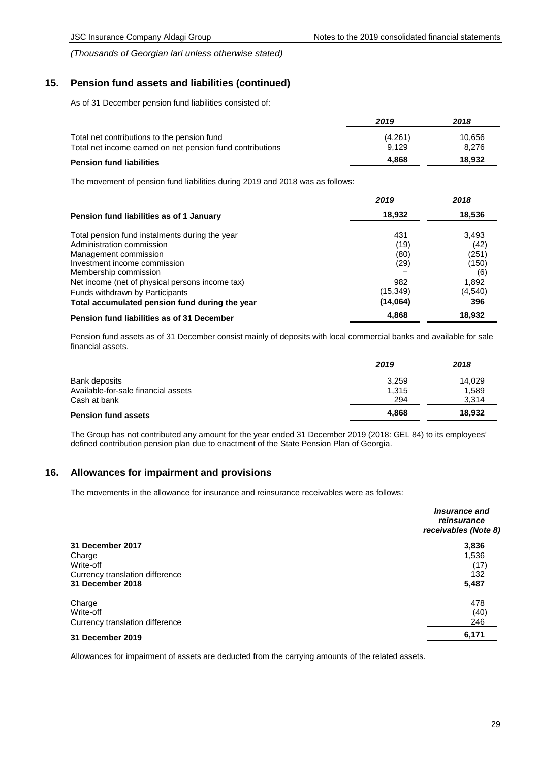# **15. Pension fund assets and liabilities (continued)**

As of 31 December pension fund liabilities consisted of:

|                                                                                                          | 2019             | 2018            |
|----------------------------------------------------------------------------------------------------------|------------------|-----------------|
| Total net contributions to the pension fund<br>Total net income earned on net pension fund contributions | (4,261)<br>9.129 | 10.656<br>8,276 |
| <b>Pension fund liabilities</b>                                                                          | 4.868            | 18.932          |

The movement of pension fund liabilities during 2019 and 2018 was as follows:

|                                                 | 2019     | 2018    |
|-------------------------------------------------|----------|---------|
| Pension fund liabilities as of 1 January        | 18,932   | 18,536  |
| Total pension fund instalments during the year  | 431      | 3,493   |
| Administration commission                       | (19)     | (42)    |
| Management commission                           | (80)     | (251)   |
| Investment income commission                    | (29)     | (150)   |
| Membership commission                           |          | (6)     |
| Net income (net of physical persons income tax) | 982      | 1,892   |
| Funds withdrawn by Participants                 | (15,349) | (4,540) |
| Total accumulated pension fund during the year  | (14.064) | 396     |
| Pension fund liabilities as of 31 December      | 4,868    | 18,932  |

Pension fund assets as of 31 December consist mainly of deposits with local commercial banks and available for sale financial assets.

|                                     | 2019  | 2018   |  |
|-------------------------------------|-------|--------|--|
| Bank deposits                       | 3.259 | 14.029 |  |
| Available-for-sale financial assets | 1.315 | 1.589  |  |
| Cash at bank                        | 294   | 3,314  |  |
| <b>Pension fund assets</b>          | 4.868 | 18.932 |  |

The Group has not contributed any amount for the year ended 31 December 2019 (2018: GEL 84) to its employees' defined contribution pension plan due to enactment of the State Pension Plan of Georgia.

## **16. Allowances for impairment and provisions**

<span id="page-30-0"></span>The movements in the allowance for insurance and reinsurance receivables were as follows:

|                                 | Insurance and<br>reinsurance<br>receivables (Note 8) |
|---------------------------------|------------------------------------------------------|
| 31 December 2017                | 3,836                                                |
| Charge                          | 1,536                                                |
| Write-off                       | (17)                                                 |
| Currency translation difference | 132                                                  |
| 31 December 2018                | 5,487                                                |
| Charge                          | 478                                                  |
| Write-off                       | (40)                                                 |
| Currency translation difference | 246                                                  |
| 31 December 2019                | 6,171                                                |

Allowances for impairment of assets are deducted from the carrying amounts of the related assets.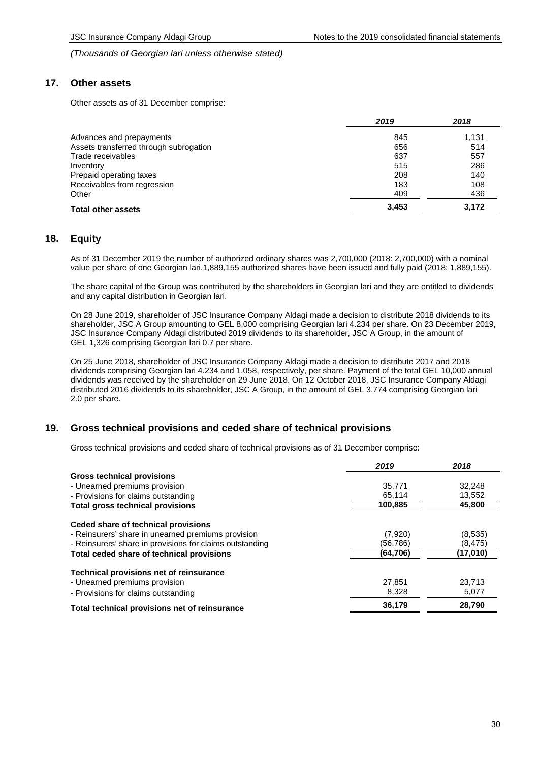### **17. Other assets**

<span id="page-31-0"></span>Other assets as of 31 December comprise:

|                                        | 2019  | 2018  |
|----------------------------------------|-------|-------|
| Advances and prepayments               | 845   | 1,131 |
| Assets transferred through subrogation | 656   | 514   |
| Trade receivables                      | 637   | 557   |
| Inventory                              | 515   | 286   |
| Prepaid operating taxes                | 208   | 140   |
| Receivables from regression            | 183   | 108   |
| Other                                  | 409   | 436   |
| <b>Total other assets</b>              | 3.453 | 3.172 |

### **18. Equity**

<span id="page-31-1"></span>As of 31 December 2019 the number of authorized ordinary shares was 2,700,000 (2018: 2,700,000) with a nominal value per share of one Georgian lari.1,889,155 authorized shares have been issued and fully paid (2018: 1,889,155).

The share capital of the Group was contributed by the shareholders in Georgian lari and they are entitled to dividends and any capital distribution in Georgian lari.

On 28 June 2019, shareholder of JSC Insurance Company Aldagi made a decision to distribute 2018 dividends to its shareholder, JSC A Group amounting to GEL 8,000 comprising Georgian lari 4.234 per share. On 23 December 2019, JSC Insurance Company Aldagi distributed 2019 dividends to its shareholder, JSC A Group, in the amount of GEL 1,326 comprising Georgian lari 0.7 per share.

On 25 June 2018, shareholder of JSC Insurance Company Aldagi made a decision to distribute 2017 and 2018 dividends comprising Georgian lari 4.234 and 1.058, respectively, per share. Payment of the total GEL 10,000 annual dividends was received by the shareholder on 29 June 2018. On 12 October 2018, JSC Insurance Company Aldagi distributed 2016 dividends to its shareholder, JSC A Group, in the amount of GEL 3,774 comprising Georgian lari 2.0 per share.

### **19. Gross technical provisions and ceded share of technical provisions**

<span id="page-31-2"></span>Gross technical provisions and ceded share of technical provisions as of 31 December comprise:

|                                                          | 2019      | 2018     |
|----------------------------------------------------------|-----------|----------|
| <b>Gross technical provisions</b>                        |           |          |
| - Unearned premiums provision                            | 35,771    | 32,248   |
| - Provisions for claims outstanding                      | 65.114    | 13,552   |
| <b>Total gross technical provisions</b>                  | 100,885   | 45,800   |
| Ceded share of technical provisions                      |           |          |
| - Reinsurers' share in unearned premiums provision       | (7,920)   | (8,535)  |
| - Reinsurers' share in provisions for claims outstanding | (56, 786) | (8, 475) |
| Total ceded share of technical provisions                | (64, 706) | (17,010) |
| <b>Technical provisions net of reinsurance</b>           |           |          |
| - Unearned premiums provision                            | 27.851    | 23.713   |
| - Provisions for claims outstanding                      | 8,328     | 5,077    |
| Total technical provisions net of reinsurance            | 36,179    | 28,790   |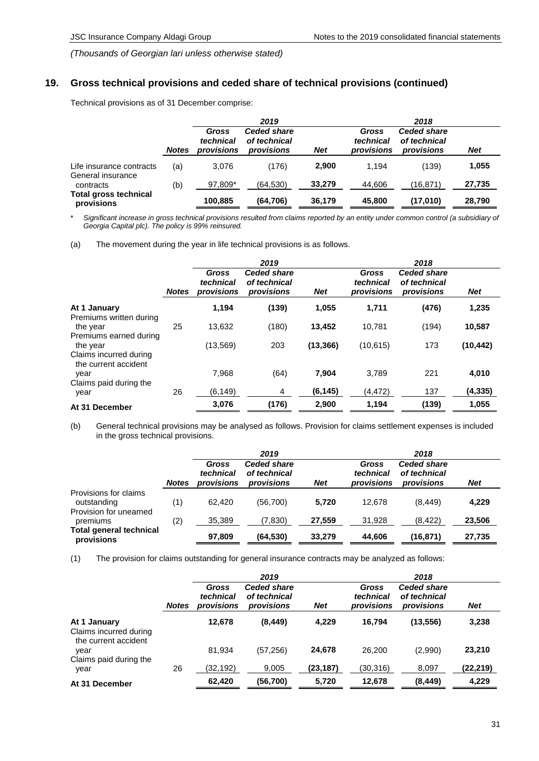# **19. Gross technical provisions and ceded share of technical provisions (continued)**

Technical provisions as of 31 December comprise:

|                                               |              |                                  | 2019                                             |            |                                  | 2018                                             |            |  |  |  |
|-----------------------------------------------|--------------|----------------------------------|--------------------------------------------------|------------|----------------------------------|--------------------------------------------------|------------|--|--|--|
|                                               | <b>Notes</b> | Gross<br>technical<br>provisions | <b>Ceded share</b><br>of technical<br>provisions | <b>Net</b> | Gross<br>technical<br>provisions | <b>Ceded share</b><br>of technical<br>provisions | <b>Net</b> |  |  |  |
| Life insurance contracts<br>General insurance | (a)          | 3.076                            | (176)                                            | 2,900      | 1.194                            | (139)                                            | 1,055      |  |  |  |
| contracts                                     | (b)          | 97,809*                          | (64, 530)                                        | 33,279     | 44,606                           | (16.871)                                         | 27,735     |  |  |  |
| <b>Total gross technical</b><br>provisions    |              | 100,885                          | (64,706)                                         | 36,179     | 45,800                           | (17,010)                                         | 28,790     |  |  |  |

\* *Significant increase in gross technical provisions resulted from claims reported by an entity under common control (a subsidiary of Georgia Capital plc). The policy is 99% reinsured.*

(a) The movement during the year in life technical provisions is as follows.

|                                                |              |                                  | 2019                                             |            |                                         | 2018                                             |            |
|------------------------------------------------|--------------|----------------------------------|--------------------------------------------------|------------|-----------------------------------------|--------------------------------------------------|------------|
|                                                | <b>Notes</b> | Gross<br>technical<br>provisions | <b>Ceded share</b><br>of technical<br>provisions | <b>Net</b> | <b>Gross</b><br>technical<br>provisions | <b>Ceded share</b><br>of technical<br>provisions | <b>Net</b> |
| At 1 January                                   |              | 1,194                            | (139)                                            | 1,055      | 1,711                                   | (476)                                            | 1,235      |
| Premiums written during                        |              |                                  |                                                  |            |                                         |                                                  |            |
| the year                                       | 25           | 13,632                           | (180)                                            | 13,452     | 10.781                                  | (194)                                            | 10,587     |
| Premiums earned during                         |              |                                  |                                                  |            |                                         |                                                  |            |
| the year                                       |              | (13, 569)                        | 203                                              | (13, 366)  | (10, 615)                               | 173                                              | (10, 442)  |
| Claims incurred during<br>the current accident |              |                                  |                                                  |            |                                         |                                                  |            |
| year                                           |              | 7.968                            | (64)                                             | 7,904      | 3.789                                   | 221                                              | 4,010      |
| Claims paid during the                         |              |                                  |                                                  |            |                                         |                                                  |            |
| year                                           | 26           | (6, 149)                         | 4                                                | (6, 145)   | (4,472)                                 | 137                                              | (4, 335)   |
| At 31 December                                 |              | 3,076                            | (176)                                            | 2,900      | 1,194                                   | (139)                                            | 1,055      |

(b) General technical provisions may be analysed as follows. Provision for claims settlement expenses is included in the gross technical provisions.

|                                              |              |                                  | 2019                                             |            |                                  | 2018                                             |            |  |  |  |
|----------------------------------------------|--------------|----------------------------------|--------------------------------------------------|------------|----------------------------------|--------------------------------------------------|------------|--|--|--|
|                                              | <b>Notes</b> | Gross<br>technical<br>provisions | <b>Ceded share</b><br>of technical<br>provisions | <b>Net</b> | Gross<br>technical<br>provisions | <b>Ceded share</b><br>of technical<br>provisions | <b>Net</b> |  |  |  |
| Provisions for claims<br>outstanding         | (1)          | 62.420                           | (56,700)                                         | 5.720      | 12.678                           | (8, 449)                                         | 4,229      |  |  |  |
| Provision for unearned<br>premiums           | (2)          | 35,389                           | (7,830)                                          | 27,559     | 31.928                           | (8, 422)                                         | 23,506     |  |  |  |
| <b>Total general technical</b><br>provisions |              | 97,809                           | (64, 530)                                        | 33,279     | 44.606                           | (16, 871)                                        | 27,735     |  |  |  |

(1) The provision for claims outstanding for general insurance contracts may be analyzed as follows:

|                                                                |              |                                  | 2019                                             |            |                                  | 2018                                             |            |
|----------------------------------------------------------------|--------------|----------------------------------|--------------------------------------------------|------------|----------------------------------|--------------------------------------------------|------------|
|                                                                | <b>Notes</b> | Gross<br>technical<br>provisions | <b>Ceded share</b><br>of technical<br>provisions | <b>Net</b> | Gross<br>technical<br>provisions | <b>Ceded share</b><br>of technical<br>provisions | <b>Net</b> |
| At 1 January<br>Claims incurred during<br>the current accident |              | 12.678                           | (8, 449)                                         | 4.229      | 16.794                           | (13, 556)                                        | 3,238      |
| year<br>Claims paid during the                                 |              | 81,934                           | (57,256)                                         | 24.678     | 26,200                           | (2,990)                                          | 23,210     |
| year                                                           | 26           | (32,192)                         | 9,005                                            | (23,187)   | (30,316)                         | 8,097                                            | (22,219)   |
| At 31 December                                                 |              | 62,420                           | (56,700)                                         | 5,720      | 12,678                           | (8, 449)                                         | 4,229      |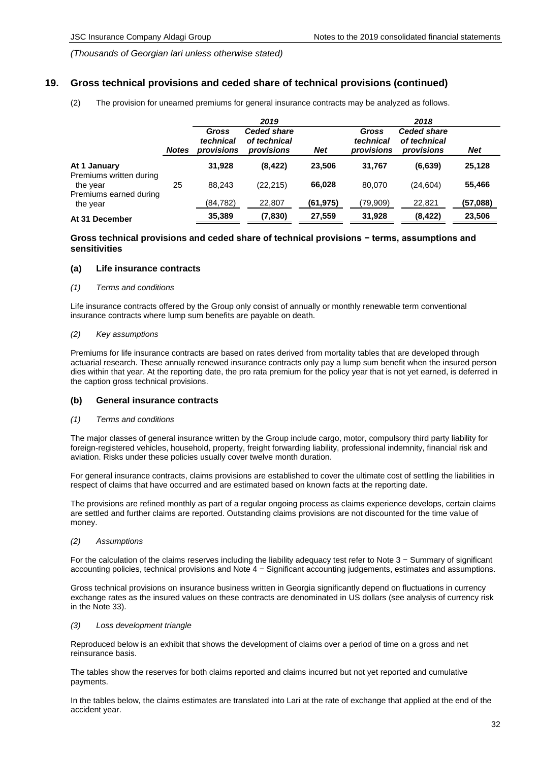# **19. Gross technical provisions and ceded share of technical provisions (continued)**

(2) The provision for unearned premiums for general insurance contracts may be analyzed as follows.

|                                         |              |                                  | 2019                                             |            | 2018                             |                                           |            |  |  |
|-----------------------------------------|--------------|----------------------------------|--------------------------------------------------|------------|----------------------------------|-------------------------------------------|------------|--|--|
|                                         | <b>Notes</b> | Gross<br>technical<br>provisions | <b>Ceded share</b><br>of technical<br>provisions | <b>Net</b> | Gross<br>technical<br>provisions | Ceded share<br>of technical<br>provisions | <b>Net</b> |  |  |
| At 1 January<br>Premiums written during |              | 31,928                           | (8, 422)                                         | 23.506     | 31.767                           | (6, 639)                                  | 25,128     |  |  |
| the year<br>Premiums earned during      | 25           | 88.243                           | (22, 215)                                        | 66.028     | 80.070                           | (24, 604)                                 | 55,466     |  |  |
| the year                                |              | (84, 782)                        | 22,807                                           | (61,975)   | (79,909)                         | 22,821                                    | (57,088)   |  |  |
| At 31 December                          |              | 35,389                           | (7,830)                                          | 27,559     | 31,928                           | (8, 422)                                  | 23,506     |  |  |

**Gross technical provisions and ceded share of technical provisions − terms, assumptions and sensitivities**

#### **(a) Life insurance contracts**

#### *(1) Terms and conditions*

Life insurance contracts offered by the Group only consist of annually or monthly renewable term conventional insurance contracts where lump sum benefits are payable on death.

#### *(2) Key assumptions*

Premiums for life insurance contracts are based on rates derived from mortality tables that are developed through actuarial research. These annually renewed insurance contracts only pay a lump sum benefit when the insured person dies within that year. At the reporting date, the pro rata premium for the policy year that is not yet earned, is deferred in the caption gross technical provisions.

#### **(b) General insurance contracts**

#### *(1) Terms and conditions*

The major classes of general insurance written by the Group include cargo, motor, compulsory third party liability for foreign-registered vehicles, household, property, freight forwarding liability, professional indemnity, financial risk and aviation. Risks under these policies usually cover twelve month duration.

For general insurance contracts, claims provisions are established to cover the ultimate cost of settling the liabilities in respect of claims that have occurred and are estimated based on known facts at the reporting date.

The provisions are refined monthly as part of a regular ongoing process as claims experience develops, certain claims are settled and further claims are reported. Outstanding claims provisions are not discounted for the time value of money.

#### *(2) Assumptions*

For the calculation of the claims reserves including the liability adequacy test refer to Note 3 − Summary of significant accounting policies, technical provisions and Note 4 − Significant accounting judgements, estimates and assumptions.

Gross technical provisions on insurance business written in Georgia significantly depend on fluctuations in currency exchange rates as the insured values on these contracts are denominated in US dollars (see analysis of currency risk in the Note 33).

#### *(3) Loss development triangle*

Reproduced below is an exhibit that shows the development of claims over a period of time on a gross and net reinsurance basis.

The tables show the reserves for both claims reported and claims incurred but not yet reported and cumulative payments.

In the tables below, the claims estimates are translated into Lari at the rate of exchange that applied at the end of the accident year.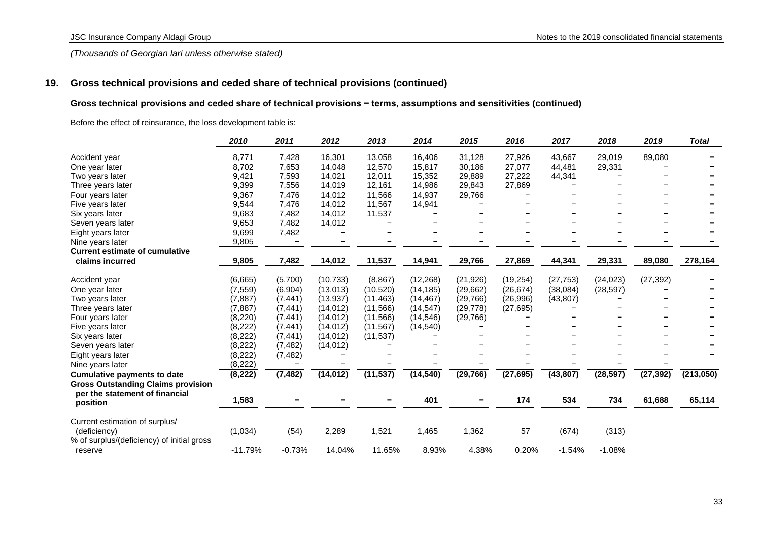# **19. Gross technical provisions and ceded share of technical provisions (continued)**

# **Gross technical provisions and ceded share of technical provisions − terms, assumptions and sensitivities (continued)**

Before the effect of reinsurance, the loss development table is:

|                                                                             | 2010      | 2011     | 2012      | 2013      | 2014      | 2015      | 2016      | 2017      | 2018      | 2019      | <b>Total</b> |
|-----------------------------------------------------------------------------|-----------|----------|-----------|-----------|-----------|-----------|-----------|-----------|-----------|-----------|--------------|
| Accident year                                                               | 8,771     | 7,428    | 16,301    | 13,058    | 16,406    | 31,128    | 27,926    | 43,667    | 29,019    | 89,080    |              |
| One year later                                                              | 8,702     | 7,653    | 14,048    | 12,570    | 15,817    | 30,186    | 27,077    | 44,481    | 29,331    |           |              |
| Two years later                                                             | 9,421     | 7,593    | 14,021    | 12,011    | 15,352    | 29,889    | 27,222    | 44,341    |           |           |              |
| Three years later                                                           | 9,399     | 7,556    | 14,019    | 12,161    | 14,986    | 29,843    | 27,869    |           |           |           |              |
| Four years later                                                            | 9,367     | 7,476    | 14,012    | 11,566    | 14,937    | 29,766    |           |           |           |           |              |
| Five years later                                                            | 9,544     | 7,476    | 14,012    | 11,567    | 14,941    |           |           |           |           |           |              |
| Six years later                                                             | 9,683     | 7,482    | 14,012    | 11,537    |           |           |           |           |           |           |              |
| Seven years later                                                           | 9,653     | 7,482    | 14,012    |           |           |           |           |           |           |           |              |
| Eight years later                                                           | 9,699     | 7,482    |           |           |           |           |           |           |           |           |              |
| Nine years later                                                            | 9,805     |          |           |           |           |           |           |           |           |           |              |
| <b>Current estimate of cumulative</b>                                       |           |          |           |           |           |           |           |           |           |           |              |
| claims incurred                                                             | 9,805     | 7,482    | 14,012    | 11,537    | 14,941    | 29,766    | 27,869    | 44,341    | 29,331    | 89,080    | 278,164      |
| Accident year                                                               | (6,665)   | (5,700)  | (10, 733) | (8, 867)  | (12, 268) | (21, 926) | (19, 254) | (27, 753) | (24, 023) | (27, 392) |              |
| One year later                                                              | (7, 559)  | (6,904)  | (13, 013) | (10, 520) | (14, 185) | (29, 662) | (26, 674) | (38,084)  | (28, 597) |           |              |
| Two years later                                                             | (7, 887)  | (7, 441) | (13,937)  | (11, 463) | (14, 467) | (29,766)  | (26,996)  | (43, 807) |           |           |              |
| Three years later                                                           | (7, 887)  | (7, 441) | (14, 012) | (11, 566) | (14, 547) | (29, 778) | (27, 695) |           |           |           |              |
| Four years later                                                            | (8,220)   | (7, 441) | (14, 012) | (11,566)  | (14, 546) | (29,766)  |           |           |           |           |              |
| Five years later                                                            | (8, 222)  | (7, 441) | (14, 012) | (11, 567) | (14, 540) |           |           |           |           |           |              |
| Six years later                                                             | (8, 222)  | (7, 441) | (14, 012) | (11, 537) |           |           |           |           |           |           |              |
| Seven years later                                                           | (8, 222)  | (7, 482) | (14, 012) |           |           |           |           |           |           |           |              |
| Eight years later                                                           | (8,222)   | (7, 482) |           |           |           |           |           |           |           |           |              |
| Nine years later                                                            | (8,222)   |          |           |           |           |           |           |           |           |           |              |
| Cumulative payments to date                                                 | (8, 222)  | (7, 482) | (14, 012) | (11, 537) | (14, 540) | (29, 766) | (27, 695) | (43, 807) | (28, 597) | (27, 392) | (213,050)    |
| <b>Gross Outstanding Claims provision</b><br>per the statement of financial |           |          |           |           |           |           |           |           |           |           |              |
| position                                                                    | 1,583     |          |           |           | 401       |           | 174       | 534       | 734       | 61,688    | 65,114       |
| Current estimation of surplus/                                              |           |          |           |           |           |           |           |           |           |           |              |
| (deficiency)<br>% of surplus/(deficiency) of initial gross                  | (1,034)   | (54)     | 2,289     | 1,521     | 1,465     | 1,362     | 57        | (674)     | (313)     |           |              |
| reserve                                                                     | $-11.79%$ | $-0.73%$ | 14.04%    | 11.65%    | 8.93%     | 4.38%     | 0.20%     | $-1.54%$  | $-1.08%$  |           |              |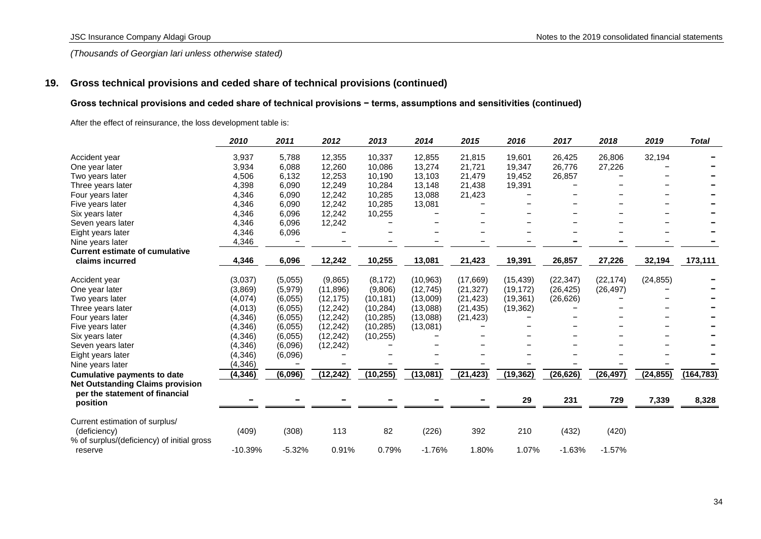# **19. Gross technical provisions and ceded share of technical provisions (continued)**

# **Gross technical provisions and ceded share of technical provisions − terms, assumptions and sensitivities (continued)**

After the effect of reinsurance, the loss development table is:

|                                                                           | 2010      | 2011     | 2012      | 2013      | 2014      | 2015      | 2016      | 2017      | 2018      | 2019      | <b>Total</b> |
|---------------------------------------------------------------------------|-----------|----------|-----------|-----------|-----------|-----------|-----------|-----------|-----------|-----------|--------------|
| Accident year                                                             | 3,937     | 5,788    | 12,355    | 10,337    | 12,855    | 21,815    | 19,601    | 26,425    | 26,806    | 32,194    |              |
| One year later                                                            | 3,934     | 6,088    | 12,260    | 10,086    | 13,274    | 21,721    | 19,347    | 26,776    | 27,226    |           |              |
| Two years later                                                           | 4,506     | 6,132    | 12,253    | 10,190    | 13,103    | 21,479    | 19,452    | 26,857    |           |           |              |
| Three years later                                                         | 4,398     | 6,090    | 12,249    | 10,284    | 13,148    | 21,438    | 19,391    |           |           |           |              |
| Four years later                                                          | 4,346     | 6,090    | 12,242    | 10,285    | 13,088    | 21,423    |           |           |           |           |              |
| Five years later                                                          | 4,346     | 6,090    | 12,242    | 10,285    | 13,081    |           |           |           |           |           |              |
| Six years later                                                           | 4,346     | 6,096    | 12,242    | 10,255    |           |           |           |           |           |           |              |
| Seven years later                                                         | 4,346     | 6,096    | 12,242    |           |           |           |           |           |           |           |              |
| Eight years later                                                         | 4,346     | 6,096    |           |           |           |           |           |           |           |           |              |
| Nine years later                                                          | 4,346     |          |           |           |           |           |           |           |           |           |              |
| <b>Current estimate of cumulative</b>                                     |           |          |           |           |           |           |           |           |           |           |              |
| claims incurred                                                           | 4,346     | 6,096    | 12,242    | 10,255    | 13,081    | 21,423    | 19,391    | 26,857    | 27,226    | 32,194    | 173,111      |
| Accident year                                                             | (3,037)   | (5,055)  | (9,865)   | (8, 172)  | (10, 963) | (17,669)  | (15, 439) | (22, 347) | (22, 174) | (24, 855) |              |
| One year later                                                            | (3,869)   | (5,979)  | (11, 896) | (9,806)   | (12, 745) | (21, 327) | (19, 172) | (26, 425) | (26, 497) |           |              |
| Two years later                                                           | (4,074)   | (6,055)  | (12, 175) | (10, 181) | (13,009)  | (21, 423) | (19, 361) | (26, 626) |           |           |              |
| Three years later                                                         | (4, 013)  | (6,055)  | (12, 242) | (10, 284) | (13,088)  | (21, 435) | (19, 362) |           |           |           |              |
| Four years later                                                          | (4,346)   | (6,055)  | (12, 242) | (10, 285) | (13,088)  | (21, 423) |           |           |           |           |              |
| Five years later                                                          | (4, 346)  | (6,055)  | (12, 242) | (10, 285) | (13,081)  |           |           |           |           |           |              |
| Six years later                                                           | (4,346)   | (6,055)  | (12, 242) | (10, 255) |           |           |           |           |           |           |              |
| Seven years later                                                         | (4, 346)  | (6,096)  | (12, 242) |           |           |           |           |           |           |           |              |
| Eight years later                                                         | (4, 346)  | (6,096)  |           |           |           |           |           |           |           |           |              |
| Nine years later                                                          | (4, 346)  |          |           |           |           |           |           |           |           |           |              |
| <b>Cumulative payments to date</b>                                        | (4, 346)  | (6,096)  | (12, 242) | (10, 255) | (13,081)  | (21, 423) | (19, 362) | (26, 626) | (26, 497) | (24, 855) | (164, 783)   |
| <b>Net Outstanding Claims provision</b><br>per the statement of financial |           |          |           |           |           |           |           |           |           |           |              |
| position                                                                  |           |          |           |           |           |           | 29        | 231       | 729       | 7,339     | 8,328        |
| Current estimation of surplus/                                            |           |          |           |           |           |           |           |           |           |           |              |
| (deficiency)<br>% of surplus/(deficiency) of initial gross                | (409)     | (308)    | 113       | 82        | (226)     | 392       | 210       | (432)     | (420)     |           |              |
| reserve                                                                   | $-10.39%$ | $-5.32%$ | 0.91%     | 0.79%     | $-1.76%$  | 1.80%     | 1.07%     | $-1.63%$  | $-1.57%$  |           |              |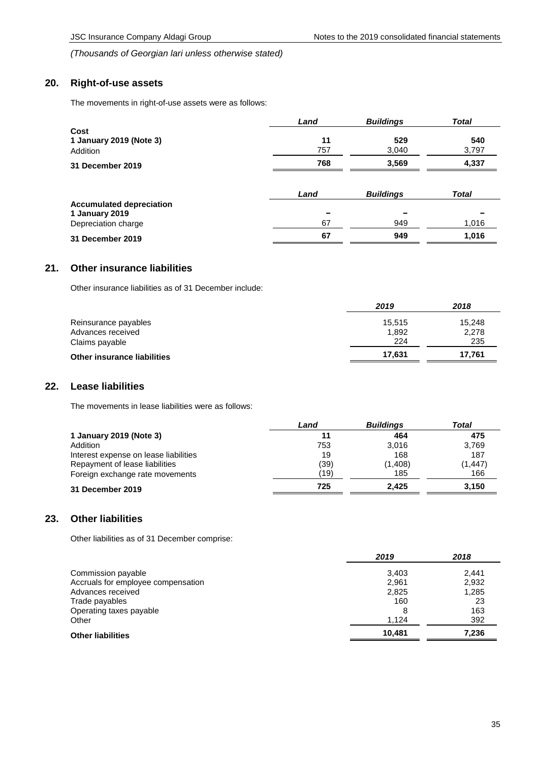# **20. Right-of-use assets**

<span id="page-36-0"></span>The movements in right-of-use assets were as follows:

|                                                                          | Land      | <b>Buildings</b> | <b>Total</b> |
|--------------------------------------------------------------------------|-----------|------------------|--------------|
| Cost<br>1 January 2019 (Note 3)<br>Addition                              | 11<br>757 | 529<br>3,040     | 540<br>3,797 |
| 31 December 2019                                                         | 768       | 3,569            | 4,337        |
|                                                                          | Land      | <b>Buildings</b> | <b>Total</b> |
| <b>Accumulated depreciation</b><br>1 January 2019<br>Depreciation charge | 67        | 949              | 1,016        |
| 31 December 2019                                                         | 67        | 949              | 1,016        |

# **21. Other insurance liabilities**

<span id="page-36-1"></span>Other insurance liabilities as of 31 December include:

|                                    | 2019   | 2018   |
|------------------------------------|--------|--------|
| Reinsurance payables               | 15.515 | 15,248 |
| Advances received                  | 1,892  | 2,278  |
| Claims payable                     | 224    | 235    |
| <b>Other insurance liabilities</b> | 17.631 | 17.761 |

### **22. Lease liabilities**

<span id="page-36-2"></span>The movements in lease liabilities were as follows:

|                                       | Land | <b>Buildings</b> | Total    |
|---------------------------------------|------|------------------|----------|
| 1 January 2019 (Note 3)               | 11   | 464              | 475      |
| Addition                              | 753  | 3.016            | 3.769    |
| Interest expense on lease liabilities | 19   | 168              | 187      |
| Repayment of lease liabilities        | (39) | (1,408)          | (1, 447) |
| Foreign exchange rate movements       | (19) | 185              | 166      |
| 31 December 2019                      | 725  | 2.425            | 3.150    |

### **23. Other liabilities**

<span id="page-36-3"></span>Other liabilities as of 31 December comprise:

|                                    | 2019   | 2018  |
|------------------------------------|--------|-------|
| Commission payable                 | 3,403  | 2,441 |
| Accruals for employee compensation | 2,961  | 2,932 |
| Advances received                  | 2,825  | 1,285 |
| Trade payables                     | 160    | 23    |
| Operating taxes payable            | 8      | 163   |
| Other                              | 1.124  | 392   |
| <b>Other liabilities</b>           | 10.481 | 7,236 |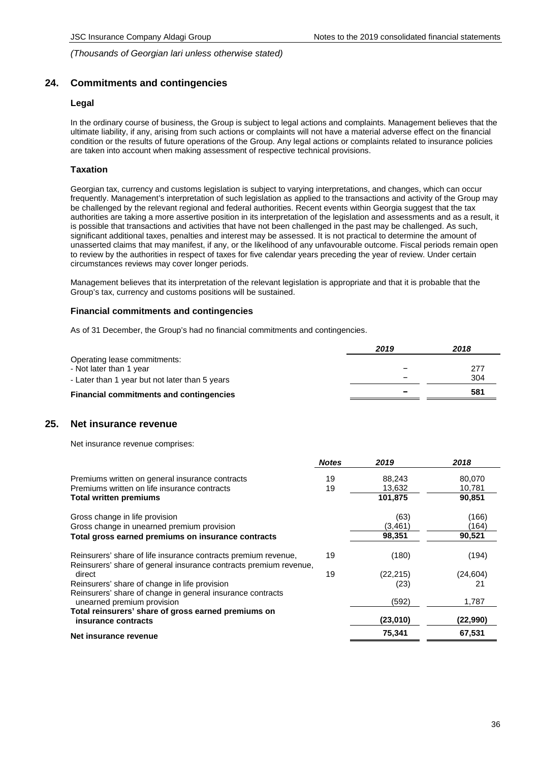# **24. Commitments and contingencies**

### <span id="page-37-0"></span>**Legal**

In the ordinary course of business, the Group is subject to legal actions and complaints. Management believes that the ultimate liability, if any, arising from such actions or complaints will not have a material adverse effect on the financial condition or the results of future operations of the Group. Any legal actions or complaints related to insurance policies are taken into account when making assessment of respective technical provisions.

### **Taxation**

Georgian tax, currency and customs legislation is subject to varying interpretations, and changes, which can occur frequently. Management's interpretation of such legislation as applied to the transactions and activity of the Group may be challenged by the relevant regional and federal authorities. Recent events within Georgia suggest that the tax authorities are taking a more assertive position in its interpretation of the legislation and assessments and as a result, it is possible that transactions and activities that have not been challenged in the past may be challenged. As such, significant additional taxes, penalties and interest may be assessed. It is not practical to determine the amount of unasserted claims that may manifest, if any, or the likelihood of any unfavourable outcome. Fiscal periods remain open to review by the authorities in respect of taxes for five calendar years preceding the year of review. Under certain circumstances reviews may cover longer periods.

Management believes that its interpretation of the relevant legislation is appropriate and that it is probable that the Group's tax, currency and customs positions will be sustained.

### **Financial commitments and contingencies**

As of 31 December, the Group's had no financial commitments and contingencies.

|                                                | 2019 | 2018 |
|------------------------------------------------|------|------|
| Operating lease commitments:                   |      |      |
| - Not later than 1 year                        |      | 277  |
| - Later than 1 year but not later than 5 years |      | 304  |
| <b>Financial commitments and contingencies</b> | -    | 581  |

### **25. Net insurance revenue**

<span id="page-37-1"></span>Net insurance revenue comprises:

|                                                                                                                                     | <b>Notes</b> | 2019      | 2018      |
|-------------------------------------------------------------------------------------------------------------------------------------|--------------|-----------|-----------|
| Premiums written on general insurance contracts                                                                                     | 19           | 88,243    | 80,070    |
| Premiums written on life insurance contracts                                                                                        | 19           | 13,632    | 10,781    |
| <b>Total written premiums</b>                                                                                                       |              | 101,875   | 90,851    |
| Gross change in life provision                                                                                                      |              | (63)      | (166)     |
| Gross change in unearned premium provision                                                                                          |              | (3, 461)  | (164)     |
| Total gross earned premiums on insurance contracts                                                                                  |              | 98,351    | 90,521    |
| Reinsurers' share of life insurance contracts premium revenue,<br>Reinsurers' share of general insurance contracts premium revenue, | 19           | (180)     | (194)     |
| direct                                                                                                                              | 19           | (22, 215) | (24, 604) |
| Reinsurers' share of change in life provision                                                                                       |              | (23)      | 21        |
| Reinsurers' share of change in general insurance contracts                                                                          |              |           |           |
| unearned premium provision                                                                                                          |              | (592)     | 1,787     |
| Total reinsurers' share of gross earned premiums on                                                                                 |              |           |           |
| insurance contracts                                                                                                                 |              | (23,010)  | (22, 990) |
| Net insurance revenue                                                                                                               |              | 75,341    | 67,531    |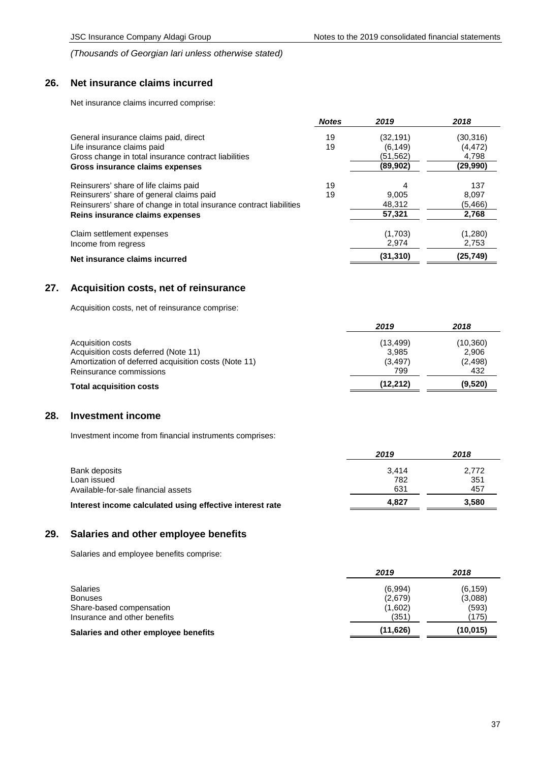### **26. Net insurance claims incurred**

<span id="page-38-0"></span>Net insurance claims incurred comprise:

| <b>Notes</b> | 2019     | 2018         |
|--------------|----------|--------------|
| 19           | (32,191) | (30, 316)    |
| 19           | (6, 149) | (4,472)      |
|              | (51,562) | 4,798        |
|              | (89,902) | (29,990)     |
|              |          |              |
|              |          | 137          |
| 19           | 9.005    | 8.097        |
|              | 48,312   | (5.466)      |
|              | 57.321   | 2,768        |
|              |          | (1,280)      |
|              | 2,974    | 2,753        |
|              | (31,310) | (25, 749)    |
|              | 19       | 4<br>(1,703) |

# **27. Acquisition costs, net of reinsurance**

<span id="page-38-1"></span>Acquisition costs, net of reinsurance comprise:

|                                                      | 2019      | 2018      |
|------------------------------------------------------|-----------|-----------|
| Acquisition costs                                    | (13, 499) | (10, 360) |
| Acquisition costs deferred (Note 11)                 | 3.985     | 2.906     |
| Amortization of deferred acquisition costs (Note 11) | (3, 497)  | (2, 498)  |
| Reinsurance commissions                              | 799       | 432       |
| <b>Total acquisition costs</b>                       | (12, 212) | (9,520)   |

### **28. Investment income**

<span id="page-38-2"></span>Investment income from financial instruments comprises:

|                                                          | 2019  | 2018  |
|----------------------------------------------------------|-------|-------|
| Bank deposits                                            | 3.414 | 2.772 |
| Loan issued                                              | 782   | 351   |
| Available-for-sale financial assets                      | 631   | 457   |
| Interest income calculated using effective interest rate | 4.827 | 3.580 |

# **29. Salaries and other employee benefits**

<span id="page-38-3"></span>Salaries and employee benefits comprise:

|                                      | 2019     | 2018      |
|--------------------------------------|----------|-----------|
| <b>Salaries</b>                      | (6,994)  | (6, 159)  |
| <b>Bonuses</b>                       | (2,679)  | (3,088)   |
| Share-based compensation             | (1,602)  | (593)     |
| Insurance and other benefits         | (351)    | (175)     |
| Salaries and other employee benefits | (11,626) | (10, 015) |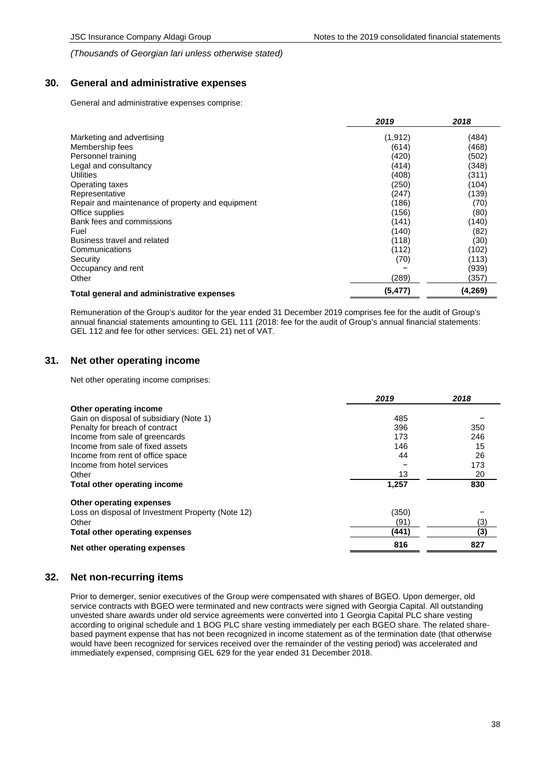# **30. General and administrative expenses**

<span id="page-39-0"></span>General and administrative expenses comprise:

|                                                  | 2019     | 2018    |
|--------------------------------------------------|----------|---------|
| Marketing and advertising                        | (1, 912) | (484)   |
| Membership fees                                  | (614)    | (468)   |
| Personnel training                               | (420)    | (502)   |
| Legal and consultancy                            | (414)    | (348)   |
| <b>Utilities</b>                                 | (408)    | (311)   |
| Operating taxes                                  | (250)    | (104)   |
| Representative                                   | (247)    | (139)   |
| Repair and maintenance of property and equipment | (186)    | (70)    |
| Office supplies                                  | (156)    | (80)    |
| Bank fees and commissions                        | (141)    | (140)   |
| Fuel                                             | (140)    | (82)    |
| Business travel and related                      | (118)    | (30)    |
| Communications                                   | (112)    | (102)   |
| Security                                         | (70)     | (113)   |
| Occupancy and rent                               |          | (939)   |
| Other                                            | (289)    | (357)   |
| Total general and administrative expenses        | (5, 477) | (4,269) |

Remuneration of the Group's auditor for the year ended 31 December 2019 comprises fee for the audit of Group's annual financial statements amounting to GEL 111 (2018: fee for the audit of Group's annual financial statements: GEL 112 and fee for other services: GEL 21) net of VAT.

### **31. Net other operating income**

<span id="page-39-1"></span>Net other operating income comprises:

|                                                   | 2019  | 2018 |
|---------------------------------------------------|-------|------|
| Other operating income                            |       |      |
| Gain on disposal of subsidiary (Note 1)           | 485   |      |
| Penalty for breach of contract                    | 396   | 350  |
| Income from sale of greencards                    | 173   | 246  |
| Income from sale of fixed assets                  | 146   | 15   |
| Income from rent of office space                  | 44    | 26   |
| Income from hotel services                        |       | 173  |
| Other                                             | 13    | 20   |
| Total other operating income                      | 1,257 | 830  |
| Other operating expenses                          |       |      |
| Loss on disposal of Investment Property (Note 12) | (350) |      |
| Other                                             | (91)  | (3)  |
| Total other operating expenses                    | (441) | (3)  |
| Net other operating expenses                      | 816   | 827  |
|                                                   |       |      |

### **32. Net non-recurring items**

<span id="page-39-2"></span>Prior to demerger, senior executives of the Group were compensated with shares of BGEO. Upon demerger, old service contracts with BGEO were terminated and new contracts were signed with Georgia Capital. All outstanding unvested share awards under old service agreements were converted into 1 Georgia Capital PLC share vesting according to original schedule and 1 BOG PLC share vesting immediately per each BGEO share. The related sharebased payment expense that has not been recognized in income statement as of the termination date (that otherwise would have been recognized for services received over the remainder of the vesting period) was accelerated and immediately expensed, comprising GEL 629 for the year ended 31 December 2018.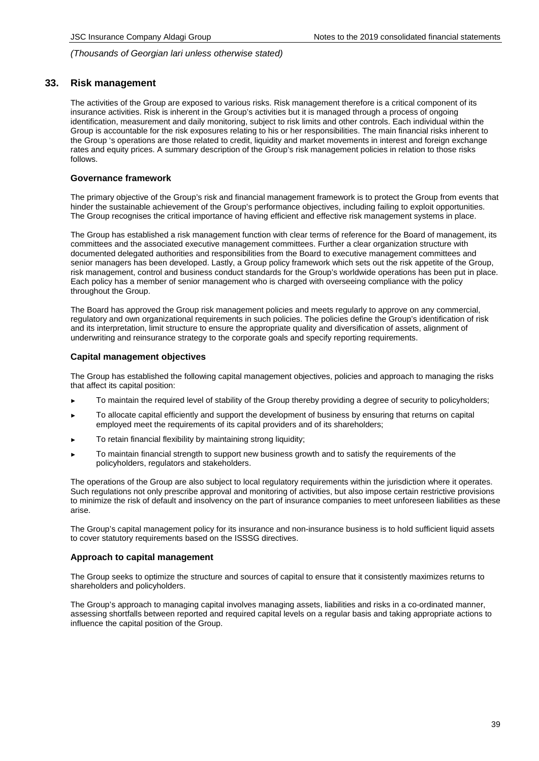### **33. Risk management**

<span id="page-40-0"></span>The activities of the Group are exposed to various risks. Risk management therefore is a critical component of its insurance activities. Risk is inherent in the Group's activities but it is managed through a process of ongoing identification, measurement and daily monitoring, subject to risk limits and other controls. Each individual within the Group is accountable for the risk exposures relating to his or her responsibilities. The main financial risks inherent to the Group 's operations are those related to credit, liquidity and market movements in interest and foreign exchange rates and equity prices. A summary description of the Group's risk management policies in relation to those risks follows.

### **Governance framework**

The primary objective of the Group's risk and financial management framework is to protect the Group from events that hinder the sustainable achievement of the Group's performance objectives, including failing to exploit opportunities. The Group recognises the critical importance of having efficient and effective risk management systems in place.

The Group has established a risk management function with clear terms of reference for the Board of management, its committees and the associated executive management committees. Further a clear organization structure with documented delegated authorities and responsibilities from the Board to executive management committees and senior managers has been developed. Lastly, a Group policy framework which sets out the risk appetite of the Group, risk management, control and business conduct standards for the Group's worldwide operations has been put in place. Each policy has a member of senior management who is charged with overseeing compliance with the policy throughout the Group.

The Board has approved the Group risk management policies and meets regularly to approve on any commercial, regulatory and own organizational requirements in such policies. The policies define the Group's identification of risk and its interpretation, limit structure to ensure the appropriate quality and diversification of assets, alignment of underwriting and reinsurance strategy to the corporate goals and specify reporting requirements.

### **Capital management objectives**

The Group has established the following capital management objectives, policies and approach to managing the risks that affect its capital position:

- To maintain the required level of stability of the Group thereby providing a degree of security to policyholders;
- To allocate capital efficiently and support the development of business by ensuring that returns on capital employed meet the requirements of its capital providers and of its shareholders;
- To retain financial flexibility by maintaining strong liquidity;
- ► To maintain financial strength to support new business growth and to satisfy the requirements of the policyholders, regulators and stakeholders.

The operations of the Group are also subject to local regulatory requirements within the jurisdiction where it operates. Such regulations not only prescribe approval and monitoring of activities, but also impose certain restrictive provisions to minimize the risk of default and insolvency on the part of insurance companies to meet unforeseen liabilities as these arise.

The Group's capital management policy for its insurance and non-insurance business is to hold sufficient liquid assets to cover statutory requirements based on the ISSSG directives.

### **Approach to capital management**

The Group seeks to optimize the structure and sources of capital to ensure that it consistently maximizes returns to shareholders and policyholders.

The Group's approach to managing capital involves managing assets, liabilities and risks in a co-ordinated manner, assessing shortfalls between reported and required capital levels on a regular basis and taking appropriate actions to influence the capital position of the Group.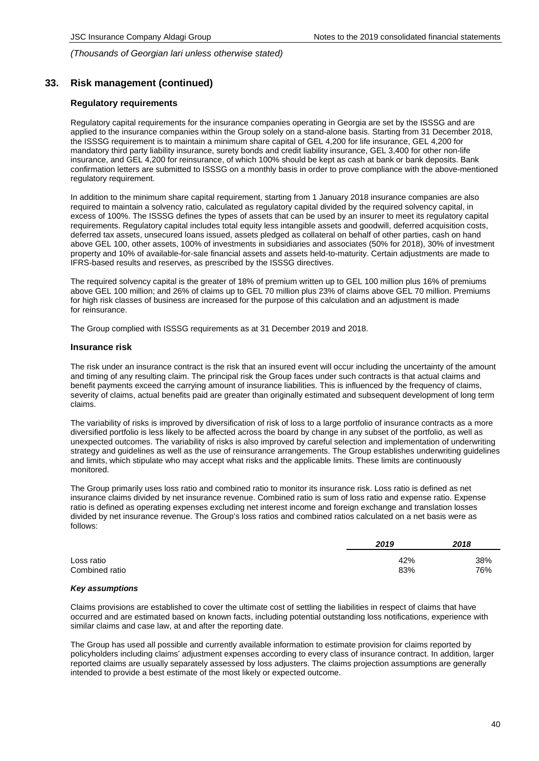# **33. Risk management (continued)**

### **Regulatory requirements**

Regulatory capital requirements for the insurance companies operating in Georgia are set by the ISSSG and are applied to the insurance companies within the Group solely on a stand-alone basis. Starting from 31 December 2018, the ISSSG requirement is to maintain a minimum share capital of GEL 4,200 for life insurance, GEL 4,200 for mandatory third party liability insurance, surety bonds and credit liability insurance, GEL 3,400 for other non-life insurance, and GEL 4,200 for reinsurance, of which 100% should be kept as cash at bank or bank deposits. Bank confirmation letters are submitted to ISSSG on a monthly basis in order to prove compliance with the above-mentioned regulatory requirement.

In addition to the minimum share capital requirement, starting from 1 January 2018 insurance companies are also required to maintain a solvency ratio, calculated as regulatory capital divided by the required solvency capital, in excess of 100%. The ISSSG defines the types of assets that can be used by an insurer to meet its regulatory capital requirements. Regulatory capital includes total equity less intangible assets and goodwill, deferred acquisition costs, deferred tax assets, unsecured loans issued, assets pledged as collateral on behalf of other parties, cash on hand above GEL 100, other assets, 100% of investments in subsidiaries and associates (50% for 2018), 30% of investment property and 10% of available-for-sale financial assets and assets held-to-maturity. Certain adjustments are made to IFRS-based results and reserves, as prescribed by the ISSSG directives.

The required solvency capital is the greater of 18% of premium written up to GEL 100 million plus 16% of premiums above GEL 100 million; and 26% of claims up to GEL 70 million plus 23% of claims above GEL 70 million. Premiums for high risk classes of business are increased for the purpose of this calculation and an adjustment is made for [reinsurance.](https://moneyterms.co.uk/reinsurance/)

The Group complied with ISSSG requirements as at 31 December 2019 and 2018.

#### **Insurance risk**

The risk under an insurance contract is the risk that an insured event will occur including the uncertainty of the amount and timing of any resulting claim. The principal risk the Group faces under such contracts is that actual claims and benefit payments exceed the carrying amount of insurance liabilities. This is influenced by the frequency of claims, severity of claims, actual benefits paid are greater than originally estimated and subsequent development of long term claims.

The variability of risks is improved by diversification of risk of loss to a large portfolio of insurance contracts as a more diversified portfolio is less likely to be affected across the board by change in any subset of the portfolio, as well as unexpected outcomes. The variability of risks is also improved by careful selection and implementation of underwriting strategy and guidelines as well as the use of reinsurance arrangements. The Group establishes underwriting guidelines and limits, which stipulate who may accept what risks and the applicable limits. These limits are continuously monitored.

The Group primarily uses loss ratio and combined ratio to monitor its insurance risk. Loss ratio is defined as net insurance claims divided by net insurance revenue. Combined ratio is sum of loss ratio and expense ratio. Expense ratio is defined as operating expenses excluding net interest income and foreign exchange and translation losses divided by net insurance revenue. The Group's loss ratios and combined ratios calculated on a net basis were as follows:

|                | 2019 | 2018 |
|----------------|------|------|
| Loss ratio     | 42%  | 38%  |
| Combined ratio | 83%  | 76%  |

#### *Key assumptions*

Claims provisions are established to cover the ultimate cost of settling the liabilities in respect of claims that have occurred and are estimated based on known facts, including potential outstanding loss notifications, experience with similar claims and case law, at and after the reporting date.

The Group has used all possible and currently available information to estimate provision for claims reported by policyholders including claims' adjustment expenses according to every class of insurance contract. In addition, larger reported claims are usually separately assessed by loss adjusters. The claims projection assumptions are generally intended to provide a best estimate of the most likely or expected outcome.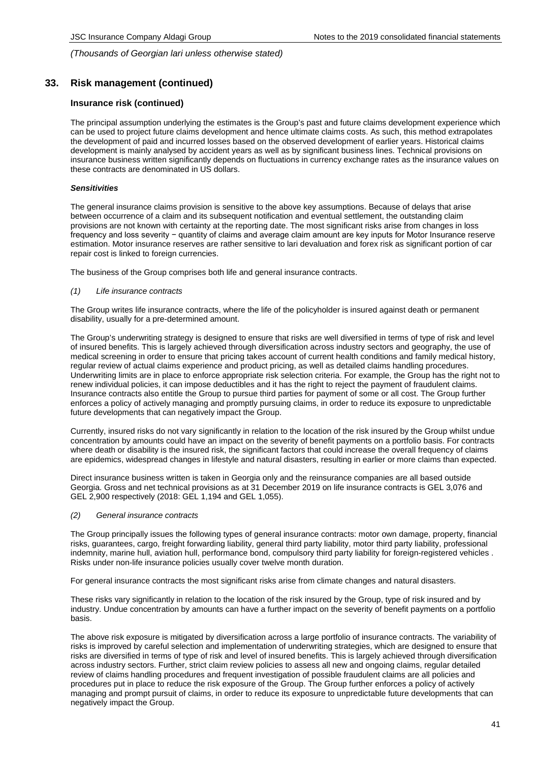# **33. Risk management (continued)**

### **Insurance risk (continued)**

The principal assumption underlying the estimates is the Group's past and future claims development experience which can be used to project future claims development and hence ultimate claims costs. As such, this method extrapolates the development of paid and incurred losses based on the observed development of earlier years. Historical claims development is mainly analysed by accident years as well as by significant business lines. Technical provisions on insurance business written significantly depends on fluctuations in currency exchange rates as the insurance values on these contracts are denominated in US dollars.

#### *Sensitivities*

The general insurance claims provision is sensitive to the above key assumptions. Because of delays that arise between occurrence of a claim and its subsequent notification and eventual settlement, the outstanding claim provisions are not known with certainty at the reporting date. The most significant risks arise from changes in loss frequency and loss severity − quantity of claims and average claim amount are key inputs for Motor Insurance reserve estimation. Motor insurance reserves are rather sensitive to lari devaluation and forex risk as significant portion of car repair cost is linked to foreign currencies.

The business of the Group comprises both life and general insurance contracts.

#### *(1) Life insurance contracts*

The Group writes life insurance contracts, where the life of the policyholder is insured against death or permanent disability, usually for a pre-determined amount.

The Group's underwriting strategy is designed to ensure that risks are well diversified in terms of type of risk and level of insured benefits. This is largely achieved through diversification across industry sectors and geography, the use of medical screening in order to ensure that pricing takes account of current health conditions and family medical history, regular review of actual claims experience and product pricing, as well as detailed claims handling procedures. Underwriting limits are in place to enforce appropriate risk selection criteria. For example, the Group has the right not to renew individual policies, it can impose deductibles and it has the right to reject the payment of fraudulent claims. Insurance contracts also entitle the Group to pursue third parties for payment of some or all cost. The Group further enforces a policy of actively managing and promptly pursuing claims, in order to reduce its exposure to unpredictable future developments that can negatively impact the Group.

Currently, insured risks do not vary significantly in relation to the location of the risk insured by the Group whilst undue concentration by amounts could have an impact on the severity of benefit payments on a portfolio basis. For contracts where death or disability is the insured risk, the significant factors that could increase the overall frequency of claims are epidemics, widespread changes in lifestyle and natural disasters, resulting in earlier or more claims than expected.

Direct insurance business written is taken in Georgia only and the reinsurance companies are all based outside Georgia. Gross and net technical provisions as at 31 December 2019 on life insurance contracts is GEL 3,076 and GEL 2,900 respectively (2018: GEL 1,194 and GEL 1,055).

#### *(2) General insurance contracts*

The Group principally issues the following types of general insurance contracts: motor own damage, property, financial risks, guarantees, cargo, freight forwarding liability, general third party liability, motor third party liability, professional indemnity, marine hull, aviation hull, performance bond, compulsory third party liability for foreign-registered vehicles . Risks under non-life insurance policies usually cover twelve month duration.

For general insurance contracts the most significant risks arise from climate changes and natural disasters.

These risks vary significantly in relation to the location of the risk insured by the Group, type of risk insured and by industry. Undue concentration by amounts can have a further impact on the severity of benefit payments on a portfolio basis.

The above risk exposure is mitigated by diversification across a large portfolio of insurance contracts. The variability of risks is improved by careful selection and implementation of underwriting strategies, which are designed to ensure that risks are diversified in terms of type of risk and level of insured benefits. This is largely achieved through diversification across industry sectors. Further, strict claim review policies to assess all new and ongoing claims, regular detailed review of claims handling procedures and frequent investigation of possible fraudulent claims are all policies and procedures put in place to reduce the risk exposure of the Group. The Group further enforces a policy of actively managing and prompt pursuit of claims, in order to reduce its exposure to unpredictable future developments that can negatively impact the Group.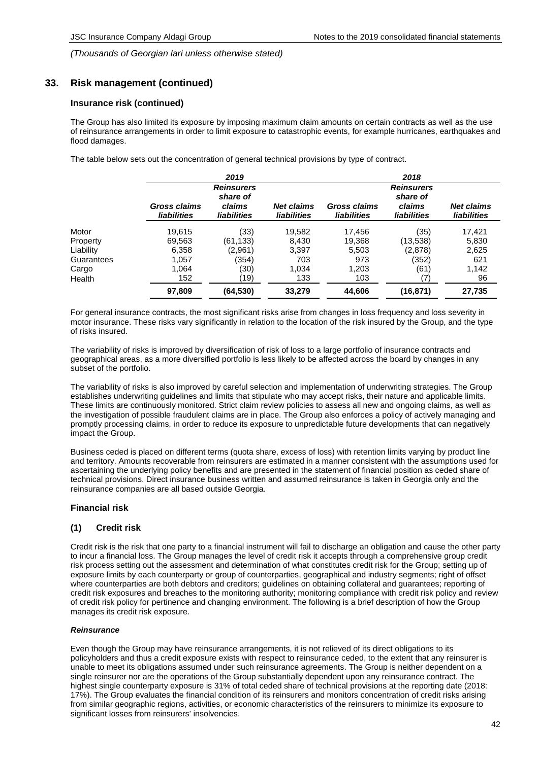# **33. Risk management (continued)**

### **Insurance risk (continued)**

The Group has also limited its exposure by imposing maximum claim amounts on certain contracts as well as the use of reinsurance arrangements in order to limit exposure to catastrophic events, for example hurricanes, earthquakes and flood damages.

The table below sets out the concentration of general technical provisions by type of contract.

|            |                                    | 2019                                                   |                                  |                                    | 2018                                                   |                                  |
|------------|------------------------------------|--------------------------------------------------------|----------------------------------|------------------------------------|--------------------------------------------------------|----------------------------------|
|            | <b>Gross claims</b><br>liabilities | <b>Reinsurers</b><br>share of<br>claims<br>liabilities | <b>Net claims</b><br>liabilities | <b>Gross claims</b><br>liabilities | <b>Reinsurers</b><br>share of<br>claims<br>liabilities | <b>Net claims</b><br>liabilities |
| Motor      | 19,615                             | (33)                                                   | 19,582                           | 17,456                             | (35)                                                   | 17,421                           |
| Property   | 69,563                             | (61, 133)                                              | 8,430                            | 19,368                             | (13, 538)                                              | 5,830                            |
| Liability  | 6,358                              | (2,961)                                                | 3,397                            | 5,503                              | (2,878)                                                | 2,625                            |
| Guarantees | 1,057                              | (354)                                                  | 703                              | 973                                | (352)                                                  | 621                              |
| Cargo      | 1,064                              | (30)                                                   | 1,034                            | 1,203                              | (61)                                                   | 1,142                            |
| Health     | 152                                | (19)                                                   | 133                              | 103                                |                                                        | 96                               |
|            | 97,809                             | (64,530)                                               | 33,279                           | 44,606                             | (16, 871)                                              | 27,735                           |

For general insurance contracts, the most significant risks arise from changes in loss frequency and loss severity in motor insurance. These risks vary significantly in relation to the location of the risk insured by the Group, and the type of risks insured.

The variability of risks is improved by diversification of risk of loss to a large portfolio of insurance contracts and geographical areas, as a more diversified portfolio is less likely to be affected across the board by changes in any subset of the portfolio.

The variability of risks is also improved by careful selection and implementation of underwriting strategies. The Group establishes underwriting guidelines and limits that stipulate who may accept risks, their nature and applicable limits. These limits are continuously monitored. Strict claim review policies to assess all new and ongoing claims, as well as the investigation of possible fraudulent claims are in place. The Group also enforces a policy of actively managing and promptly processing claims, in order to reduce its exposure to unpredictable future developments that can negatively impact the Group.

Business ceded is placed on different terms (quota share, excess of loss) with retention limits varying by product line and territory. Amounts recoverable from reinsurers are estimated in a manner consistent with the assumptions used for ascertaining the underlying policy benefits and are presented in the statement of financial position as ceded share of technical provisions. Direct insurance business written and assumed reinsurance is taken in Georgia only and the reinsurance companies are all based outside Georgia.

### **Financial risk**

### **(1) Credit risk**

Credit risk is the risk that one party to a financial instrument will fail to discharge an obligation and cause the other party to incur a financial loss. The Group manages the level of credit risk it accepts through a comprehensive group credit risk process setting out the assessment and determination of what constitutes credit risk for the Group; setting up of exposure limits by each counterparty or group of counterparties, geographical and industry segments; right of offset where counterparties are both debtors and creditors; guidelines on obtaining collateral and guarantees; reporting of credit risk exposures and breaches to the monitoring authority; monitoring compliance with credit risk policy and review of credit risk policy for pertinence and changing environment. The following is a brief description of how the Group manages its credit risk exposure.

#### *Reinsurance*

Even though the Group may have reinsurance arrangements, it is not relieved of its direct obligations to its policyholders and thus a credit exposure exists with respect to reinsurance ceded, to the extent that any reinsurer is unable to meet its obligations assumed under such reinsurance agreements. The Group is neither dependent on a single reinsurer nor are the operations of the Group substantially dependent upon any reinsurance contract. The highest single counterparty exposure is 31% of total ceded share of technical provisions at the reporting date (2018: 17%). The Group evaluates the financial condition of its reinsurers and monitors concentration of credit risks arising from similar geographic regions, activities, or economic characteristics of the reinsurers to minimize its exposure to significant losses from reinsurers' insolvencies.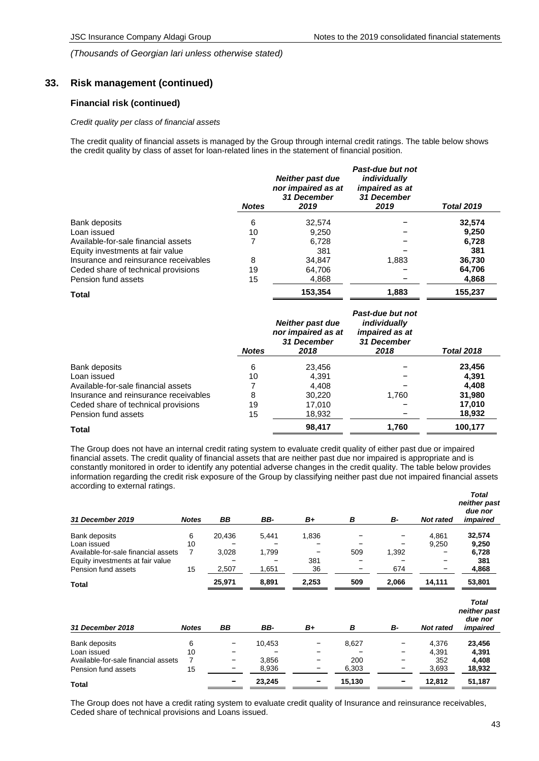# **33. Risk management (continued)**

### **Financial risk (continued)**

#### *Credit quality per class of financial assets*

The credit quality of financial assets is managed by the Group through internal credit ratings. The table below shows the credit quality by class of asset for loan-related lines in the statement of financial position.

|                                       | <b>Notes</b> | <b>Neither past due</b><br>nor impaired as at<br>31 December<br>2019 | Past-due but not<br>individually<br><i>impaired as at</i><br>31 December<br>2019 | <b>Total 2019</b> |
|---------------------------------------|--------------|----------------------------------------------------------------------|----------------------------------------------------------------------------------|-------------------|
| Bank deposits                         | 6            | 32.574                                                               |                                                                                  | 32,574            |
| Loan issued                           | 10           | 9.250                                                                |                                                                                  | 9.250             |
| Available-for-sale financial assets   |              | 6.728                                                                |                                                                                  | 6.728             |
| Equity investments at fair value      |              | 381                                                                  |                                                                                  | 381               |
| Insurance and reinsurance receivables | 8            | 34.847                                                               | 1,883                                                                            | 36,730            |
| Ceded share of technical provisions   | 19           | 64.706                                                               |                                                                                  | 64.706            |
| Pension fund assets                   | 15           | 4.868                                                                |                                                                                  | 4,868             |
| <b>Total</b>                          |              | 153,354                                                              | 1,883                                                                            | 155,237           |

|                                       | <b>Notes</b> | <b>Neither past due</b><br>nor impaired as at<br>31 December<br>2018 | Past-due but not<br>individually<br><i>impaired as at</i><br>31 December<br>2018 | <b>Total 2018</b> |
|---------------------------------------|--------------|----------------------------------------------------------------------|----------------------------------------------------------------------------------|-------------------|
| Bank deposits                         | 6            | 23.456                                                               |                                                                                  | 23,456            |
| Loan issued                           | 10           | 4.391                                                                |                                                                                  | 4.391             |
| Available-for-sale financial assets   |              | 4.408                                                                |                                                                                  | 4.408             |
| Insurance and reinsurance receivables | 8            | 30,220                                                               | 1,760                                                                            | 31,980            |
| Ceded share of technical provisions   | 19           | 17,010                                                               |                                                                                  | 17,010            |
| Pension fund assets                   | 15           | 18,932                                                               |                                                                                  | 18,932            |
| <b>Total</b>                          |              | 98,417                                                               | 1,760                                                                            | 100,177           |

The Group does not have an internal credit rating system to evaluate credit quality of either past due or impaired financial assets. The credit quality of financial assets that are neither past due nor impaired is appropriate and is constantly monitored in order to identify any potential adverse changes in the credit quality. The table below provides information regarding the credit risk exposure of the Group by classifying neither past due not impaired financial assets according to external ratings. *Total*

| 31 December 2019                    | <b>Notes</b> | <b>BB</b> | BB-    | B+    | В      | В-    | <b>Not rated</b> | , vun<br>neither past<br>due nor<br><i>impaired</i> |
|-------------------------------------|--------------|-----------|--------|-------|--------|-------|------------------|-----------------------------------------------------|
| Bank deposits                       | 6            | 20,436    | 5,441  | 1,836 |        |       | 4,861            | 32,574                                              |
| Loan issued                         | 10           |           |        |       |        |       | 9,250            | 9,250                                               |
| Available-for-sale financial assets | 7            | 3,028     | 1,799  |       | 509    | 1,392 |                  | 6,728                                               |
| Equity investments at fair value    |              |           |        | 381   |        |       |                  | 381                                                 |
| Pension fund assets                 | 15           | 2,507     | 1,651  | 36    |        | 674   |                  | 4,868                                               |
| <b>Total</b>                        |              | 25,971    | 8,891  | 2,253 | 509    | 2,066 | 14,111           | 53,801                                              |
| 31 December 2018                    | <b>Notes</b> | <b>BB</b> | BB-    | B+    | В      | В-    | <b>Not rated</b> | <b>Total</b><br>neither past<br>due nor<br>impaired |
| Bank deposits                       | 6            | -         | 10,453 |       | 8,627  |       | 4,376            | 23,456                                              |
| Loan issued                         | 10           |           |        |       |        |       | 4,391            | 4,391                                               |
| Available-for-sale financial assets | 7            |           | 3,856  |       | 200    |       | 352              | 4,408                                               |
| Pension fund assets                 | 15           |           | 8,936  |       | 6,303  |       | 3,693            | 18,932                                              |
| Total                               |              |           | 23,245 |       | 15,130 |       | 12,812           | 51,187                                              |

The Group does not have a credit rating system to evaluate credit quality of Insurance and reinsurance receivables, Ceded share of technical provisions and Loans issued.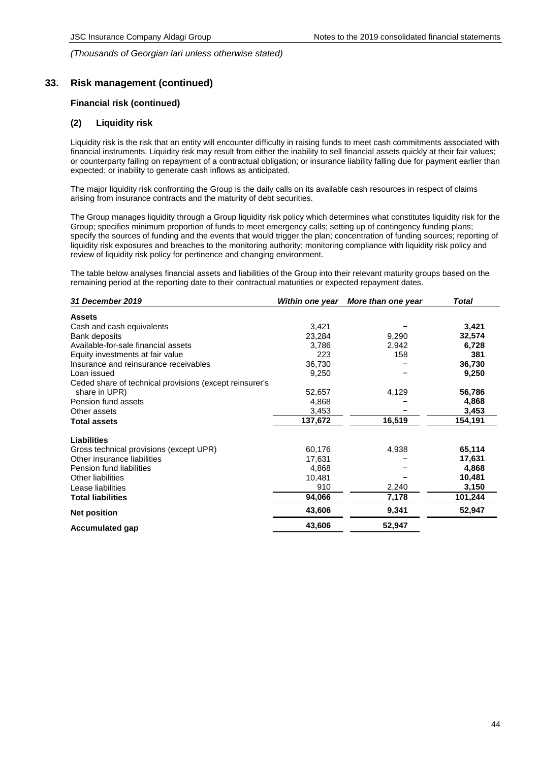# **33. Risk management (continued)**

### **Financial risk (continued)**

### **(2) Liquidity risk**

Liquidity risk is the risk that an entity will encounter difficulty in raising funds to meet cash commitments associated with financial instruments. Liquidity risk may result from either the inability to sell financial assets quickly at their fair values; or counterparty failing on repayment of a contractual obligation; or insurance liability falling due for payment earlier than expected; or inability to generate cash inflows as anticipated.

The major liquidity risk confronting the Group is the daily calls on its available cash resources in respect of claims arising from insurance contracts and the maturity of debt securities.

The Group manages liquidity through a Group liquidity risk policy which determines what constitutes liquidity risk for the Group; specifies minimum proportion of funds to meet emergency calls; setting up of contingency funding plans; specify the sources of funding and the events that would trigger the plan; concentration of funding sources; reporting of liquidity risk exposures and breaches to the monitoring authority; monitoring compliance with liquidity risk policy and review of liquidity risk policy for pertinence and changing environment.

The table below analyses financial assets and liabilities of the Group into their relevant maturity groups based on the remaining period at the reporting date to their contractual maturities or expected repayment dates.

| 31 December 2019                                        | Within one year | More than one year | <b>Total</b> |
|---------------------------------------------------------|-----------------|--------------------|--------------|
| <b>Assets</b>                                           |                 |                    |              |
| Cash and cash equivalents                               | 3,421           |                    | 3,421        |
| Bank deposits                                           | 23,284          | 9,290              | 32,574       |
| Available-for-sale financial assets                     | 3,786           | 2,942              | 6,728        |
| Equity investments at fair value                        | 223             | 158                | 381          |
| Insurance and reinsurance receivables                   | 36,730          |                    | 36,730       |
| Loan issued                                             | 9,250           |                    | 9,250        |
| Ceded share of technical provisions (except reinsurer's |                 |                    |              |
| share in UPR)                                           | 52,657          | 4,129              | 56,786       |
| Pension fund assets                                     | 4,868           |                    | 4,868        |
| Other assets                                            | 3,453           |                    | 3,453        |
| <b>Total assets</b>                                     | 137,672         | 16,519             | 154,191      |
| Liabilities                                             |                 |                    |              |
| Gross technical provisions (except UPR)                 | 60,176          | 4,938              | 65,114       |
| Other insurance liabilities                             | 17,631          |                    | 17,631       |
| Pension fund liabilities                                | 4,868           |                    | 4,868        |
| <b>Other liabilities</b>                                | 10,481          |                    | 10,481       |
| Lease liabilities                                       | 910             | 2,240              | 3,150        |
| <b>Total liabilities</b>                                | 94,066          | 7,178              | 101,244      |
| <b>Net position</b>                                     | 43,606          | 9,341              | 52,947       |
| <b>Accumulated gap</b>                                  | 43,606          | 52,947             |              |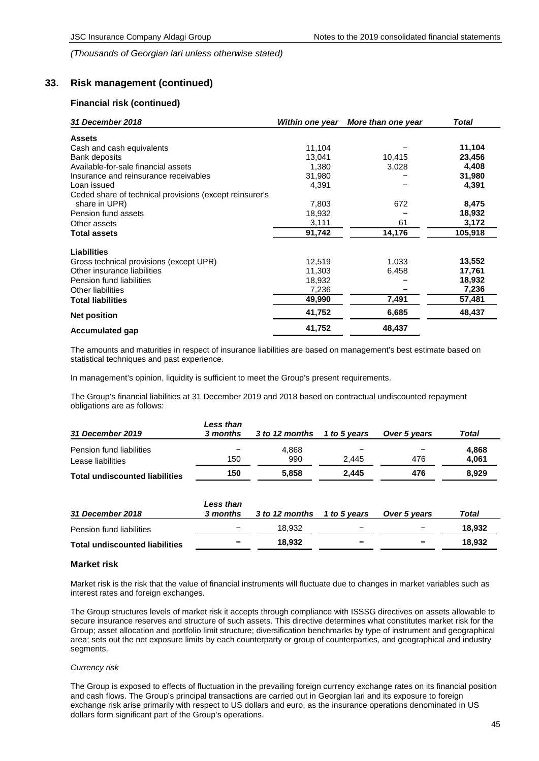## **33. Risk management (continued)**

### **Financial risk (continued)**

| 31 December 2018                                        | Within one year | More than one year | Total   |
|---------------------------------------------------------|-----------------|--------------------|---------|
| <b>Assets</b>                                           |                 |                    |         |
| Cash and cash equivalents                               | 11,104          |                    | 11,104  |
| Bank deposits                                           | 13,041          | 10,415             | 23,456  |
| Available-for-sale financial assets                     | 1,380           | 3,028              | 4,408   |
| Insurance and reinsurance receivables                   | 31,980          |                    | 31,980  |
| Loan issued                                             | 4,391           |                    | 4,391   |
| Ceded share of technical provisions (except reinsurer's |                 |                    |         |
| share in UPR)                                           | 7,803           | 672                | 8,475   |
| Pension fund assets                                     | 18,932          |                    | 18,932  |
| Other assets                                            | 3,111           | 61                 | 3,172   |
| <b>Total assets</b>                                     | 91,742          | 14,176             | 105,918 |
| Liabilities                                             |                 |                    |         |
| Gross technical provisions (except UPR)                 | 12,519          | 1,033              | 13,552  |
| Other insurance liabilities                             | 11,303          | 6,458              | 17,761  |
| Pension fund liabilities                                | 18,932          |                    | 18,932  |
| <b>Other liabilities</b>                                | 7,236           |                    | 7,236   |
| <b>Total liabilities</b>                                | 49,990          | 7,491              | 57,481  |
| <b>Net position</b>                                     | 41,752          | 6,685              | 48,437  |
| <b>Accumulated gap</b>                                  | 41,752          | 48,437             |         |

The amounts and maturities in respect of insurance liabilities are based on management's best estimate based on statistical techniques and past experience.

In management's opinion, liquidity is sufficient to meet the Group's present requirements.

The Group's financial liabilities at 31 December 2019 and 2018 based on contractual undiscounted repayment obligations are as follows:

| 31 December 2019                      | Less than<br>3 months    | 3 to 12 months | 1 to 5 years | Over 5 years             | Total |
|---------------------------------------|--------------------------|----------------|--------------|--------------------------|-------|
| Pension fund liabilities              | $\overline{\phantom{0}}$ | 4.868          | -            | $\overline{\phantom{0}}$ | 4.868 |
| Lease liabilities                     | 150                      | 990            | 2.445        | 476                      | 4.061 |
| <b>Total undiscounted liabilities</b> | 150                      | 5.858          | 2.445        | 476                      | 8.929 |

| <b>31 December 2018</b>               | Less than<br>3 months    | 3 to 12 months 1 to 5 years |                          | Over 5 years             | Total  |
|---------------------------------------|--------------------------|-----------------------------|--------------------------|--------------------------|--------|
| Pension fund liabilities              | $\overline{\phantom{0}}$ | 18.932                      |                          | $\overline{\phantom{0}}$ | 18.932 |
| <b>Total undiscounted liabilities</b> | -                        | 18.932                      | $\overline{\phantom{a}}$ | -                        | 18.932 |

#### **Market risk**

Market risk is the risk that the value of financial instruments will fluctuate due to changes in market variables such as interest rates and foreign exchanges.

The Group structures levels of market risk it accepts through compliance with ISSSG directives on assets allowable to secure insurance reserves and structure of such assets. This directive determines what constitutes market risk for the Group; asset allocation and portfolio limit structure; diversification benchmarks by type of instrument and geographical area; sets out the net exposure limits by each counterparty or group of counterparties, and geographical and industry segments.

#### *Currency risk*

The Group is exposed to effects of fluctuation in the prevailing foreign currency exchange rates on its financial position and cash flows. The Group's principal transactions are carried out in Georgian lari and its exposure to foreign exchange risk arise primarily with respect to US dollars and euro, as the insurance operations denominated in US dollars form significant part of the Group's operations.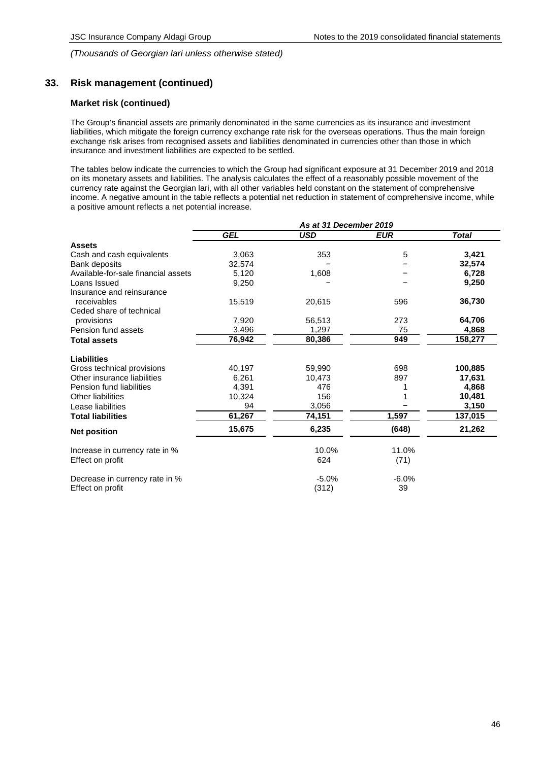# **33. Risk management (continued)**

### **Market risk (continued)**

The Group's financial assets are primarily denominated in the same currencies as its insurance and investment liabilities, which mitigate the foreign currency exchange rate risk for the overseas operations. Thus the main foreign exchange risk arises from recognised assets and liabilities denominated in currencies other than those in which insurance and investment liabilities are expected to be settled.

The tables below indicate the currencies to which the Group had significant exposure at 31 December 2019 and 2018 on its monetary assets and liabilities. The analysis calculates the effect of a reasonably possible movement of the currency rate against the Georgian lari, with all other variables held constant on the statement of comprehensive income. A negative amount in the table reflects a potential net reduction in statement of comprehensive income, while a positive amount reflects a net potential increase.

|                                     | As at 31 December 2019 |            |            |              |  |
|-------------------------------------|------------------------|------------|------------|--------------|--|
|                                     | <b>GEL</b>             | <b>USD</b> | <b>EUR</b> | <b>Total</b> |  |
| <b>Assets</b>                       |                        |            |            |              |  |
| Cash and cash equivalents           | 3,063                  | 353        | 5          | 3,421        |  |
| Bank deposits                       | 32,574                 |            |            | 32,574       |  |
| Available-for-sale financial assets | 5,120                  | 1,608      |            | 6,728        |  |
| Loans Issued                        | 9,250                  |            |            | 9,250        |  |
| Insurance and reinsurance           |                        |            |            |              |  |
| receivables                         | 15,519                 | 20,615     | 596        | 36,730       |  |
| Ceded share of technical            |                        |            |            |              |  |
| provisions                          | 7,920                  | 56,513     | 273        | 64,706       |  |
| Pension fund assets                 | 3,496                  | 1.297      | 75         | 4,868        |  |
| <b>Total assets</b>                 | 76,942                 | 80,386     | 949        | 158,277      |  |
| <b>Liabilities</b>                  |                        |            |            |              |  |
| Gross technical provisions          | 40,197                 | 59,990     | 698        | 100,885      |  |
| Other insurance liabilities         | 6,261                  | 10,473     | 897        | 17,631       |  |
| Pension fund liabilities            | 4,391                  | 476        |            | 4,868        |  |
| Other liabilities                   | 10,324                 | 156        |            | 10,481       |  |
| Lease liabilities                   | 94                     | 3,056      |            | 3,150        |  |
| <b>Total liabilities</b>            | 61,267                 | 74,151     | 1,597      | 137,015      |  |
| <b>Net position</b>                 | 15,675                 | 6,235      | (648)      | 21,262       |  |
| Increase in currency rate in %      |                        | 10.0%      | 11.0%      |              |  |
| Effect on profit                    |                        | 624        | (71)       |              |  |
| Decrease in currency rate in %      |                        | $-5.0%$    | $-6.0%$    |              |  |
| Effect on profit                    |                        | (312)      | 39         |              |  |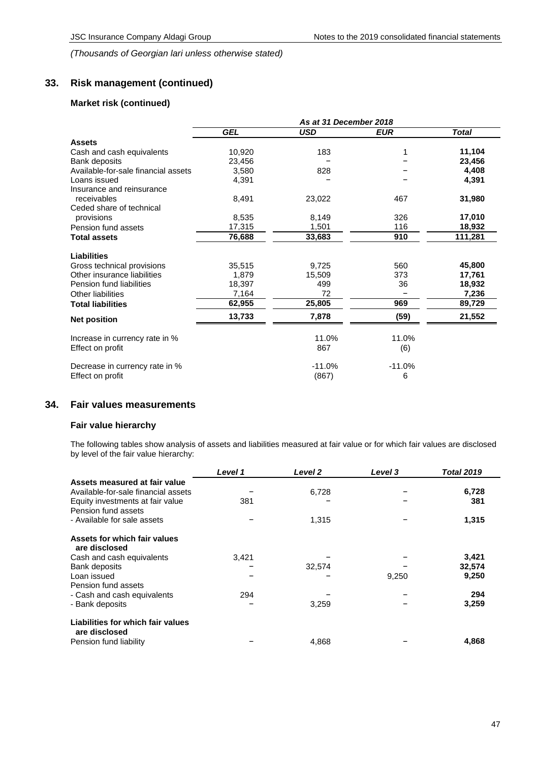# **33. Risk management (continued)**

### **Market risk (continued)**

|                                     | As at 31 December 2018 |            |                          |              |  |
|-------------------------------------|------------------------|------------|--------------------------|--------------|--|
|                                     | <b>GEL</b>             | <b>USD</b> | <b>EUR</b>               | <b>Total</b> |  |
| <b>Assets</b>                       |                        |            |                          |              |  |
| Cash and cash equivalents           | 10,920                 | 183        |                          | 11,104       |  |
| Bank deposits                       | 23,456                 |            |                          | 23,456       |  |
| Available-for-sale financial assets | 3,580                  | 828        |                          | 4,408        |  |
| Loans issued                        | 4,391                  |            |                          | 4,391        |  |
| Insurance and reinsurance           |                        |            |                          |              |  |
| receivables                         | 8,491                  | 23,022     | 467                      | 31,980       |  |
| Ceded share of technical            |                        |            |                          |              |  |
| provisions                          | 8,535                  | 8,149      | 326                      | 17,010       |  |
| Pension fund assets                 | 17,315                 | 1,501      | 116                      | 18,932       |  |
| <b>Total assets</b>                 | 76,688                 | 33,683     | 910                      | 111,281      |  |
| <b>Liabilities</b>                  |                        |            |                          |              |  |
| Gross technical provisions          | 35,515                 | 9,725      | 560                      | 45,800       |  |
| Other insurance liabilities         | 1,879                  | 15,509     | 373                      | 17,761       |  |
| Pension fund liabilities            | 18,397                 | 499        | 36                       | 18,932       |  |
| Other liabilities                   | 7,164                  | 72         | $\overline{\phantom{0}}$ | 7,236        |  |
| <b>Total liabilities</b>            | 62,955                 | 25,805     | 969                      | 89,729       |  |
| <b>Net position</b>                 | 13,733                 | 7,878      | (59)                     | 21,552       |  |
| Increase in currency rate in %      |                        | 11.0%      | 11.0%                    |              |  |
| Effect on profit                    |                        | 867        | (6)                      |              |  |
| Decrease in currency rate in %      |                        | $-11.0%$   | $-11.0%$                 |              |  |
| Effect on profit                    |                        | (867)      | 6                        |              |  |

# **34. Fair values measurements**

### <span id="page-48-0"></span>**Fair value hierarchy**

The following tables show analysis of assets and liabilities measured at fair value or for which fair values are disclosed by level of the fair value hierarchy:

|                                                    | Level 1 | Level 2 | Level 3 | <b>Total 2019</b> |
|----------------------------------------------------|---------|---------|---------|-------------------|
| Assets measured at fair value                      |         |         |         |                   |
| Available-for-sale financial assets                |         | 6,728   |         | 6,728             |
| Equity investments at fair value                   | 381     |         |         | 381               |
| Pension fund assets                                |         |         |         |                   |
| - Available for sale assets                        |         | 1.315   |         | 1,315             |
| Assets for which fair values<br>are disclosed      |         |         |         |                   |
| Cash and cash equivalents                          | 3,421   |         |         | 3,421             |
| Bank deposits                                      |         | 32,574  |         | 32,574            |
| Loan issued                                        |         |         | 9,250   | 9,250             |
| Pension fund assets                                |         |         |         |                   |
| - Cash and cash equivalents                        | 294     |         |         | 294               |
| - Bank deposits                                    |         | 3.259   |         | 3,259             |
| Liabilities for which fair values<br>are disclosed |         |         |         |                   |
| Pension fund liability                             |         | 4,868   |         | 4,868             |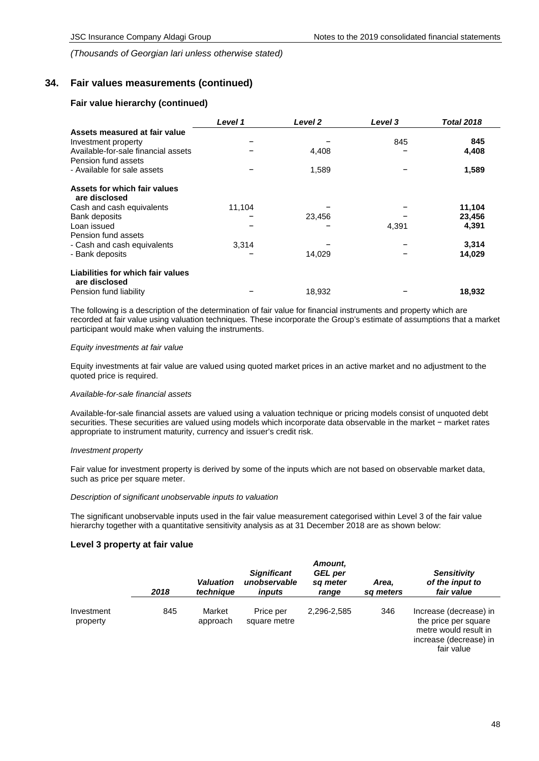# **34. Fair values measurements (continued)**

### **Fair value hierarchy (continued)**

|                                                    | Level 1 | Level <sub>2</sub> | Level 3 | <b>Total 2018</b> |
|----------------------------------------------------|---------|--------------------|---------|-------------------|
| Assets measured at fair value                      |         |                    |         |                   |
| Investment property                                |         |                    | 845     | 845               |
| Available-for-sale financial assets                |         | 4,408              |         | 4,408             |
| Pension fund assets                                |         |                    |         |                   |
| - Available for sale assets                        |         | 1,589              |         | 1,589             |
| Assets for which fair values<br>are disclosed      |         |                    |         |                   |
| Cash and cash equivalents                          | 11,104  |                    |         | 11,104            |
| Bank deposits                                      |         | 23,456             |         | 23,456            |
| Loan issued                                        |         |                    | 4,391   | 4,391             |
| Pension fund assets                                |         |                    |         |                   |
| - Cash and cash equivalents                        | 3,314   |                    |         | 3,314             |
| - Bank deposits                                    |         | 14,029             |         | 14,029            |
| Liabilities for which fair values<br>are disclosed |         |                    |         |                   |
| Pension fund liability                             |         | 18.932             |         | 18,932            |

The following is a description of the determination of fair value for financial instruments and property which are recorded at fair value using valuation techniques. These incorporate the Group's estimate of assumptions that a market participant would make when valuing the instruments.

### *Equity investments at fair value*

Equity investments at fair value are valued using quoted market prices in an active market and no adjustment to the quoted price is required.

#### *Available-for-sale financial assets*

Available-for-sale financial assets are valued using a valuation technique or pricing models consist of unquoted debt securities. These securities are valued using models which incorporate data observable in the market − market rates appropriate to instrument maturity, currency and issuer's credit risk.

#### *Investment property*

Fair value for investment property is derived by some of the inputs which are not based on observable market data, such as price per square meter.

#### *Description of significant unobservable inputs to valuation*

The significant unobservable inputs used in the fair value measurement categorised within Level 3 of the fair value hierarchy together with a quantitative sensitivity analysis as at 31 December 2018 are as shown below:

### **Level 3 property at fair value**

|                        | 2018 | <b>Valuation</b><br>technique | <b>Significant</b><br>unobservable<br>inputs | Amount,<br><b>GEL</b> per<br>sq meter<br>range | Area.<br>sq meters | <b>Sensitivity</b><br>of the input to<br>fair value                                               |
|------------------------|------|-------------------------------|----------------------------------------------|------------------------------------------------|--------------------|---------------------------------------------------------------------------------------------------|
| Investment<br>property | 845  | Market<br>approach            | Price per<br>square metre                    | 2.296-2.585                                    | 346                | Increase (decrease) in<br>the price per square<br>metre would result in<br>increase (decrease) in |

fair value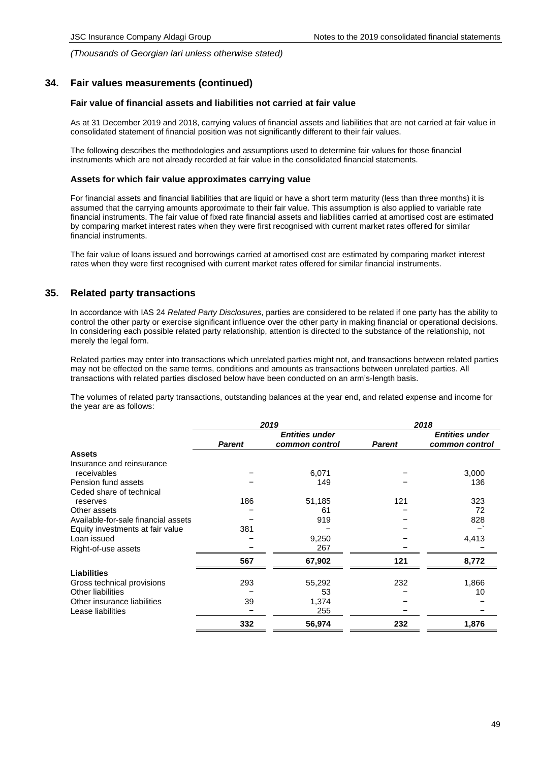# **34. Fair values measurements (continued)**

### **Fair value of financial assets and liabilities not carried at fair value**

As at 31 December 2019 and 2018, carrying values of financial assets and liabilities that are not carried at fair value in consolidated statement of financial position was not significantly different to their fair values.

The following describes the methodologies and assumptions used to determine fair values for those financial instruments which are not already recorded at fair value in the consolidated financial statements.

### **Assets for which fair value approximates carrying value**

For financial assets and financial liabilities that are liquid or have a short term maturity (less than three months) it is assumed that the carrying amounts approximate to their fair value. This assumption is also applied to variable rate financial instruments. The fair value of fixed rate financial assets and liabilities carried at amortised cost are estimated by comparing market interest rates when they were first recognised with current market rates offered for similar financial instruments.

The fair value of loans issued and borrowings carried at amortised cost are estimated by comparing market interest rates when they were first recognised with current market rates offered for similar financial instruments.

### **35. Related party transactions**

<span id="page-50-0"></span>In accordance with IAS 24 *Related Party Disclosures*, parties are considered to be related if one party has the ability to control the other party or exercise significant influence over the other party in making financial or operational decisions. In considering each possible related party relationship, attention is directed to the substance of the relationship, not merely the legal form.

Related parties may enter into transactions which unrelated parties might not, and transactions between related parties may not be effected on the same terms, conditions and amounts as transactions between unrelated parties. All transactions with related parties disclosed below have been conducted on an arm's-length basis.

The volumes of related party transactions, outstanding balances at the year end, and related expense and income for the year are as follows:

|                                     |               | 2019                  | 2018          |                       |  |
|-------------------------------------|---------------|-----------------------|---------------|-----------------------|--|
|                                     |               | <b>Entities under</b> |               | <b>Entities under</b> |  |
|                                     | <b>Parent</b> | common control        | <b>Parent</b> | common control        |  |
| <b>Assets</b>                       |               |                       |               |                       |  |
| Insurance and reinsurance           |               |                       |               |                       |  |
| receivables                         |               | 6,071                 |               | 3,000                 |  |
| Pension fund assets                 |               | 149                   |               | 136                   |  |
| Ceded share of technical            |               |                       |               |                       |  |
| reserves                            | 186           | 51,185                | 121           | 323                   |  |
| Other assets                        |               | 61                    |               | 72                    |  |
| Available-for-sale financial assets |               | 919                   |               | 828                   |  |
| Equity investments at fair value    | 381           |                       |               |                       |  |
| Loan issued                         |               | 9,250                 |               | 4,413                 |  |
| Right-of-use assets                 |               | 267                   |               |                       |  |
|                                     | 567           | 67,902                | 121           | 8,772                 |  |
| <b>Liabilities</b>                  |               |                       |               |                       |  |
| Gross technical provisions          | 293           | 55,292                | 232           | 1,866                 |  |
| <b>Other liabilities</b>            |               | 53                    |               | 10                    |  |
| Other insurance liabilities         | 39            | 1,374                 |               |                       |  |
| Lease liabilities                   |               | 255                   |               |                       |  |
|                                     | 332           | 56,974                | 232           | 1,876                 |  |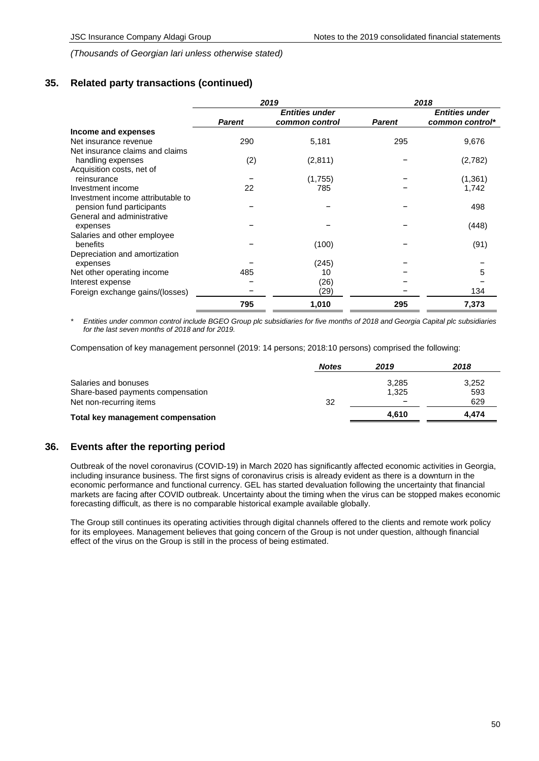# **35. Related party transactions (continued)**

|                                   |               | 2019                  | 2018          |                       |  |
|-----------------------------------|---------------|-----------------------|---------------|-----------------------|--|
|                                   |               | <b>Entities under</b> |               | <b>Entities under</b> |  |
|                                   | <b>Parent</b> | common control        | <b>Parent</b> | common control*       |  |
| Income and expenses               |               |                       |               |                       |  |
| Net insurance revenue             | 290           | 5,181                 | 295           | 9,676                 |  |
| Net insurance claims and claims   |               |                       |               |                       |  |
| handling expenses                 | (2)           | (2,811)               |               | (2,782)               |  |
| Acquisition costs, net of         |               |                       |               |                       |  |
| reinsurance                       |               | (1,755)               |               | (1, 361)              |  |
| Investment income                 | 22            | 785                   |               | 1,742                 |  |
| Investment income attributable to |               |                       |               |                       |  |
| pension fund participants         |               |                       |               | 498                   |  |
| General and administrative        |               |                       |               |                       |  |
| expenses                          |               |                       |               | (448)                 |  |
| Salaries and other employee       |               |                       |               |                       |  |
| benefits                          |               | (100)                 |               | (91)                  |  |
| Depreciation and amortization     |               |                       |               |                       |  |
| expenses                          |               | (245)                 |               |                       |  |
| Net other operating income        | 485           | 10                    |               | 5                     |  |
| Interest expense                  |               | (26)                  |               |                       |  |
| Foreign exchange gains/(losses)   |               | (29)                  |               | 134                   |  |
|                                   | 795           | 1,010                 | 295           | 7,373                 |  |

*\* Entities under common control include BGEO Group plc subsidiaries for five months of 2018 and Georgia Capital plc subsidiaries for the last seven months of 2018 and for 2019.*

Compensation of key management personnel (2019: 14 persons; 2018:10 persons) comprised the following:

|                                   | <b>Notes</b> | 2019  | 2018  |
|-----------------------------------|--------------|-------|-------|
| Salaries and bonuses              |              | 3,285 | 3,252 |
| Share-based payments compensation |              | 1.325 | 593   |
| Net non-recurring items           | 32           | -     | 629   |
| Total key management compensation |              | 4.610 | 4.474 |

### **36. Events after the reporting period**

<span id="page-51-0"></span>Outbreak of the novel coronavirus (COVID-19) in March 2020 has significantly affected economic activities in Georgia, including insurance business. The first signs of coronavirus crisis is already evident as there is a downturn in the economic performance and functional currency. GEL has started devaluation following the uncertainty that financial markets are facing after COVID outbreak. Uncertainty about the timing when the virus can be stopped makes economic forecasting difficult, as there is no comparable historical example available globally.

The Group still continues its operating activities through digital channels offered to the clients and remote work policy for its employees. Management believes that going concern of the Group is not under question, although financial effect of the virus on the Group is still in the process of being estimated.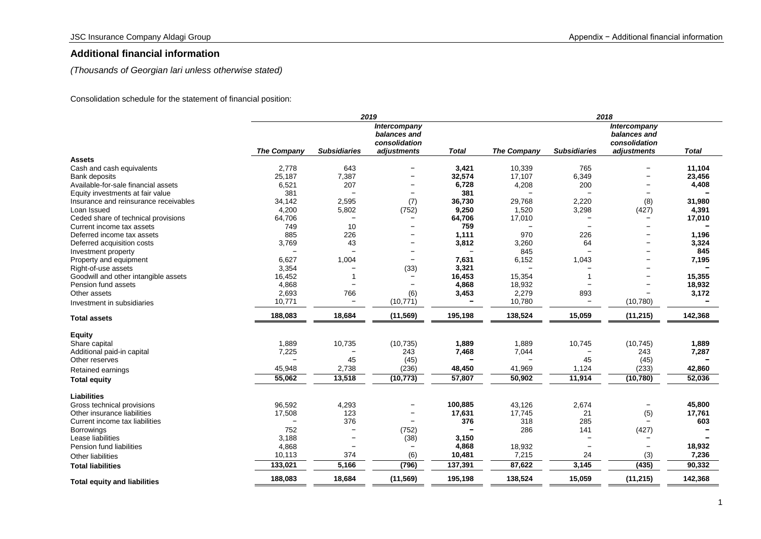# **Additional financial information**

*(Thousands of Georgian lari unless otherwise stated)*

Consolidation schedule for the statement of financial position:

|                                                      | 2019               |                                 |                                               |              |                    | 2018                |                                               |              |  |
|------------------------------------------------------|--------------------|---------------------------------|-----------------------------------------------|--------------|--------------------|---------------------|-----------------------------------------------|--------------|--|
|                                                      |                    |                                 | Intercompany<br>balances and<br>consolidation |              |                    |                     | Intercompany<br>balances and<br>consolidation |              |  |
|                                                      | <b>The Company</b> | <b>Subsidiaries</b>             | adjustments                                   | <b>Total</b> | <b>The Company</b> | <b>Subsidiaries</b> | adjustments                                   | <b>Total</b> |  |
| <b>Assets</b>                                        |                    |                                 |                                               |              |                    |                     |                                               |              |  |
| Cash and cash equivalents                            | 2,778              | 643                             |                                               | 3,421        | 10,339             | 765                 |                                               | 11,104       |  |
| <b>Bank deposits</b>                                 | 25,187             | 7,387                           |                                               | 32,574       | 17,107             | 6,349               |                                               | 23,456       |  |
| Available-for-sale financial assets                  | 6,521<br>381       | 207<br>$\overline{\phantom{0}}$ |                                               | 6,728<br>381 | 4,208              | 200                 |                                               | 4,408        |  |
| Equity investments at fair value                     |                    |                                 |                                               | 36,730       |                    |                     |                                               | 31,980       |  |
| Insurance and reinsurance receivables<br>Loan Issued | 34,142<br>4,200    | 2,595<br>5,802                  | (7)                                           | 9,250        | 29,768<br>1,520    | 2,220<br>3,298      | (8)<br>(427)                                  | 4,391        |  |
| Ceded share of technical provisions                  | 64,706             |                                 | (752)                                         | 64,706       | 17,010             |                     |                                               | 17,010       |  |
| Current income tax assets                            | 749                | 10                              |                                               | 759          |                    |                     |                                               |              |  |
| Deferred income tax assets                           | 885                | 226                             |                                               | 1,111        | 970                | 226                 |                                               | 1,196        |  |
| Deferred acquisition costs                           | 3,769              | 43                              |                                               | 3,812        | 3,260              | 64                  |                                               | 3,324        |  |
| Investment property                                  |                    |                                 |                                               |              | 845                |                     |                                               | 845          |  |
| Property and equipment                               | 6,627              | 1,004                           | $\overline{\phantom{0}}$                      | 7,631        | 6,152              | 1,043               |                                               | 7,195        |  |
| Right-of-use assets                                  | 3,354              |                                 | (33)                                          | 3,321        |                    |                     |                                               |              |  |
| Goodwill and other intangible assets                 | 16,452             |                                 | $\overline{\phantom{a}}$                      | 16,453       | 15,354             |                     |                                               | 15,355       |  |
| Pension fund assets                                  | 4,868              |                                 | $\overline{\phantom{0}}$                      | 4,868        | 18,932             |                     |                                               | 18,932       |  |
| Other assets                                         | 2,693              | 766                             | (6)                                           | 3,453        | 2,279              | 893                 |                                               | 3,172        |  |
| Investment in subsidiaries                           | 10,771             |                                 | (10, 771)                                     |              | 10,780             |                     | (10, 780)                                     |              |  |
|                                                      |                    |                                 |                                               |              |                    |                     |                                               |              |  |
| <b>Total assets</b>                                  | 188,083            | 18,684                          | (11, 569)                                     | 195,198      | 138,524            | 15,059              | (11, 215)                                     | 142,368      |  |
| Equity                                               |                    |                                 |                                               |              |                    |                     |                                               |              |  |
| Share capital                                        | 1,889              | 10,735                          | (10, 735)                                     | 1,889        | 1,889              | 10,745              | (10, 745)                                     | 1,889        |  |
| Additional paid-in capital                           | 7,225              |                                 | 243                                           | 7,468        | 7,044              |                     | 243                                           | 7,287        |  |
| Other reserves                                       |                    | 45                              | (45)                                          |              |                    | 45                  | (45)                                          |              |  |
| Retained earnings                                    | 45,948             | 2,738                           | (236)                                         | 48,450       | 41,969             | 1,124               | (233)                                         | 42,860       |  |
| <b>Total equity</b>                                  | 55,062             | 13,518                          | (10, 773)                                     | 57,807       | 50,902             | 11,914              | (10, 780)                                     | 52,036       |  |
| <b>Liabilities</b>                                   |                    |                                 |                                               |              |                    |                     |                                               |              |  |
| Gross technical provisions                           | 96,592             | 4,293                           |                                               | 100,885      | 43,126             | 2,674               | $\overline{\phantom{m}}$                      | 45,800       |  |
| Other insurance liabilities                          | 17,508             | 123                             |                                               | 17,631       | 17,745             | 21                  | (5)                                           | 17,761       |  |
| Current income tax liabilities                       |                    | 376                             |                                               | 376          | 318                | 285                 |                                               | 603          |  |
| <b>Borrowings</b>                                    | 752                |                                 | (752)                                         |              | 286                | 141                 | (427)                                         |              |  |
| Lease liabilities                                    | 3,188              |                                 | (38)                                          | 3,150        |                    |                     |                                               |              |  |
| Pension fund liabilities                             | 4,868              |                                 | $\overline{\phantom{0}}$                      | 4,868        | 18,932             |                     | $\overline{\phantom{0}}$                      | 18,932       |  |
| Other liabilities                                    | 10,113             | 374                             | (6)                                           | 10,481       | 7,215              | 24                  | (3)                                           | 7,236        |  |
| <b>Total liabilities</b>                             | 133.021            | 5,166                           | (796)                                         | 137,391      | 87,622             | 3,145               | (435)                                         | 90,332       |  |
| <b>Total equity and liabilities</b>                  | 188,083            | 18,684                          | (11, 569)                                     | 195,198      | 138,524            | 15,059              | (11, 215)                                     | 142,368      |  |
|                                                      |                    |                                 |                                               |              |                    |                     |                                               |              |  |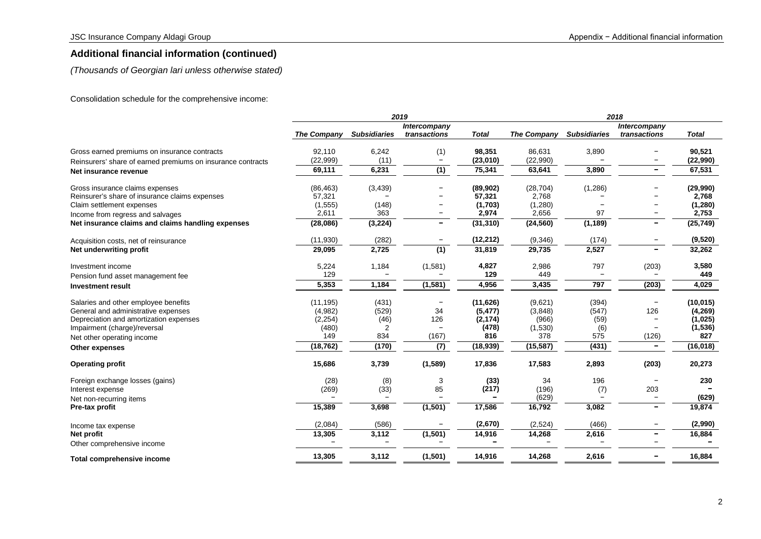*(Thousands of Georgian lari unless otherwise stated)*

Consolidation schedule for the comprehensive income:

|                                                             | 2019               |                     |                          | 2018         |                    |                     |                          |              |
|-------------------------------------------------------------|--------------------|---------------------|--------------------------|--------------|--------------------|---------------------|--------------------------|--------------|
|                                                             | Intercompany       |                     |                          | Intercompany |                    |                     |                          |              |
|                                                             | <b>The Company</b> | <b>Subsidiaries</b> | transactions             | <b>Total</b> | <b>The Company</b> | <b>Subsidiaries</b> | transactions             | <b>Total</b> |
| Gross earned premiums on insurance contracts                | 92,110             | 6,242               | (1)                      | 98,351       | 86,631             | 3,890               |                          | 90,521       |
| Reinsurers' share of earned premiums on insurance contracts | (22, 999)          | (11)                | $\overline{\phantom{0}}$ | (23,010)     | (22,990)           |                     | $\overline{\phantom{a}}$ | (22, 990)    |
| Net insurance revenue                                       | 69,111             | 6,231               | (1)                      | 75,341       | 63,641             | 3,890               | $\overline{\phantom{0}}$ | 67,531       |
| Gross insurance claims expenses                             | (86, 463)          | (3, 439)            |                          | (89, 902)    | (28, 704)          | (1,286)             |                          | (29,990)     |
| Reinsurer's share of insurance claims expenses              | 57,321             |                     |                          | 57,321       | 2,768              |                     |                          | 2,768        |
| Claim settlement expenses                                   | (1, 555)           | (148)               |                          | (1,703)      | (1, 280)           |                     |                          | (1, 280)     |
| Income from regress and salvages                            | 2,611              | 363                 |                          | 2,974        | 2,656              | 97                  |                          | 2,753        |
| Net insurance claims and claims handling expenses           | (28,086)           | (3, 224)            |                          | (31, 310)    | (24, 560)          | (1, 189)            | $\overline{\phantom{a}}$ | (25, 749)    |
| Acquisition costs, net of reinsurance                       | (11,930)           | (282)               |                          | (12, 212)    | (9, 346)           | (174)               |                          | (9, 520)     |
| Net underwriting profit                                     | 29,095             | 2,725               | (1)                      | 31,819       | 29,735             | 2,527               | $\overline{\phantom{0}}$ | 32,262       |
| Investment income                                           | 5,224              | 1,184               | (1,581)                  | 4,827        | 2,986              | 797                 | (203)                    | 3,580        |
| Pension fund asset management fee                           | 129                |                     |                          | 129          | 449                |                     |                          | 449          |
| <b>Investment result</b>                                    | 5,353              | 1,184               | (1, 581)                 | 4,956        | 3,435              | 797                 | (203)                    | 4,029        |
| Salaries and other employee benefits                        | (11, 195)          | (431)               |                          | (11, 626)    | (9,621)            | (394)               |                          | (10, 015)    |
| General and administrative expenses                         | (4,982)            | (529)               | 34                       | (5, 477)     | (3,848)            | (547)               | 126                      | (4, 269)     |
| Depreciation and amortization expenses                      | (2, 254)           | (46)                | 126                      | (2, 174)     | (966)              | (59)                |                          | (1,025)      |
| Impairment (charge)/reversal                                | (480)              |                     |                          | (478)        | (1,530)            | (6)                 | $\overline{\phantom{0}}$ | (1, 536)     |
| Net other operating income                                  | 149                | 834                 | (167)                    | 816          | 378                | 575                 | (126)                    | 827          |
| <b>Other expenses</b>                                       | (18, 762)          | (170)               | $\overline{(7)}$         | (18, 939)    | (15, 587)          | (431)               | $\overline{\phantom{a}}$ | (16, 018)    |
| <b>Operating profit</b>                                     | 15,686             | 3,739               | (1,589)                  | 17,836       | 17,583             | 2,893               | (203)                    | 20,273       |
| Foreign exchange losses (gains)                             | (28)               | (8)                 | 3                        | (33)         | 34                 | 196                 |                          | 230          |
| Interest expense                                            | (269)              | (33)                | 85                       | (217)        | (196)              | (7)                 | 203                      |              |
| Net non-recurring items                                     |                    |                     |                          |              | (629)              |                     |                          | (629)        |
| Pre-tax profit                                              | 15,389             | 3,698               | (1,501)                  | 17,586       | 16,792             | 3,082               | $\blacksquare$           | 19,874       |
| Income tax expense                                          | (2,084)            | (586)               |                          | (2,670)      | (2,524)            | (466)               | $\overline{\phantom{m}}$ | (2,990)      |
| Net profit                                                  | 13,305             | 3,112               | (1,501)                  | 14,916       | 14,268             | 2,616               | -                        | 16,884       |
| Other comprehensive income                                  |                    |                     |                          |              |                    |                     |                          |              |
| Total comprehensive income                                  | 13,305             | 3,112               | (1, 501)                 | 14,916       | 14,268             | 2,616               |                          | 16,884       |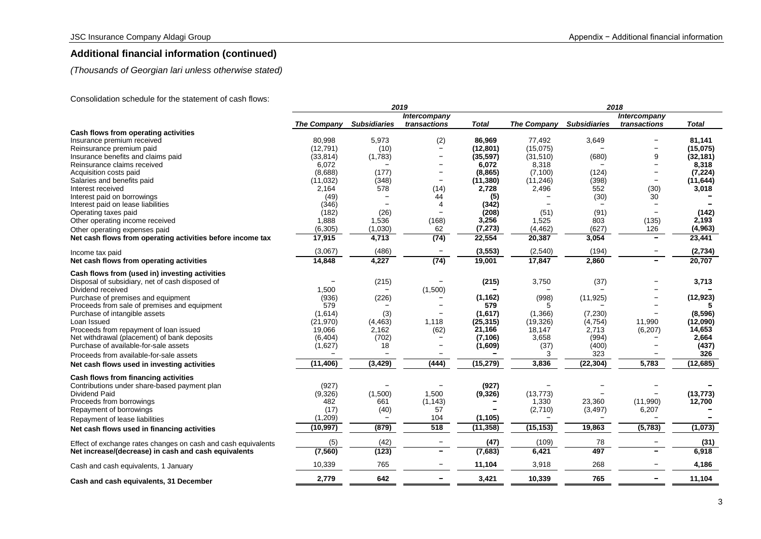*(Thousands of Georgian lari unless otherwise stated)*

Consolidation schedule for the statement of cash flows:

|                                                               | 2019                |                     |                                 | 2018         |                    |                     |                          |              |
|---------------------------------------------------------------|---------------------|---------------------|---------------------------------|--------------|--------------------|---------------------|--------------------------|--------------|
|                                                               |                     |                     | Intercompany                    |              |                    |                     | Intercompany             |              |
|                                                               | <b>The Company</b>  | <b>Subsidiaries</b> | transactions                    | <b>Total</b> | <b>The Company</b> | <b>Subsidiaries</b> | transactions             | <b>Total</b> |
| Cash flows from operating activities                          |                     | 5,973               |                                 | 86,969       | 77,492             |                     |                          | 81,141       |
| Insurance premium received<br>Reinsurance premium paid        | 80,998<br>(12, 791) | (10)                | (2)<br>$\overline{\phantom{0}}$ | (12, 801)    | (15,075)           | 3,649               |                          | (15,075)     |
| Insurance benefits and claims paid                            | (33, 814)           | (1,783)             |                                 | (35, 597)    | (31, 510)          | (680)               | 9                        | (32, 181)    |
| Reinsurance claims received                                   | 6,072               |                     |                                 | 6,072        | 8,318              |                     |                          | 8,318        |
| Acquisition costs paid                                        | (8,688)             | (177)               |                                 | (8, 865)     | (7, 100)           | (124)               |                          | (7, 224)     |
| Salaries and benefits paid                                    | (11, 032)           | (348)               |                                 | (11, 380)    | (11, 246)          | (398)               |                          | (11, 644)    |
| Interest received                                             | 2,164               | 578                 | (14)                            | 2,728        | 2,496              | 552                 | (30)                     | 3,018        |
| Interest paid on borrowings                                   | (49)                |                     | 44                              | (5)          |                    | (30)                | 30                       |              |
| Interest paid on lease liabilities                            | (346)               |                     | Δ                               | (342)        |                    |                     |                          |              |
| Operating taxes paid                                          | (182)               | (26)                |                                 | (208)        | (51)               | (91)                |                          | (142)        |
| Other operating income received                               | 1,888               | 1,536               | (168)                           | 3,256        | 1,525              | 803                 | (135)                    | 2,193        |
| Other operating expenses paid                                 | (6, 305)            | (1,030)             | 62                              | (7, 273)     | (4, 462)           | (627)               | 126                      | (4, 963)     |
| Net cash flows from operating activities before income tax    | 17,915              | 4,713               | (74)                            | 22,554       | 20,387             | 3,054               |                          | 23,441       |
| Income tax paid                                               | (3,067)             | (486)               |                                 | (3, 553)     | (2, 540)           | (194)               |                          | (2,734)      |
| Net cash flows from operating activities                      | 14,848              | 4.227               | (74)                            | 19,001       | 17,847             | 2,860               | $\overline{\phantom{0}}$ | 20,707       |
| Cash flows from (used in) investing activities                |                     |                     |                                 |              |                    |                     |                          |              |
| Disposal of subsidiary, net of cash disposed of               |                     | (215)               |                                 | (215)        | 3,750              | (37)                |                          | 3,713        |
| Dividend received                                             | 1,500               |                     | (1,500)                         |              |                    |                     |                          |              |
| Purchase of premises and equipment                            | (936)               | (226)               |                                 | (1, 162)     | (998)              | (11, 925)           |                          | (12, 923)    |
| Proceeds from sale of premises and equipment                  | 579                 |                     |                                 | 579          | 5                  |                     |                          |              |
| Purchase of intangible assets                                 | (1,614)             | (3)                 |                                 | (1,617)      | (1,366)            | (7, 230)            |                          | (8,596)      |
| Loan Issued                                                   | (21, 970)           | (4, 463)            | 1,118                           | (25, 315)    | (19, 326)          | (4, 754)            | 11,990                   | (12,090)     |
| Proceeds from repayment of loan issued                        | 19,066              | 2,162               | (62)                            | 21,166       | 18,147             | 2,713               | (6, 207)                 | 14,653       |
| Net withdrawal (placement) of bank deposits                   | (6, 404)            | (702)               |                                 | (7, 106)     | 3,658              | (994)               |                          | 2,664        |
| Purchase of available-for-sale assets                         | (1,627)             | 18                  |                                 | (1,609)      | (37)               | (400)               |                          | (437)        |
| Proceeds from available-for-sale assets                       |                     |                     |                                 |              | 3                  | 323                 |                          | 326          |
| Net cash flows used in investing activities                   | (11, 406)           | (3, 429)            | (444)                           | (15, 279)    | 3,836              | (22, 304)           | 5,783                    | (12, 685)    |
| Cash flows from financing activities                          |                     |                     |                                 |              |                    |                     |                          |              |
| Contributions under share-based payment plan                  | (927)               |                     |                                 | (927)        |                    |                     |                          |              |
| Dividend Paid                                                 | (9,326)             | (1,500)             | 1,500                           | (9,326)      | (13, 773)          |                     |                          | (13, 773)    |
| Proceeds from borrowings                                      | 482                 | 661                 | (1, 143)                        |              | 1,330              | 23,360              | (11,990)                 | 12,700       |
| Repayment of borrowings                                       | (17)                | (40)                | 57                              |              | (2,710)            | (3, 497)            | 6,207                    |              |
| Repayment of lease liabilities                                | (1,209)             |                     | 104                             | (1, 105)     |                    |                     |                          |              |
| Net cash flows used in financing activities                   | (10, 997)           | (879)               | 518                             | (11, 358)    | (15, 153)          | 19,863              | (5, 783)                 | (1,073)      |
| Effect of exchange rates changes on cash and cash equivalents | (5)                 | (42)                |                                 | (47)         | (109)              | 78                  |                          | (31)         |
| Net increase/(decrease) in cash and cash equivalents          | (7, 560)            | (123)               |                                 | (7,683)      | 6,421              | 497                 |                          | 6,918        |
| Cash and cash equivalents, 1 January                          | 10,339              | 765                 |                                 | 11,104       | 3,918              | 268                 |                          | 4,186        |
| Cash and cash equivalents, 31 December                        | 2,779               | 642                 |                                 | 3,421        | 10,339             | 765                 |                          | 11,104       |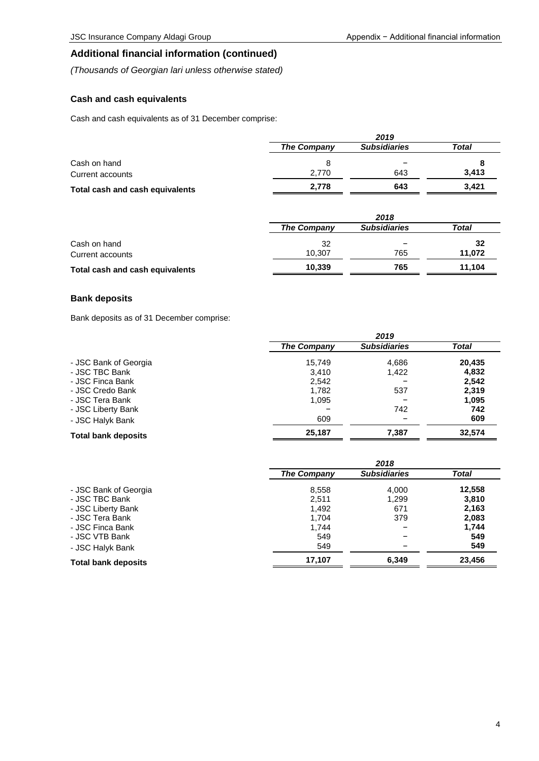*(Thousands of Georgian lari unless otherwise stated)*

### **Cash and cash equivalents**

Cash and cash equivalents as of 31 December comprise:

|                                 | 2019               |                     |       |  |
|---------------------------------|--------------------|---------------------|-------|--|
|                                 | <b>The Company</b> | <b>Subsidiaries</b> | Total |  |
| Cash on hand                    |                    | -                   |       |  |
| Current accounts                | 2.770              | 643                 | 3.413 |  |
| Total cash and cash equivalents | 2.778              | 643                 | 3.421 |  |

|                                 | 2018               |                          |              |  |
|---------------------------------|--------------------|--------------------------|--------------|--|
|                                 | <b>The Company</b> | <b>Subsidiaries</b>      | <b>Total</b> |  |
| Cash on hand                    | 32                 | $\overline{\phantom{0}}$ | 32           |  |
| Current accounts                | 10.307             | 765                      | 11.072       |  |
| Total cash and cash equivalents | 10,339             | 765                      | 11.104       |  |

### **Bank deposits**

Bank deposits as of 31 December comprise:

|                            |                    | 2019                |              |
|----------------------------|--------------------|---------------------|--------------|
|                            | <b>The Company</b> | <b>Subsidiaries</b> | <b>Total</b> |
| - JSC Bank of Georgia      | 15,749             | 4,686               | 20.435       |
| - JSC TBC Bank             | 3.410              | 1,422               | 4,832        |
| - JSC Finca Bank           | 2,542              |                     | 2,542        |
| - JSC Credo Bank           | 1.782              | 537                 | 2,319        |
| - JSC Tera Bank            | 1,095              |                     | 1,095        |
| - JSC Liberty Bank         |                    | 742                 | 742          |
| - JSC Halyk Bank           | 609                |                     | 609          |
| <b>Total bank deposits</b> | 25,187             | 7,387               | 32,574       |

|                            |                    | 2018                |        |
|----------------------------|--------------------|---------------------|--------|
|                            | <b>The Company</b> | <b>Subsidiaries</b> | Total  |
| - JSC Bank of Georgia      | 8,558              | 4,000               | 12,558 |
| - JSC TBC Bank             | 2,511              | 1,299               | 3,810  |
| - JSC Liberty Bank         | 1,492              | 671                 | 2,163  |
| - JSC Tera Bank            | 1,704              | 379                 | 2,083  |
| - JSC Finca Bank           | 1,744              | -                   | 1,744  |
| - JSC VTB Bank             | 549                |                     | 549    |
| - JSC Halyk Bank           | 549                |                     | 549    |
| <b>Total bank deposits</b> | 17.107             | 6.349               | 23.456 |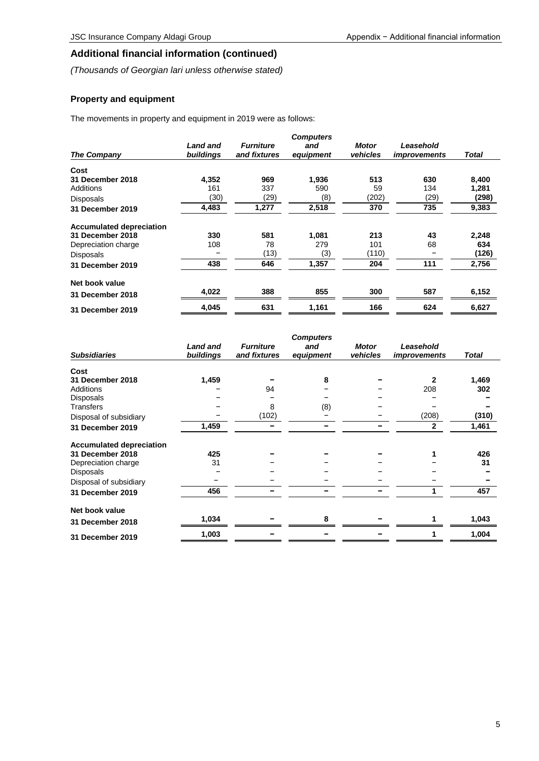*(Thousands of Georgian lari unless otherwise stated)*

# **Property and equipment**

The movements in property and equipment in 2019 were as follows:

|                                 | <b>Computers</b>      |                                  |                  |                          |                                  |              |  |
|---------------------------------|-----------------------|----------------------------------|------------------|--------------------------|----------------------------------|--------------|--|
| <b>The Company</b>              | Land and<br>buildings | <b>Furniture</b><br>and fixtures | and<br>equipment | <b>Motor</b><br>vehicles | Leasehold<br><i>improvements</i> | <b>Total</b> |  |
| Cost                            |                       |                                  |                  |                          |                                  |              |  |
| 31 December 2018                | 4,352                 | 969                              | 1,936            | 513                      | 630                              | 8,400        |  |
| Additions                       | 161                   | 337                              | 590              | 59                       | 134                              | 1,281        |  |
| <b>Disposals</b>                | (30)                  | (29)                             | (8)              | (202)                    | (29)                             | (298)        |  |
| 31 December 2019                | 4,483                 | 1,277                            | 2,518            | 370                      | 735                              | 9,383        |  |
| <b>Accumulated depreciation</b> |                       |                                  |                  |                          |                                  |              |  |
| 31 December 2018                | 330                   | 581                              | 1,081            | 213                      | 43                               | 2,248        |  |
| Depreciation charge             | 108                   | 78                               | 279              | 101                      | 68                               | 634          |  |
| Disposals                       |                       | (13)                             | (3)              | (110)                    |                                  | (126)        |  |
| 31 December 2019                | 438                   | 646                              | 1,357            | 204                      | 111                              | 2,756        |  |
| Net book value                  |                       |                                  |                  |                          |                                  |              |  |
| <b>31 December 2018</b>         | 4,022                 | 388                              | 855              | 300                      | 587                              | 6,152        |  |
| <b>31 December 2019</b>         | 4,045                 | 631                              | 1,161            | 166                      | 624                              | 6,627        |  |

| <b>Subsidiaries</b>             | <b>Land and</b><br>buildings | <b>Furniture</b><br>and fixtures | and<br>equipment | <b>Motor</b><br>vehicles | Leasehold<br><i>improvements</i> | <b>Total</b> |
|---------------------------------|------------------------------|----------------------------------|------------------|--------------------------|----------------------------------|--------------|
| Cost                            |                              |                                  |                  |                          |                                  |              |
| 31 December 2018                | 1,459                        |                                  | 8                |                          | 2                                | 1,469        |
| Additions                       |                              | 94                               |                  |                          | 208                              | 302          |
| <b>Disposals</b>                |                              |                                  |                  |                          |                                  |              |
| Transfers                       |                              | 8                                | (8)              |                          |                                  |              |
| Disposal of subsidiary          |                              | (102)                            |                  |                          | (208)                            | (310)        |
| 31 December 2019                | 1,459                        |                                  |                  |                          | $\mathbf{2}$                     | 1,461        |
| <b>Accumulated depreciation</b> |                              |                                  |                  |                          |                                  |              |
| 31 December 2018                | 425                          |                                  |                  |                          |                                  | 426          |
| Depreciation charge             | 31                           |                                  |                  |                          |                                  | 31           |
| <b>Disposals</b>                |                              |                                  |                  |                          |                                  |              |
| Disposal of subsidiary          |                              |                                  |                  |                          |                                  |              |
| 31 December 2019                | 456                          |                                  |                  |                          | 1                                | 457          |
| Net book value                  |                              |                                  |                  |                          |                                  |              |
| 31 December 2018                | 1,034                        |                                  | 8                |                          |                                  | 1,043        |
| 31 December 2019                | 1,003                        |                                  |                  |                          |                                  | 1,004        |
|                                 |                              |                                  |                  |                          |                                  |              |